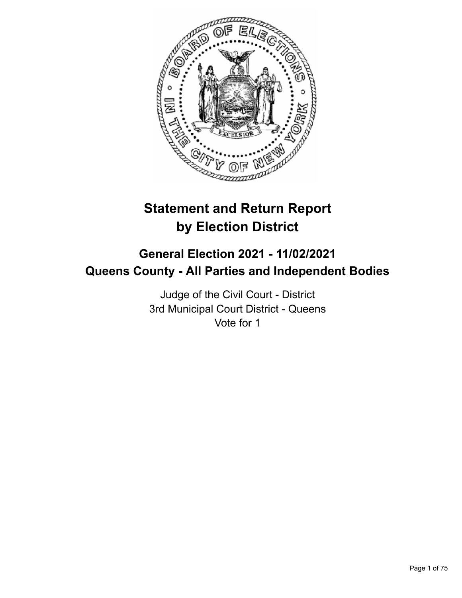

# **Statement and Return Report by Election District**

## **General Election 2021 - 11/02/2021 Queens County - All Parties and Independent Bodies**

Judge of the Civil Court - District 3rd Municipal Court District - Queens Vote for 1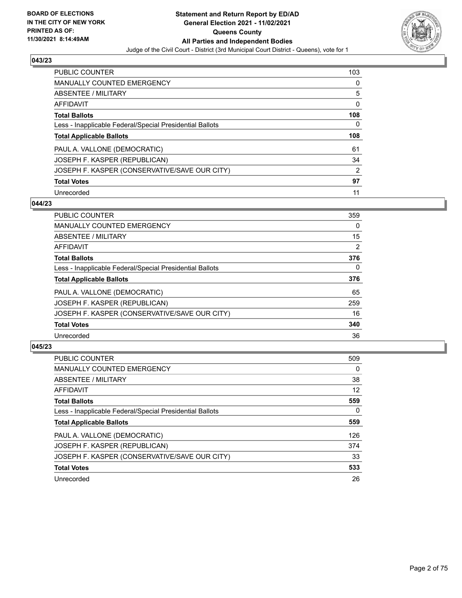

| PUBLIC COUNTER                                           | 103            |
|----------------------------------------------------------|----------------|
| <b>MANUALLY COUNTED EMERGENCY</b>                        | 0              |
| ABSENTEE / MILITARY                                      | 5              |
| AFFIDAVIT                                                | 0              |
| <b>Total Ballots</b>                                     | 108            |
| Less - Inapplicable Federal/Special Presidential Ballots | 0              |
| <b>Total Applicable Ballots</b>                          | 108            |
| PAUL A. VALLONE (DEMOCRATIC)                             | 61             |
| JOSEPH F. KASPER (REPUBLICAN)                            | 34             |
| JOSEPH F. KASPER (CONSERVATIVE/SAVE OUR CITY)            | $\overline{2}$ |
|                                                          |                |
| <b>Total Votes</b>                                       | 97             |

#### **044/23**

| <b>PUBLIC COUNTER</b>                                    | 359            |
|----------------------------------------------------------|----------------|
| <b>MANUALLY COUNTED EMERGENCY</b>                        | $\Omega$       |
| ABSENTEE / MILITARY                                      | 15             |
| <b>AFFIDAVIT</b>                                         | $\overline{2}$ |
| <b>Total Ballots</b>                                     | 376            |
| Less - Inapplicable Federal/Special Presidential Ballots | $\Omega$       |
| <b>Total Applicable Ballots</b>                          | 376            |
| PAUL A. VALLONE (DEMOCRATIC)                             | 65             |
| JOSEPH F. KASPER (REPUBLICAN)                            | 259            |
| JOSEPH F. KASPER (CONSERVATIVE/SAVE OUR CITY)            | 16             |
| <b>Total Votes</b>                                       | 340            |
| Unrecorded                                               | 36             |

| <b>PUBLIC COUNTER</b>                                    | 509 |
|----------------------------------------------------------|-----|
| <b>MANUALLY COUNTED EMERGENCY</b>                        | 0   |
| ABSENTEE / MILITARY                                      | 38  |
| AFFIDAVIT                                                | 12  |
| <b>Total Ballots</b>                                     | 559 |
| Less - Inapplicable Federal/Special Presidential Ballots | 0   |
| <b>Total Applicable Ballots</b>                          | 559 |
| PAUL A. VALLONE (DEMOCRATIC)                             | 126 |
| JOSEPH F. KASPER (REPUBLICAN)                            | 374 |
| JOSEPH F. KASPER (CONSERVATIVE/SAVE OUR CITY)            | 33  |
| <b>Total Votes</b>                                       | 533 |
| Unrecorded                                               | 26  |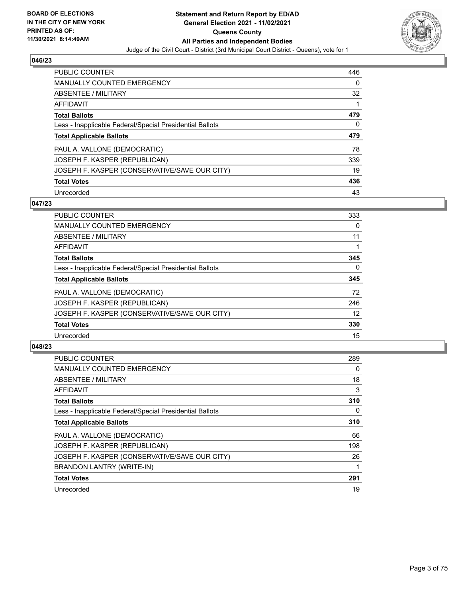

| PUBLIC COUNTER                                           | 446 |
|----------------------------------------------------------|-----|
| <b>MANUALLY COUNTED EMERGENCY</b>                        | 0   |
| ABSENTEE / MILITARY                                      | 32  |
| AFFIDAVIT                                                | 1   |
| <b>Total Ballots</b>                                     | 479 |
| Less - Inapplicable Federal/Special Presidential Ballots | 0   |
| <b>Total Applicable Ballots</b>                          | 479 |
| PAUL A. VALLONE (DEMOCRATIC)                             | 78  |
| JOSEPH F. KASPER (REPUBLICAN)                            | 339 |
|                                                          |     |
| JOSEPH F. KASPER (CONSERVATIVE/SAVE OUR CITY)            | 19  |
| <b>Total Votes</b>                                       | 436 |

#### **047/23**

| <b>PUBLIC COUNTER</b>                                    | 333      |
|----------------------------------------------------------|----------|
| <b>MANUALLY COUNTED EMERGENCY</b>                        | 0        |
| ABSENTEE / MILITARY                                      | 11       |
| <b>AFFIDAVIT</b>                                         |          |
| <b>Total Ballots</b>                                     | 345      |
| Less - Inapplicable Federal/Special Presidential Ballots | $\Omega$ |
| <b>Total Applicable Ballots</b>                          | 345      |
| PAUL A. VALLONE (DEMOCRATIC)                             | 72       |
| JOSEPH F. KASPER (REPUBLICAN)                            | 246      |
| JOSEPH F. KASPER (CONSERVATIVE/SAVE OUR CITY)            | 12       |
| <b>Total Votes</b>                                       | 330      |
| Unrecorded                                               | 15       |

| <b>PUBLIC COUNTER</b>                                    | 289 |
|----------------------------------------------------------|-----|
| <b>MANUALLY COUNTED EMERGENCY</b>                        | 0   |
| ABSENTEE / MILITARY                                      | 18  |
| AFFIDAVIT                                                | 3   |
| <b>Total Ballots</b>                                     | 310 |
| Less - Inapplicable Federal/Special Presidential Ballots | 0   |
| <b>Total Applicable Ballots</b>                          | 310 |
| PAUL A. VALLONE (DEMOCRATIC)                             | 66  |
| JOSEPH F. KASPER (REPUBLICAN)                            | 198 |
| JOSEPH F. KASPER (CONSERVATIVE/SAVE OUR CITY)            | 26  |
| BRANDON LANTRY (WRITE-IN)                                |     |
| <b>Total Votes</b>                                       | 291 |
| Unrecorded                                               | 19  |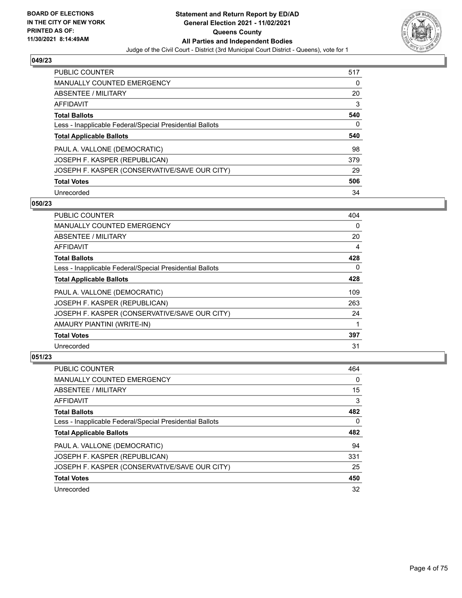

| PUBLIC COUNTER                                           | 517 |
|----------------------------------------------------------|-----|
| <b>MANUALLY COUNTED EMERGENCY</b>                        | 0   |
| ABSENTEE / MILITARY                                      | 20  |
| AFFIDAVIT                                                | 3   |
| <b>Total Ballots</b>                                     | 540 |
| Less - Inapplicable Federal/Special Presidential Ballots | 0   |
| <b>Total Applicable Ballots</b>                          | 540 |
|                                                          |     |
| PAUL A. VALLONE (DEMOCRATIC)                             | 98  |
| JOSEPH F. KASPER (REPUBLICAN)                            | 379 |
| JOSEPH F. KASPER (CONSERVATIVE/SAVE OUR CITY)            | 29  |
| <b>Total Votes</b>                                       | 506 |

#### **050/23**

| <b>PUBLIC COUNTER</b>                                    | 404      |
|----------------------------------------------------------|----------|
| MANUALLY COUNTED EMERGENCY                               | $\Omega$ |
| ABSENTEE / MILITARY                                      | 20       |
| AFFIDAVIT                                                | 4        |
| <b>Total Ballots</b>                                     | 428      |
| Less - Inapplicable Federal/Special Presidential Ballots | 0        |
| <b>Total Applicable Ballots</b>                          | 428      |
| PAUL A. VALLONE (DEMOCRATIC)                             | 109      |
| JOSEPH F. KASPER (REPUBLICAN)                            | 263      |
| JOSEPH F. KASPER (CONSERVATIVE/SAVE OUR CITY)            | 24       |
| AMAURY PIANTINI (WRITE-IN)                               | 1        |
| <b>Total Votes</b>                                       | 397      |
| Unrecorded                                               | 31       |

| <b>PUBLIC COUNTER</b>                                    | 464 |
|----------------------------------------------------------|-----|
| MANUALLY COUNTED EMERGENCY                               | 0   |
| ABSENTEE / MILITARY                                      | 15  |
| AFFIDAVIT                                                | 3   |
| <b>Total Ballots</b>                                     | 482 |
| Less - Inapplicable Federal/Special Presidential Ballots | 0   |
| <b>Total Applicable Ballots</b>                          | 482 |
|                                                          |     |
| PAUL A. VALLONE (DEMOCRATIC)                             | 94  |
| JOSEPH F. KASPER (REPUBLICAN)                            | 331 |
| JOSEPH F. KASPER (CONSERVATIVE/SAVE OUR CITY)            | 25  |
| <b>Total Votes</b>                                       | 450 |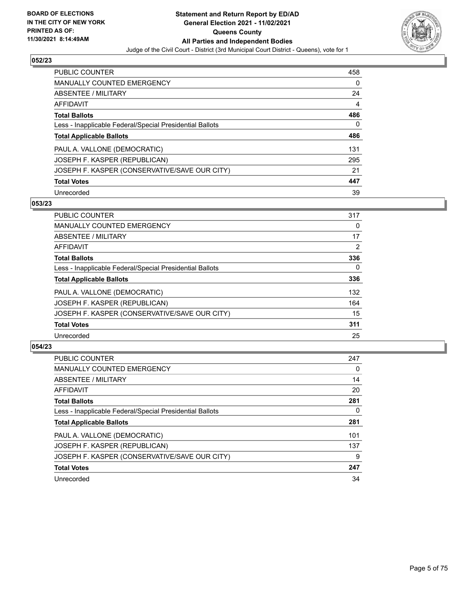

| PUBLIC COUNTER                                           | 458 |
|----------------------------------------------------------|-----|
| <b>MANUALLY COUNTED EMERGENCY</b>                        | 0   |
| ABSENTEE / MILITARY                                      | 24  |
| AFFIDAVIT                                                | 4   |
| <b>Total Ballots</b>                                     | 486 |
| Less - Inapplicable Federal/Special Presidential Ballots | 0   |
| <b>Total Applicable Ballots</b>                          | 486 |
| PAUL A. VALLONE (DEMOCRATIC)                             | 131 |
| JOSEPH F. KASPER (REPUBLICAN)                            | 295 |
| JOSEPH F. KASPER (CONSERVATIVE/SAVE OUR CITY)            | 21  |
| <b>Total Votes</b>                                       | 447 |
| Unrecorded                                               | 39  |

#### **053/23**

| <b>PUBLIC COUNTER</b>                                    | 317      |
|----------------------------------------------------------|----------|
| MANUALLY COUNTED EMERGENCY                               | 0        |
| ABSENTEE / MILITARY                                      | 17       |
| <b>AFFIDAVIT</b>                                         | 2        |
| <b>Total Ballots</b>                                     | 336      |
| Less - Inapplicable Federal/Special Presidential Ballots | $\Omega$ |
| <b>Total Applicable Ballots</b>                          | 336      |
| PAUL A. VALLONE (DEMOCRATIC)                             | 132      |
| JOSEPH F. KASPER (REPUBLICAN)                            | 164      |
| JOSEPH F. KASPER (CONSERVATIVE/SAVE OUR CITY)            | 15       |
| <b>Total Votes</b>                                       | 311      |
| Unrecorded                                               | 25       |

| <b>PUBLIC COUNTER</b>                                    | 247      |
|----------------------------------------------------------|----------|
| <b>MANUALLY COUNTED EMERGENCY</b>                        | $\Omega$ |
| ABSENTEE / MILITARY                                      | 14       |
| AFFIDAVIT                                                | 20       |
| <b>Total Ballots</b>                                     | 281      |
| Less - Inapplicable Federal/Special Presidential Ballots | 0        |
| <b>Total Applicable Ballots</b>                          | 281      |
| PAUL A. VALLONE (DEMOCRATIC)                             | 101      |
| JOSEPH F. KASPER (REPUBLICAN)                            | 137      |
| JOSEPH F. KASPER (CONSERVATIVE/SAVE OUR CITY)            | 9        |
| <b>Total Votes</b>                                       | 247      |
| Unrecorded                                               | 34       |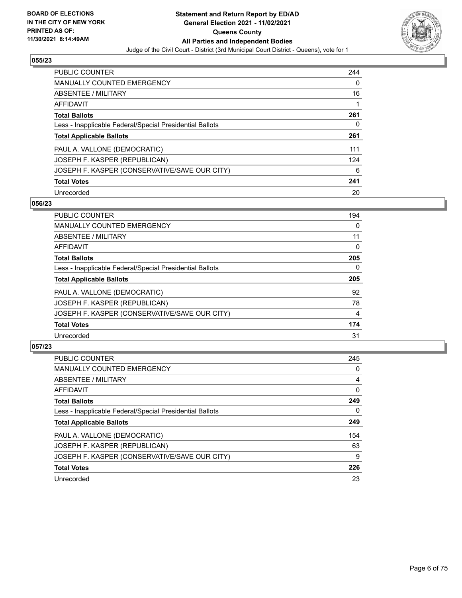

| <b>PUBLIC COUNTER</b>                                    | 244 |
|----------------------------------------------------------|-----|
| <b>MANUALLY COUNTED EMERGENCY</b>                        | 0   |
| ABSENTEE / MILITARY                                      | 16  |
| AFFIDAVIT                                                |     |
| <b>Total Ballots</b>                                     | 261 |
| Less - Inapplicable Federal/Special Presidential Ballots | 0   |
| <b>Total Applicable Ballots</b>                          | 261 |
| PAUL A. VALLONE (DEMOCRATIC)                             | 111 |
| JOSEPH F. KASPER (REPUBLICAN)                            | 124 |
| JOSEPH F. KASPER (CONSERVATIVE/SAVE OUR CITY)            | 6   |
| <b>Total Votes</b>                                       | 241 |
| Unrecorded                                               | 20  |

#### **056/23**

| <b>PUBLIC COUNTER</b>                                    | 194      |
|----------------------------------------------------------|----------|
| <b>MANUALLY COUNTED EMERGENCY</b>                        | 0        |
| ABSENTEE / MILITARY                                      | 11       |
| <b>AFFIDAVIT</b>                                         | $\Omega$ |
| <b>Total Ballots</b>                                     | 205      |
| Less - Inapplicable Federal/Special Presidential Ballots | 0        |
| <b>Total Applicable Ballots</b>                          | 205      |
| PAUL A. VALLONE (DEMOCRATIC)                             | 92       |
| JOSEPH F. KASPER (REPUBLICAN)                            | 78       |
| JOSEPH F. KASPER (CONSERVATIVE/SAVE OUR CITY)            | 4        |
| <b>Total Votes</b>                                       | 174      |
| Unrecorded                                               | 31       |

| <b>PUBLIC COUNTER</b>                                    | 245 |
|----------------------------------------------------------|-----|
| <b>MANUALLY COUNTED EMERGENCY</b>                        | 0   |
| ABSENTEE / MILITARY                                      | 4   |
| <b>AFFIDAVIT</b>                                         | 0   |
| <b>Total Ballots</b>                                     | 249 |
| Less - Inapplicable Federal/Special Presidential Ballots | 0   |
| <b>Total Applicable Ballots</b>                          | 249 |
| PAUL A. VALLONE (DEMOCRATIC)                             | 154 |
| JOSEPH F. KASPER (REPUBLICAN)                            | 63  |
| JOSEPH F. KASPER (CONSERVATIVE/SAVE OUR CITY)            | 9   |
| <b>Total Votes</b>                                       | 226 |
| Unrecorded                                               | 23  |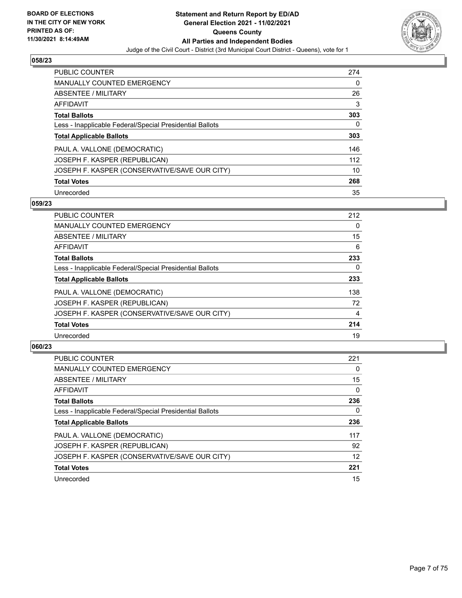

| PUBLIC COUNTER                                           | 274 |
|----------------------------------------------------------|-----|
| <b>MANUALLY COUNTED EMERGENCY</b>                        | 0   |
| ABSENTEE / MILITARY                                      | 26  |
| AFFIDAVIT                                                | 3   |
| <b>Total Ballots</b>                                     | 303 |
| Less - Inapplicable Federal/Special Presidential Ballots | 0   |
| <b>Total Applicable Ballots</b>                          | 303 |
| PAUL A. VALLONE (DEMOCRATIC)                             | 146 |
| JOSEPH F. KASPER (REPUBLICAN)                            | 112 |
| JOSEPH F. KASPER (CONSERVATIVE/SAVE OUR CITY)            | 10  |
| <b>Total Votes</b>                                       | 268 |
| Unrecorded                                               | 35  |

#### **059/23**

| <b>PUBLIC COUNTER</b>                                    | 212      |
|----------------------------------------------------------|----------|
| <b>MANUALLY COUNTED EMERGENCY</b>                        | $\Omega$ |
| ABSENTEE / MILITARY                                      | 15       |
| <b>AFFIDAVIT</b>                                         | 6        |
| <b>Total Ballots</b>                                     | 233      |
| Less - Inapplicable Federal/Special Presidential Ballots | $\Omega$ |
| <b>Total Applicable Ballots</b>                          | 233      |
| PAUL A. VALLONE (DEMOCRATIC)                             | 138      |
| JOSEPH F. KASPER (REPUBLICAN)                            | 72       |
| JOSEPH F. KASPER (CONSERVATIVE/SAVE OUR CITY)            | 4        |
| <b>Total Votes</b>                                       | 214      |
| Unrecorded                                               | 19       |

| <b>PUBLIC COUNTER</b>                                    | 221      |
|----------------------------------------------------------|----------|
| <b>MANUALLY COUNTED EMERGENCY</b>                        | $\Omega$ |
| ABSENTEE / MILITARY                                      | 15       |
| <b>AFFIDAVIT</b>                                         | $\Omega$ |
| <b>Total Ballots</b>                                     | 236      |
| Less - Inapplicable Federal/Special Presidential Ballots | 0        |
| <b>Total Applicable Ballots</b>                          | 236      |
| PAUL A. VALLONE (DEMOCRATIC)                             | 117      |
| JOSEPH F. KASPER (REPUBLICAN)                            | 92       |
| JOSEPH F. KASPER (CONSERVATIVE/SAVE OUR CITY)            | 12       |
| <b>Total Votes</b>                                       | 221      |
| Unrecorded                                               | 15       |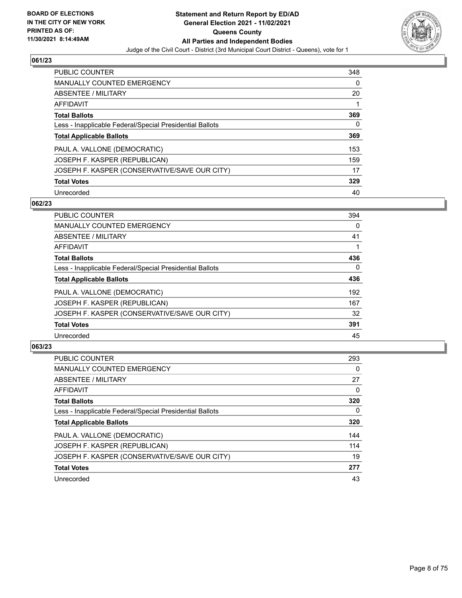

| PUBLIC COUNTER                                           | 348 |
|----------------------------------------------------------|-----|
| <b>MANUALLY COUNTED EMERGENCY</b>                        | 0   |
| ABSENTEE / MILITARY                                      | 20  |
| AFFIDAVIT                                                |     |
| <b>Total Ballots</b>                                     | 369 |
| Less - Inapplicable Federal/Special Presidential Ballots | 0   |
| <b>Total Applicable Ballots</b>                          | 369 |
| PAUL A. VALLONE (DEMOCRATIC)                             | 153 |
| JOSEPH F. KASPER (REPUBLICAN)                            | 159 |
| JOSEPH F. KASPER (CONSERVATIVE/SAVE OUR CITY)            | 17  |
| <b>Total Votes</b>                                       | 329 |
| Unrecorded                                               | 40  |

#### **062/23**

| <b>PUBLIC COUNTER</b>                                    | 394      |
|----------------------------------------------------------|----------|
| <b>MANUALLY COUNTED EMERGENCY</b>                        | 0        |
| ABSENTEE / MILITARY                                      | 41       |
| <b>AFFIDAVIT</b>                                         |          |
| <b>Total Ballots</b>                                     | 436      |
| Less - Inapplicable Federal/Special Presidential Ballots | $\Omega$ |
| <b>Total Applicable Ballots</b>                          | 436      |
| PAUL A. VALLONE (DEMOCRATIC)                             | 192      |
| JOSEPH F. KASPER (REPUBLICAN)                            | 167      |
| JOSEPH F. KASPER (CONSERVATIVE/SAVE OUR CITY)            | 32       |
| <b>Total Votes</b>                                       | 391      |
| Unrecorded                                               | 45       |

| <b>PUBLIC COUNTER</b>                                    | 293      |
|----------------------------------------------------------|----------|
| <b>MANUALLY COUNTED EMERGENCY</b>                        | $\Omega$ |
| ABSENTEE / MILITARY                                      | 27       |
| <b>AFFIDAVIT</b>                                         | 0        |
| <b>Total Ballots</b>                                     | 320      |
| Less - Inapplicable Federal/Special Presidential Ballots | 0        |
| <b>Total Applicable Ballots</b>                          | 320      |
| PAUL A. VALLONE (DEMOCRATIC)                             | 144      |
| JOSEPH F. KASPER (REPUBLICAN)                            | 114      |
| JOSEPH F. KASPER (CONSERVATIVE/SAVE OUR CITY)            | 19       |
| <b>Total Votes</b>                                       | 277      |
| Unrecorded                                               | 43       |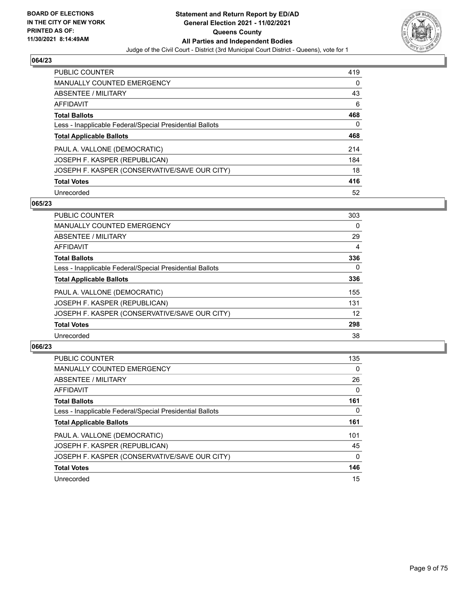

| <b>PUBLIC COUNTER</b>                                    | 419 |
|----------------------------------------------------------|-----|
| <b>MANUALLY COUNTED EMERGENCY</b>                        | 0   |
| ABSENTEE / MILITARY                                      | 43  |
| AFFIDAVIT                                                | 6   |
| <b>Total Ballots</b>                                     | 468 |
| Less - Inapplicable Federal/Special Presidential Ballots | 0   |
| <b>Total Applicable Ballots</b>                          | 468 |
| PAUL A. VALLONE (DEMOCRATIC)                             | 214 |
| JOSEPH F. KASPER (REPUBLICAN)                            | 184 |
| JOSEPH F. KASPER (CONSERVATIVE/SAVE OUR CITY)            | 18  |
| <b>Total Votes</b>                                       | 416 |
| Unrecorded                                               | 52  |

#### **065/23**

| <b>PUBLIC COUNTER</b>                                    | 303      |
|----------------------------------------------------------|----------|
| <b>MANUALLY COUNTED EMERGENCY</b>                        | $\Omega$ |
| ABSENTEE / MILITARY                                      | 29       |
| <b>AFFIDAVIT</b>                                         | 4        |
| <b>Total Ballots</b>                                     | 336      |
| Less - Inapplicable Federal/Special Presidential Ballots | $\Omega$ |
| <b>Total Applicable Ballots</b>                          | 336      |
| PAUL A. VALLONE (DEMOCRATIC)                             | 155      |
| JOSEPH F. KASPER (REPUBLICAN)                            | 131      |
| JOSEPH F. KASPER (CONSERVATIVE/SAVE OUR CITY)            | 12       |
| <b>Total Votes</b>                                       | 298      |
| Unrecorded                                               | 38       |

| <b>PUBLIC COUNTER</b>                                    | 135          |
|----------------------------------------------------------|--------------|
| <b>MANUALLY COUNTED EMERGENCY</b>                        | $\Omega$     |
| ABSENTEE / MILITARY                                      | 26           |
| <b>AFFIDAVIT</b>                                         | $\Omega$     |
| <b>Total Ballots</b>                                     | 161          |
| Less - Inapplicable Federal/Special Presidential Ballots | 0            |
| <b>Total Applicable Ballots</b>                          | 161          |
| PAUL A. VALLONE (DEMOCRATIC)                             | 101          |
| JOSEPH F. KASPER (REPUBLICAN)                            | 45           |
| JOSEPH F. KASPER (CONSERVATIVE/SAVE OUR CITY)            | $\mathbf{0}$ |
| <b>Total Votes</b>                                       | 146          |
| Unrecorded                                               | 15           |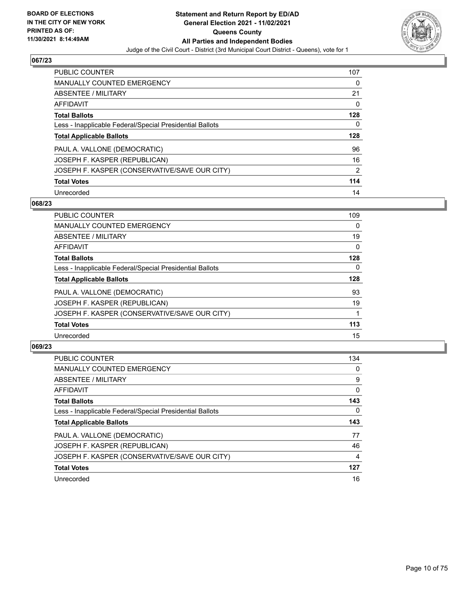

| <b>PUBLIC COUNTER</b>                                    | 107            |
|----------------------------------------------------------|----------------|
| <b>MANUALLY COUNTED EMERGENCY</b>                        | 0              |
| ABSENTEE / MILITARY                                      | 21             |
| AFFIDAVIT                                                | $\Omega$       |
| <b>Total Ballots</b>                                     | 128            |
| Less - Inapplicable Federal/Special Presidential Ballots | 0              |
| <b>Total Applicable Ballots</b>                          | 128            |
| PAUL A. VALLONE (DEMOCRATIC)                             | 96             |
| JOSEPH F. KASPER (REPUBLICAN)                            | 16             |
| JOSEPH F. KASPER (CONSERVATIVE/SAVE OUR CITY)            | $\overline{2}$ |
| <b>Total Votes</b>                                       | 114            |
|                                                          |                |

#### **068/23**

| <b>PUBLIC COUNTER</b>                                    | 109      |
|----------------------------------------------------------|----------|
| <b>MANUALLY COUNTED EMERGENCY</b>                        | $\Omega$ |
| ABSENTEE / MILITARY                                      | 19       |
| <b>AFFIDAVIT</b>                                         | $\Omega$ |
| <b>Total Ballots</b>                                     | 128      |
| Less - Inapplicable Federal/Special Presidential Ballots | $\Omega$ |
| <b>Total Applicable Ballots</b>                          | 128      |
| PAUL A. VALLONE (DEMOCRATIC)                             | 93       |
| JOSEPH F. KASPER (REPUBLICAN)                            | 19       |
| JOSEPH F. KASPER (CONSERVATIVE/SAVE OUR CITY)            |          |
| <b>Total Votes</b>                                       | 113      |
| Unrecorded                                               | 15       |

| PUBLIC COUNTER                                           | 134      |
|----------------------------------------------------------|----------|
| <b>MANUALLY COUNTED EMERGENCY</b>                        | 0        |
| ABSENTEE / MILITARY                                      | 9        |
| <b>AFFIDAVIT</b>                                         | 0        |
| <b>Total Ballots</b>                                     | 143      |
| Less - Inapplicable Federal/Special Presidential Ballots | $\Omega$ |
| <b>Total Applicable Ballots</b>                          | 143      |
| PAUL A. VALLONE (DEMOCRATIC)                             | 77       |
| JOSEPH F. KASPER (REPUBLICAN)                            | 46       |
| JOSEPH F. KASPER (CONSERVATIVE/SAVE OUR CITY)            | 4        |
| <b>Total Votes</b>                                       | 127      |
| Unrecorded                                               | 16       |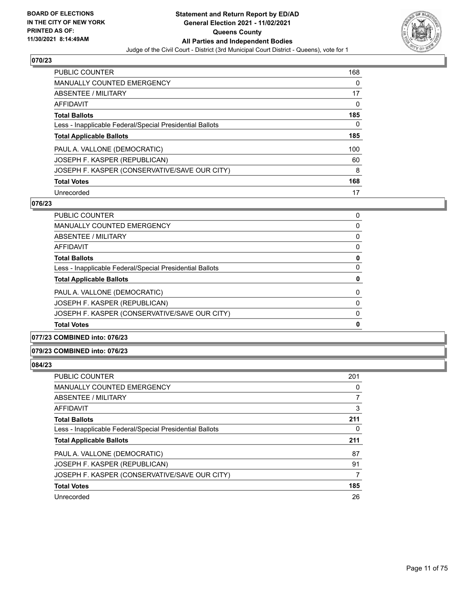

| PUBLIC COUNTER                                           | 168 |
|----------------------------------------------------------|-----|
| <b>MANUALLY COUNTED EMERGENCY</b>                        | 0   |
| ABSENTEE / MILITARY                                      | 17  |
| AFFIDAVIT                                                | 0   |
| <b>Total Ballots</b>                                     | 185 |
| Less - Inapplicable Federal/Special Presidential Ballots | 0   |
| <b>Total Applicable Ballots</b>                          | 185 |
| PAUL A. VALLONE (DEMOCRATIC)                             | 100 |
| JOSEPH F. KASPER (REPUBLICAN)                            | 60  |
| JOSEPH F. KASPER (CONSERVATIVE/SAVE OUR CITY)            | 8   |
| <b>Total Votes</b>                                       | 168 |
| Unrecorded                                               | 17  |

#### **076/23**

| PUBLIC COUNTER                                           | 0        |
|----------------------------------------------------------|----------|
| <b>MANUALLY COUNTED EMERGENCY</b>                        | 0        |
| ABSENTEE / MILITARY                                      | $\Omega$ |
| AFFIDAVIT                                                | 0        |
| <b>Total Ballots</b>                                     | 0        |
| Less - Inapplicable Federal/Special Presidential Ballots | 0        |
| <b>Total Applicable Ballots</b>                          | 0        |
| PAUL A. VALLONE (DEMOCRATIC)                             | 0        |
| JOSEPH F. KASPER (REPUBLICAN)                            | $\Omega$ |
| JOSEPH F. KASPER (CONSERVATIVE/SAVE OUR CITY)            | $\Omega$ |
| <b>Total Votes</b>                                       | 0        |

## **077/23 COMBINED into: 076/23**

#### **079/23 COMBINED into: 076/23**

| PUBLIC COUNTER                                           | 201 |
|----------------------------------------------------------|-----|
| MANUALLY COUNTED EMERGENCY                               | 0   |
| ABSENTEE / MILITARY                                      |     |
| AFFIDAVIT                                                | 3   |
| <b>Total Ballots</b>                                     | 211 |
| Less - Inapplicable Federal/Special Presidential Ballots | 0   |
| <b>Total Applicable Ballots</b>                          | 211 |
| PAUL A. VALLONE (DEMOCRATIC)                             | 87  |
| JOSEPH F. KASPER (REPUBLICAN)                            | 91  |
| JOSEPH F. KASPER (CONSERVATIVE/SAVE OUR CITY)            | 7   |
| <b>Total Votes</b>                                       | 185 |
| Unrecorded                                               | 26  |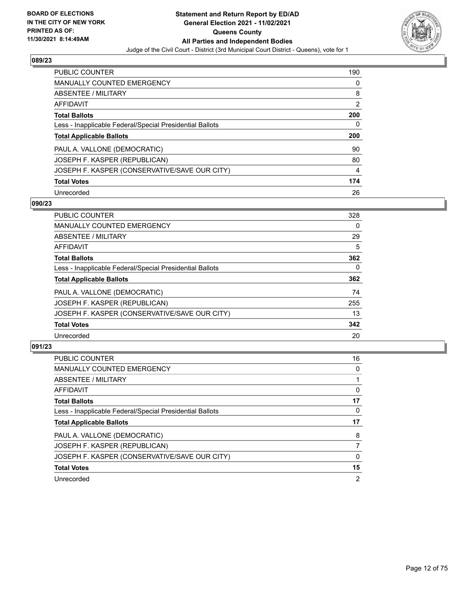

| <b>PUBLIC COUNTER</b>                                    | 190 |
|----------------------------------------------------------|-----|
| <b>MANUALLY COUNTED EMERGENCY</b>                        | 0   |
| ABSENTEE / MILITARY                                      | 8   |
| AFFIDAVIT                                                | 2   |
| <b>Total Ballots</b>                                     | 200 |
| Less - Inapplicable Federal/Special Presidential Ballots | 0   |
|                                                          |     |
| <b>Total Applicable Ballots</b>                          | 200 |
| PAUL A. VALLONE (DEMOCRATIC)                             | 90  |
| JOSEPH F. KASPER (REPUBLICAN)                            | 80  |
| JOSEPH F. KASPER (CONSERVATIVE/SAVE OUR CITY)            | 4   |
| <b>Total Votes</b>                                       | 174 |

#### **090/23**

| <b>PUBLIC COUNTER</b>                                    | 328      |
|----------------------------------------------------------|----------|
| <b>MANUALLY COUNTED EMERGENCY</b>                        | $\Omega$ |
| ABSENTEE / MILITARY                                      | 29       |
| <b>AFFIDAVIT</b>                                         | 5        |
| <b>Total Ballots</b>                                     | 362      |
| Less - Inapplicable Federal/Special Presidential Ballots | $\Omega$ |
| <b>Total Applicable Ballots</b>                          | 362      |
| PAUL A. VALLONE (DEMOCRATIC)                             | 74       |
| JOSEPH F. KASPER (REPUBLICAN)                            | 255      |
| JOSEPH F. KASPER (CONSERVATIVE/SAVE OUR CITY)            | 13       |
| <b>Total Votes</b>                                       | 342      |
| Unrecorded                                               | 20       |

| <b>PUBLIC COUNTER</b>                                    | 16             |
|----------------------------------------------------------|----------------|
| <b>MANUALLY COUNTED EMERGENCY</b>                        | 0              |
| ABSENTEE / MILITARY                                      |                |
| AFFIDAVIT                                                | 0              |
| <b>Total Ballots</b>                                     | 17             |
| Less - Inapplicable Federal/Special Presidential Ballots | 0              |
| <b>Total Applicable Ballots</b>                          | 17             |
| PAUL A. VALLONE (DEMOCRATIC)                             | 8              |
| JOSEPH F. KASPER (REPUBLICAN)                            |                |
| JOSEPH F. KASPER (CONSERVATIVE/SAVE OUR CITY)            | $\Omega$       |
| <b>Total Votes</b>                                       | 15             |
| Unrecorded                                               | $\overline{2}$ |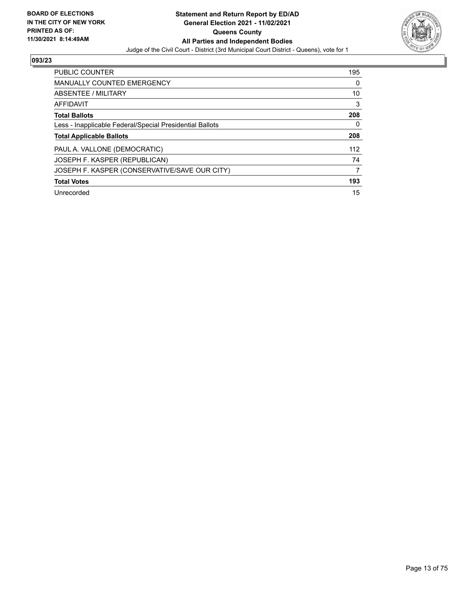

| <b>PUBLIC COUNTER</b>                                    | 195 |
|----------------------------------------------------------|-----|
| <b>MANUALLY COUNTED EMERGENCY</b>                        | 0   |
| ABSENTEE / MILITARY                                      | 10  |
| <b>AFFIDAVIT</b>                                         | 3   |
| <b>Total Ballots</b>                                     | 208 |
| Less - Inapplicable Federal/Special Presidential Ballots | 0   |
| <b>Total Applicable Ballots</b>                          | 208 |
|                                                          |     |
| PAUL A. VALLONE (DEMOCRATIC)                             | 112 |
| JOSEPH F. KASPER (REPUBLICAN)                            | 74  |
| JOSEPH F. KASPER (CONSERVATIVE/SAVE OUR CITY)            | 7   |
| <b>Total Votes</b>                                       | 193 |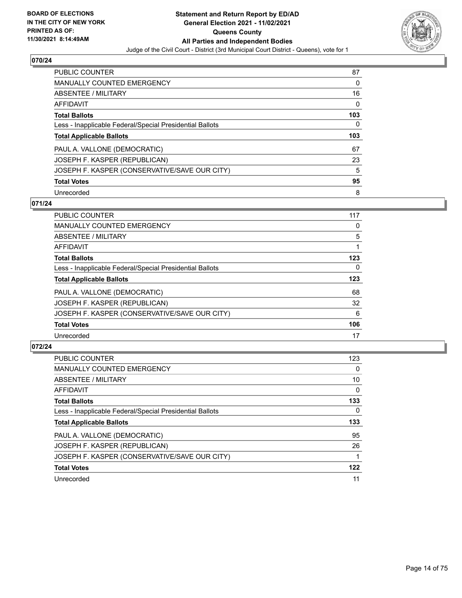

| PUBLIC COUNTER                                           | 87  |
|----------------------------------------------------------|-----|
| <b>MANUALLY COUNTED EMERGENCY</b>                        | 0   |
| ABSENTEE / MILITARY                                      | 16  |
| AFFIDAVIT                                                | 0   |
| <b>Total Ballots</b>                                     | 103 |
| Less - Inapplicable Federal/Special Presidential Ballots | 0   |
| <b>Total Applicable Ballots</b>                          | 103 |
| PAUL A. VALLONE (DEMOCRATIC)                             | 67  |
|                                                          |     |
| JOSEPH F. KASPER (REPUBLICAN)                            | 23  |
| JOSEPH F. KASPER (CONSERVATIVE/SAVE OUR CITY)            | 5   |
| <b>Total Votes</b>                                       | 95  |

#### **071/24**

| 117 |
|-----|
| 0   |
| 5   |
|     |
| 123 |
| 0   |
| 123 |
| 68  |
| 32  |
| 6   |
| 106 |
| 17  |
|     |

| PUBLIC COUNTER                                           | 123      |
|----------------------------------------------------------|----------|
| <b>MANUALLY COUNTED EMERGENCY</b>                        | $\Omega$ |
| ABSENTEE / MILITARY                                      | 10       |
| AFFIDAVIT                                                | $\Omega$ |
| <b>Total Ballots</b>                                     | 133      |
| Less - Inapplicable Federal/Special Presidential Ballots | 0        |
| <b>Total Applicable Ballots</b>                          | 133      |
| PAUL A. VALLONE (DEMOCRATIC)                             | 95       |
| JOSEPH F. KASPER (REPUBLICAN)                            | 26       |
| JOSEPH F. KASPER (CONSERVATIVE/SAVE OUR CITY)            |          |
| <b>Total Votes</b>                                       | 122      |
| Unrecorded                                               | 11       |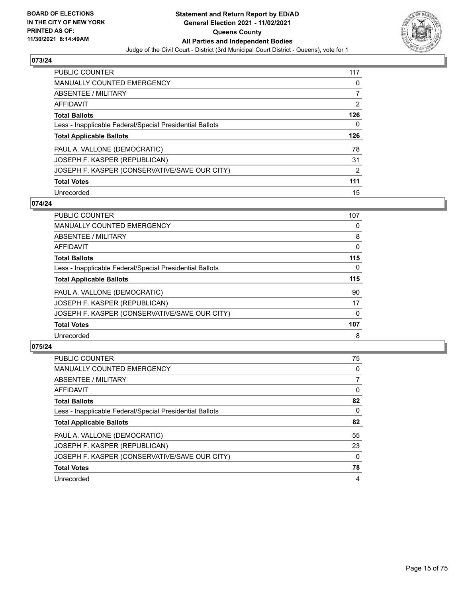

| PUBLIC COUNTER                                           | 117            |
|----------------------------------------------------------|----------------|
| <b>MANUALLY COUNTED EMERGENCY</b>                        | 0              |
| ABSENTEE / MILITARY                                      |                |
| AFFIDAVIT                                                | $\overline{2}$ |
| <b>Total Ballots</b>                                     | 126            |
| Less - Inapplicable Federal/Special Presidential Ballots | 0              |
| <b>Total Applicable Ballots</b>                          | 126            |
|                                                          |                |
| PAUL A. VALLONE (DEMOCRATIC)                             | 78             |
| JOSEPH F. KASPER (REPUBLICAN)                            | 31             |
| JOSEPH F. KASPER (CONSERVATIVE/SAVE OUR CITY)            | $\overline{2}$ |
| <b>Total Votes</b>                                       | 111            |

#### **074/24**

| <b>PUBLIC COUNTER</b>                                    | 107      |
|----------------------------------------------------------|----------|
| <b>MANUALLY COUNTED EMERGENCY</b>                        | 0        |
| ABSENTEE / MILITARY                                      | 8        |
| <b>AFFIDAVIT</b>                                         | $\Omega$ |
| <b>Total Ballots</b>                                     | 115      |
| Less - Inapplicable Federal/Special Presidential Ballots | $\Omega$ |
| <b>Total Applicable Ballots</b>                          | 115      |
| PAUL A. VALLONE (DEMOCRATIC)                             | 90       |
| JOSEPH F. KASPER (REPUBLICAN)                            | 17       |
| JOSEPH F. KASPER (CONSERVATIVE/SAVE OUR CITY)            | $\Omega$ |
| <b>Total Votes</b>                                       | 107      |
| Unrecorded                                               | 8        |

| <b>PUBLIC COUNTER</b>                                    | 75             |
|----------------------------------------------------------|----------------|
| <b>MANUALLY COUNTED EMERGENCY</b>                        | 0              |
| ABSENTEE / MILITARY                                      | $\overline{7}$ |
| AFFIDAVIT                                                | $\Omega$       |
| <b>Total Ballots</b>                                     | 82             |
| Less - Inapplicable Federal/Special Presidential Ballots | $\Omega$       |
| <b>Total Applicable Ballots</b>                          | 82             |
| PAUL A. VALLONE (DEMOCRATIC)                             | 55             |
| JOSEPH F. KASPER (REPUBLICAN)                            | 23             |
| JOSEPH F. KASPER (CONSERVATIVE/SAVE OUR CITY)            | $\Omega$       |
| <b>Total Votes</b>                                       | 78             |
| Unrecorded                                               | 4              |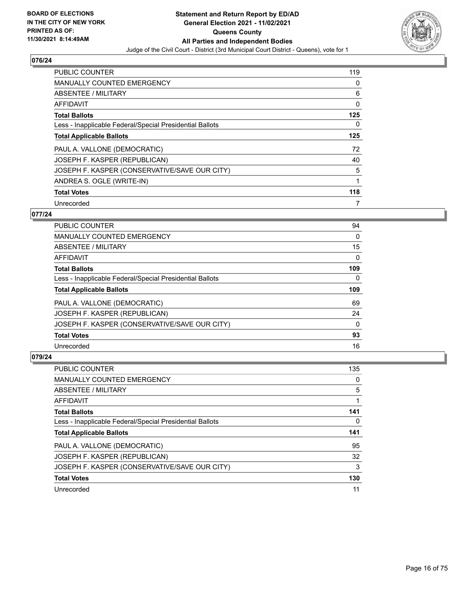

| <b>PUBLIC COUNTER</b>                                    | 119 |
|----------------------------------------------------------|-----|
| <b>MANUALLY COUNTED EMERGENCY</b>                        | 0   |
| ABSENTEE / MILITARY                                      | 6   |
| AFFIDAVIT                                                | 0   |
| <b>Total Ballots</b>                                     | 125 |
| Less - Inapplicable Federal/Special Presidential Ballots | 0   |
| <b>Total Applicable Ballots</b>                          | 125 |
| PAUL A. VALLONE (DEMOCRATIC)                             | 72  |
| JOSEPH F. KASPER (REPUBLICAN)                            | 40  |
| JOSEPH F. KASPER (CONSERVATIVE/SAVE OUR CITY)            | 5   |
| ANDREA S. OGLE (WRITE-IN)                                | 1   |
| <b>Total Votes</b>                                       | 118 |
| Unrecorded                                               |     |

#### **077/24**

| <b>PUBLIC COUNTER</b>                                    | 94       |
|----------------------------------------------------------|----------|
| <b>MANUALLY COUNTED EMERGENCY</b>                        | 0        |
| ABSENTEE / MILITARY                                      | 15       |
| AFFIDAVIT                                                | $\Omega$ |
| <b>Total Ballots</b>                                     | 109      |
| Less - Inapplicable Federal/Special Presidential Ballots | $\Omega$ |
| <b>Total Applicable Ballots</b>                          | 109      |
| PAUL A. VALLONE (DEMOCRATIC)                             | 69       |
| JOSEPH F. KASPER (REPUBLICAN)                            | 24       |
| JOSEPH F. KASPER (CONSERVATIVE/SAVE OUR CITY)            | $\Omega$ |
| <b>Total Votes</b>                                       | 93       |
| Unrecorded                                               | 16       |

| <b>PUBLIC COUNTER</b>                                    | 135 |
|----------------------------------------------------------|-----|
| <b>MANUALLY COUNTED EMERGENCY</b>                        | 0   |
| ABSENTEE / MILITARY                                      | 5   |
| <b>AFFIDAVIT</b>                                         |     |
| <b>Total Ballots</b>                                     | 141 |
| Less - Inapplicable Federal/Special Presidential Ballots | 0   |
|                                                          |     |
| <b>Total Applicable Ballots</b>                          | 141 |
| PAUL A. VALLONE (DEMOCRATIC)                             | 95  |
| JOSEPH F. KASPER (REPUBLICAN)                            | 32  |
| JOSEPH F. KASPER (CONSERVATIVE/SAVE OUR CITY)            | 3   |
| <b>Total Votes</b>                                       | 130 |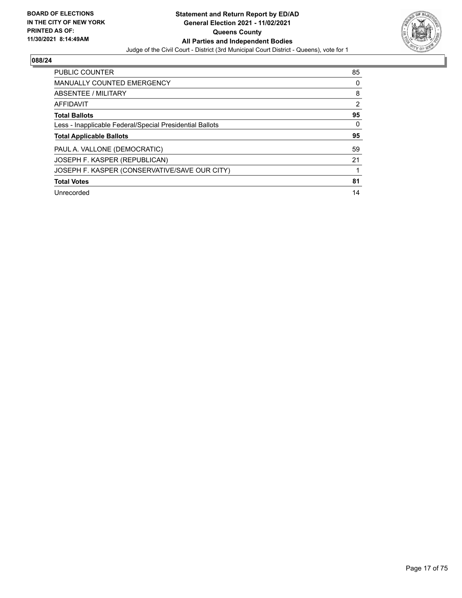

| PUBLIC COUNTER                                           | 85             |
|----------------------------------------------------------|----------------|
| <b>MANUALLY COUNTED EMERGENCY</b>                        | 0              |
| ABSENTEE / MILITARY                                      | 8              |
| <b>AFFIDAVIT</b>                                         | $\overline{2}$ |
| <b>Total Ballots</b>                                     | 95             |
| Less - Inapplicable Federal/Special Presidential Ballots | 0              |
| <b>Total Applicable Ballots</b>                          | 95             |
| PAUL A. VALLONE (DEMOCRATIC)                             | 59             |
| JOSEPH F. KASPER (REPUBLICAN)                            | 21             |
| JOSEPH F. KASPER (CONSERVATIVE/SAVE OUR CITY)            |                |
| <b>Total Votes</b>                                       | 81             |
| Unrecorded                                               | 14             |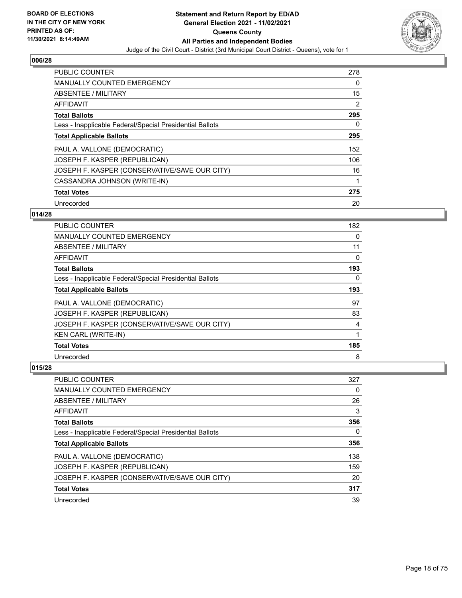

| <b>PUBLIC COUNTER</b>                                    | 278 |
|----------------------------------------------------------|-----|
| <b>MANUALLY COUNTED EMERGENCY</b>                        | 0   |
| ABSENTEE / MILITARY                                      | 15  |
| <b>AFFIDAVIT</b>                                         | 2   |
| <b>Total Ballots</b>                                     | 295 |
| Less - Inapplicable Federal/Special Presidential Ballots | 0   |
| <b>Total Applicable Ballots</b>                          | 295 |
| PAUL A. VALLONE (DEMOCRATIC)                             | 152 |
| JOSEPH F. KASPER (REPUBLICAN)                            | 106 |
| JOSEPH F. KASPER (CONSERVATIVE/SAVE OUR CITY)            | 16  |
| CASSANDRA JOHNSON (WRITE-IN)                             | 1   |
| <b>Total Votes</b>                                       | 275 |
| Unrecorded                                               | 20  |

## **014/28**

| PUBLIC COUNTER                                           | 182      |
|----------------------------------------------------------|----------|
| <b>MANUALLY COUNTED EMERGENCY</b>                        | $\Omega$ |
| ABSENTEE / MILITARY                                      | 11       |
| AFFIDAVIT                                                | 0        |
| <b>Total Ballots</b>                                     | 193      |
| Less - Inapplicable Federal/Special Presidential Ballots | 0        |
| <b>Total Applicable Ballots</b>                          | 193      |
| PAUL A. VALLONE (DEMOCRATIC)                             | 97       |
| JOSEPH F. KASPER (REPUBLICAN)                            | 83       |
| JOSEPH F. KASPER (CONSERVATIVE/SAVE OUR CITY)            | 4        |
| <b>KEN CARL (WRITE-IN)</b>                               | 1        |
| <b>Total Votes</b>                                       | 185      |
| Unrecorded                                               | 8        |

| PUBLIC COUNTER                                           | 327 |
|----------------------------------------------------------|-----|
| <b>MANUALLY COUNTED EMERGENCY</b>                        | 0   |
| ABSENTEE / MILITARY                                      | 26  |
| AFFIDAVIT                                                | 3   |
| <b>Total Ballots</b>                                     | 356 |
| Less - Inapplicable Federal/Special Presidential Ballots | 0   |
| <b>Total Applicable Ballots</b>                          | 356 |
| PAUL A. VALLONE (DEMOCRATIC)                             | 138 |
| JOSEPH F. KASPER (REPUBLICAN)                            | 159 |
| JOSEPH F. KASPER (CONSERVATIVE/SAVE OUR CITY)            | 20  |
| <b>Total Votes</b>                                       | 317 |
| Unrecorded                                               | 39  |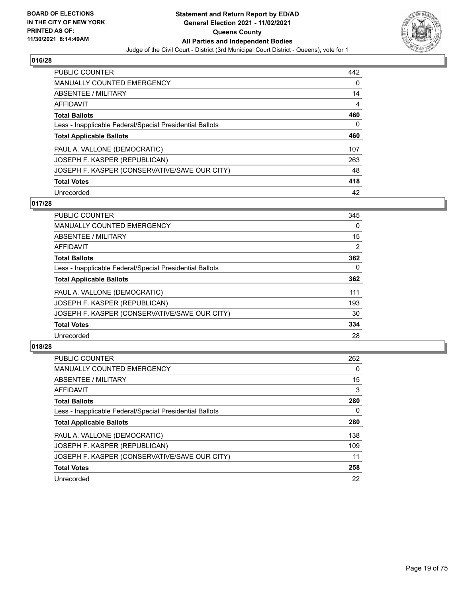

| <b>PUBLIC COUNTER</b>                                    | 442 |
|----------------------------------------------------------|-----|
| <b>MANUALLY COUNTED EMERGENCY</b>                        | 0   |
| ABSENTEE / MILITARY                                      | 14  |
| AFFIDAVIT                                                | 4   |
| <b>Total Ballots</b>                                     | 460 |
| Less - Inapplicable Federal/Special Presidential Ballots | 0   |
| <b>Total Applicable Ballots</b>                          | 460 |
| PAUL A. VALLONE (DEMOCRATIC)                             | 107 |
| JOSEPH F. KASPER (REPUBLICAN)                            | 263 |
| JOSEPH F. KASPER (CONSERVATIVE/SAVE OUR CITY)            | 48  |
| <b>Total Votes</b>                                       | 418 |
| Unrecorded                                               | 42  |

#### **017/28**

| <b>PUBLIC COUNTER</b>                                    | 345      |
|----------------------------------------------------------|----------|
| <b>MANUALLY COUNTED EMERGENCY</b>                        | $\Omega$ |
| ABSENTEE / MILITARY                                      | 15       |
| <b>AFFIDAVIT</b>                                         | 2        |
| <b>Total Ballots</b>                                     | 362      |
| Less - Inapplicable Federal/Special Presidential Ballots | $\Omega$ |
| <b>Total Applicable Ballots</b>                          | 362      |
| PAUL A. VALLONE (DEMOCRATIC)                             | 111      |
| JOSEPH F. KASPER (REPUBLICAN)                            | 193      |
| JOSEPH F. KASPER (CONSERVATIVE/SAVE OUR CITY)            | 30       |
| <b>Total Votes</b>                                       | 334      |
| Unrecorded                                               | 28       |

| <b>PUBLIC COUNTER</b>                                    | 262      |
|----------------------------------------------------------|----------|
| <b>MANUALLY COUNTED EMERGENCY</b>                        | $\Omega$ |
| ABSENTEE / MILITARY                                      | 15       |
| <b>AFFIDAVIT</b>                                         | 3        |
| <b>Total Ballots</b>                                     | 280      |
| Less - Inapplicable Federal/Special Presidential Ballots | 0        |
| <b>Total Applicable Ballots</b>                          | 280      |
| PAUL A. VALLONE (DEMOCRATIC)                             | 138      |
| JOSEPH F. KASPER (REPUBLICAN)                            | 109      |
| JOSEPH F. KASPER (CONSERVATIVE/SAVE OUR CITY)            | 11       |
| <b>Total Votes</b>                                       | 258      |
| Unrecorded                                               | 22       |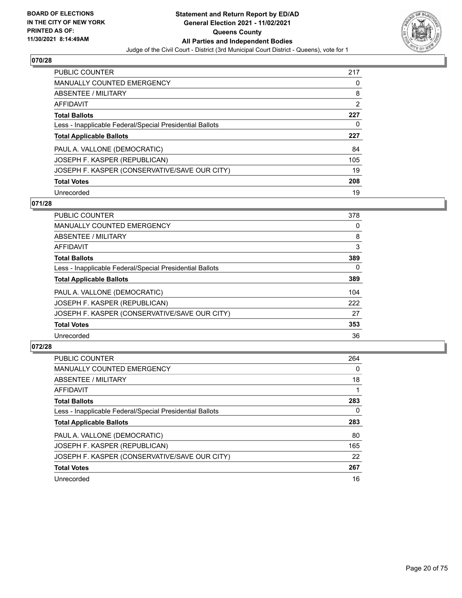

| <b>PUBLIC COUNTER</b>                                    | 217            |
|----------------------------------------------------------|----------------|
| <b>MANUALLY COUNTED EMERGENCY</b>                        | 0              |
| ABSENTEE / MILITARY                                      | 8              |
| AFFIDAVIT                                                | $\overline{2}$ |
| <b>Total Ballots</b>                                     | 227            |
| Less - Inapplicable Federal/Special Presidential Ballots | 0              |
| <b>Total Applicable Ballots</b>                          | 227            |
|                                                          |                |
| PAUL A. VALLONE (DEMOCRATIC)                             | 84             |
| JOSEPH F. KASPER (REPUBLICAN)                            | 105            |
| JOSEPH F. KASPER (CONSERVATIVE/SAVE OUR CITY)            | 19             |
| <b>Total Votes</b>                                       | 208            |

#### **071/28**

| <b>PUBLIC COUNTER</b>                                    | 378      |
|----------------------------------------------------------|----------|
| <b>MANUALLY COUNTED EMERGENCY</b>                        | 0        |
| ABSENTEE / MILITARY                                      | 8        |
| <b>AFFIDAVIT</b>                                         | 3        |
| <b>Total Ballots</b>                                     | 389      |
| Less - Inapplicable Federal/Special Presidential Ballots | $\Omega$ |
| <b>Total Applicable Ballots</b>                          | 389      |
| PAUL A. VALLONE (DEMOCRATIC)                             | 104      |
| JOSEPH F. KASPER (REPUBLICAN)                            | 222      |
| JOSEPH F. KASPER (CONSERVATIVE/SAVE OUR CITY)            | 27       |
| <b>Total Votes</b>                                       | 353      |
| Unrecorded                                               | 36       |

| <b>PUBLIC COUNTER</b>                                    | 264      |
|----------------------------------------------------------|----------|
| <b>MANUALLY COUNTED EMERGENCY</b>                        | $\Omega$ |
| ABSENTEE / MILITARY                                      | 18       |
| <b>AFFIDAVIT</b>                                         |          |
| <b>Total Ballots</b>                                     | 283      |
| Less - Inapplicable Federal/Special Presidential Ballots | 0        |
| <b>Total Applicable Ballots</b>                          | 283      |
| PAUL A. VALLONE (DEMOCRATIC)                             | 80       |
| JOSEPH F. KASPER (REPUBLICAN)                            | 165      |
| JOSEPH F. KASPER (CONSERVATIVE/SAVE OUR CITY)            | 22       |
| <b>Total Votes</b>                                       | 267      |
| Unrecorded                                               | 16       |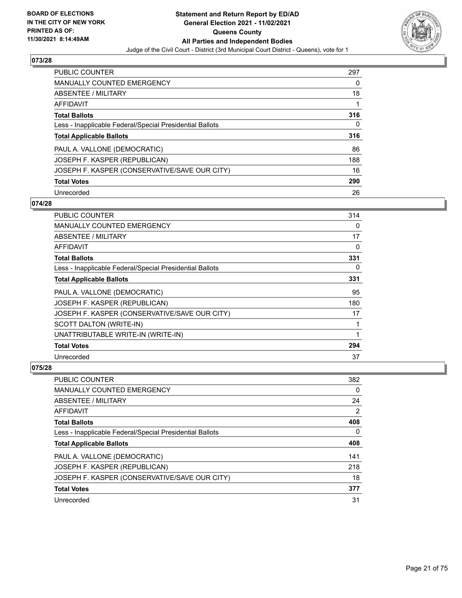

| PUBLIC COUNTER                                           | 297 |
|----------------------------------------------------------|-----|
| <b>MANUALLY COUNTED EMERGENCY</b>                        | 0   |
| ABSENTEE / MILITARY                                      | 18  |
| AFFIDAVIT                                                | 1   |
| <b>Total Ballots</b>                                     | 316 |
| Less - Inapplicable Federal/Special Presidential Ballots | 0   |
| <b>Total Applicable Ballots</b>                          | 316 |
| PAUL A. VALLONE (DEMOCRATIC)                             | 86  |
| JOSEPH F. KASPER (REPUBLICAN)                            | 188 |
| JOSEPH F. KASPER (CONSERVATIVE/SAVE OUR CITY)            | 16  |
| <b>Total Votes</b>                                       | 290 |
|                                                          |     |

#### **074/28**

| <b>PUBLIC COUNTER</b>                                    | 314 |
|----------------------------------------------------------|-----|
| <b>MANUALLY COUNTED EMERGENCY</b>                        | 0   |
| ABSENTEE / MILITARY                                      | 17  |
| AFFIDAVIT                                                | 0   |
| <b>Total Ballots</b>                                     | 331 |
| Less - Inapplicable Federal/Special Presidential Ballots | 0   |
| <b>Total Applicable Ballots</b>                          | 331 |
| PAUL A. VALLONE (DEMOCRATIC)                             | 95  |
| JOSEPH F. KASPER (REPUBLICAN)                            | 180 |
| JOSEPH F. KASPER (CONSERVATIVE/SAVE OUR CITY)            | 17  |
| SCOTT DALTON (WRITE-IN)                                  |     |
| UNATTRIBUTABLE WRITE-IN (WRITE-IN)                       |     |
| <b>Total Votes</b>                                       | 294 |
| Unrecorded                                               | 37  |

| <b>PUBLIC COUNTER</b>                                    | 382 |
|----------------------------------------------------------|-----|
| <b>MANUALLY COUNTED EMERGENCY</b>                        | 0   |
| ABSENTEE / MILITARY                                      | 24  |
| AFFIDAVIT                                                | 2   |
| <b>Total Ballots</b>                                     | 408 |
| Less - Inapplicable Federal/Special Presidential Ballots | 0   |
| <b>Total Applicable Ballots</b>                          | 408 |
| PAUL A. VALLONE (DEMOCRATIC)                             | 141 |
| JOSEPH F. KASPER (REPUBLICAN)                            | 218 |
| JOSEPH F. KASPER (CONSERVATIVE/SAVE OUR CITY)            | 18  |
| <b>Total Votes</b>                                       | 377 |
| Unrecorded                                               | 31  |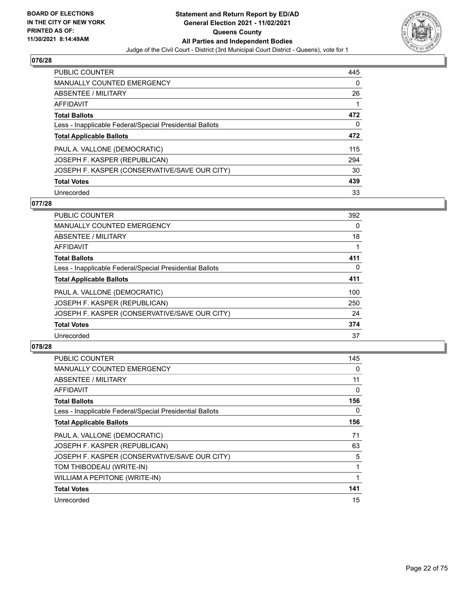

| PUBLIC COUNTER                                           | 445 |
|----------------------------------------------------------|-----|
| <b>MANUALLY COUNTED EMERGENCY</b>                        | 0   |
| ABSENTEE / MILITARY                                      | 26  |
| AFFIDAVIT                                                |     |
| <b>Total Ballots</b>                                     | 472 |
| Less - Inapplicable Federal/Special Presidential Ballots | 0   |
| <b>Total Applicable Ballots</b>                          | 472 |
| PAUL A. VALLONE (DEMOCRATIC)                             | 115 |
| JOSEPH F. KASPER (REPUBLICAN)                            | 294 |
| JOSEPH F. KASPER (CONSERVATIVE/SAVE OUR CITY)            | 30  |
| <b>Total Votes</b>                                       | 439 |
| Unrecorded                                               | 33  |

#### **077/28**

| <b>PUBLIC COUNTER</b>                                    | 392      |
|----------------------------------------------------------|----------|
| MANUALLY COUNTED EMERGENCY                               | $\Omega$ |
| ABSENTEE / MILITARY                                      | 18       |
| <b>AFFIDAVIT</b>                                         |          |
| <b>Total Ballots</b>                                     | 411      |
| Less - Inapplicable Federal/Special Presidential Ballots | $\Omega$ |
| <b>Total Applicable Ballots</b>                          | 411      |
| PAUL A. VALLONE (DEMOCRATIC)                             | 100      |
| JOSEPH F. KASPER (REPUBLICAN)                            | 250      |
| JOSEPH F. KASPER (CONSERVATIVE/SAVE OUR CITY)            | 24       |
| <b>Total Votes</b>                                       | 374      |
| Unrecorded                                               | 37       |

| PUBLIC COUNTER                                           | 145 |
|----------------------------------------------------------|-----|
| <b>MANUALLY COUNTED EMERGENCY</b>                        | 0   |
| ABSENTEE / MILITARY                                      | 11  |
| AFFIDAVIT                                                | 0   |
| <b>Total Ballots</b>                                     | 156 |
| Less - Inapplicable Federal/Special Presidential Ballots | 0   |
| <b>Total Applicable Ballots</b>                          | 156 |
| PAUL A. VALLONE (DEMOCRATIC)                             | 71  |
| JOSEPH F. KASPER (REPUBLICAN)                            | 63  |
| JOSEPH F. KASPER (CONSERVATIVE/SAVE OUR CITY)            | 5   |
| TOM THIBODEAU (WRITE-IN)                                 | 1   |
| WILLIAM A PEPITONE (WRITE-IN)                            | 1   |
| <b>Total Votes</b>                                       | 141 |
| Unrecorded                                               | 15  |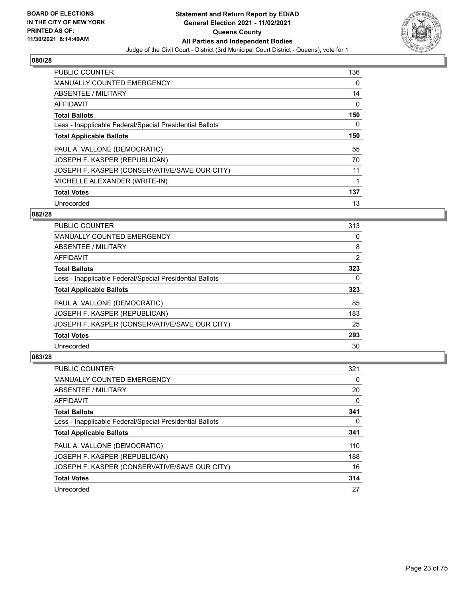

| <b>PUBLIC COUNTER</b>                                    | 136 |
|----------------------------------------------------------|-----|
| <b>MANUALLY COUNTED EMERGENCY</b>                        | 0   |
| ABSENTEE / MILITARY                                      | 14  |
| <b>AFFIDAVIT</b>                                         | 0   |
| <b>Total Ballots</b>                                     | 150 |
| Less - Inapplicable Federal/Special Presidential Ballots | 0   |
| <b>Total Applicable Ballots</b>                          | 150 |
| PAUL A. VALLONE (DEMOCRATIC)                             | 55  |
| JOSEPH F. KASPER (REPUBLICAN)                            | 70  |
| JOSEPH F. KASPER (CONSERVATIVE/SAVE OUR CITY)            | 11  |
| MICHELLE ALEXANDER (WRITE-IN)                            | 1   |
| <b>Total Votes</b>                                       | 137 |
| Unrecorded                                               | 13  |

#### **082/28**

| <b>PUBLIC COUNTER</b>                                    | 313      |
|----------------------------------------------------------|----------|
| <b>MANUALLY COUNTED EMERGENCY</b>                        | 0        |
| ABSENTEE / MILITARY                                      | 8        |
| <b>AFFIDAVIT</b>                                         | 2        |
| <b>Total Ballots</b>                                     | 323      |
| Less - Inapplicable Federal/Special Presidential Ballots | $\Omega$ |
| <b>Total Applicable Ballots</b>                          | 323      |
| PAUL A. VALLONE (DEMOCRATIC)                             | 85       |
| JOSEPH F. KASPER (REPUBLICAN)                            | 183      |
| JOSEPH F. KASPER (CONSERVATIVE/SAVE OUR CITY)            | 25       |
| <b>Total Votes</b>                                       | 293      |
| Unrecorded                                               | 30       |

| <b>PUBLIC COUNTER</b>                                    | 321 |
|----------------------------------------------------------|-----|
| <b>MANUALLY COUNTED EMERGENCY</b>                        | 0   |
| ABSENTEE / MILITARY                                      | 20  |
| AFFIDAVIT                                                | 0   |
| <b>Total Ballots</b>                                     | 341 |
| Less - Inapplicable Federal/Special Presidential Ballots | 0   |
| <b>Total Applicable Ballots</b>                          | 341 |
| PAUL A. VALLONE (DEMOCRATIC)                             | 110 |
| JOSEPH F. KASPER (REPUBLICAN)                            | 188 |
| JOSEPH F. KASPER (CONSERVATIVE/SAVE OUR CITY)            | 16  |
| <b>Total Votes</b>                                       | 314 |
| Unrecorded                                               | 27  |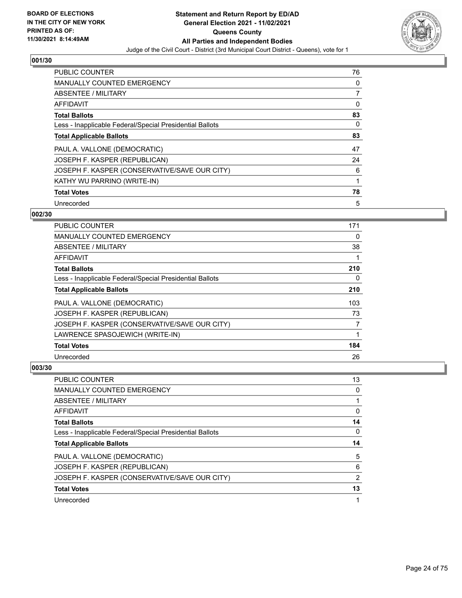

| <b>PUBLIC COUNTER</b>                                    | 76       |
|----------------------------------------------------------|----------|
| <b>MANUALLY COUNTED EMERGENCY</b>                        | 0        |
| ABSENTEE / MILITARY                                      |          |
| <b>AFFIDAVIT</b>                                         | 0        |
| <b>Total Ballots</b>                                     | 83       |
| Less - Inapplicable Federal/Special Presidential Ballots | $\Omega$ |
| <b>Total Applicable Ballots</b>                          | 83       |
| PAUL A. VALLONE (DEMOCRATIC)                             | 47       |
| JOSEPH F. KASPER (REPUBLICAN)                            | 24       |
| JOSEPH F. KASPER (CONSERVATIVE/SAVE OUR CITY)            | 6        |
| KATHY WU PARRINO (WRITE-IN)                              |          |
| <b>Total Votes</b>                                       | 78       |
| Unrecorded                                               | 5        |

## **002/30**

| PUBLIC COUNTER                                           | 171      |
|----------------------------------------------------------|----------|
| <b>MANUALLY COUNTED EMERGENCY</b>                        | $\Omega$ |
| ABSENTEE / MILITARY                                      | 38       |
| AFFIDAVIT                                                |          |
| <b>Total Ballots</b>                                     | 210      |
| Less - Inapplicable Federal/Special Presidential Ballots | 0        |
| <b>Total Applicable Ballots</b>                          | 210      |
| PAUL A. VALLONE (DEMOCRATIC)                             | 103      |
| JOSEPH F. KASPER (REPUBLICAN)                            | 73       |
| JOSEPH F. KASPER (CONSERVATIVE/SAVE OUR CITY)            | 7        |
| LAWRENCE SPASOJEWICH (WRITE-IN)                          | 1        |
| <b>Total Votes</b>                                       | 184      |
| Unrecorded                                               | 26       |

| <b>PUBLIC COUNTER</b>                                    | 13             |
|----------------------------------------------------------|----------------|
| <b>MANUALLY COUNTED EMERGENCY</b>                        | 0              |
| ABSENTEE / MILITARY                                      |                |
| AFFIDAVIT                                                | 0              |
| <b>Total Ballots</b>                                     | 14             |
| Less - Inapplicable Federal/Special Presidential Ballots | 0              |
|                                                          |                |
| <b>Total Applicable Ballots</b>                          | 14             |
| PAUL A. VALLONE (DEMOCRATIC)                             | 5              |
| JOSEPH F. KASPER (REPUBLICAN)                            | 6              |
| JOSEPH F. KASPER (CONSERVATIVE/SAVE OUR CITY)            | $\overline{2}$ |
| <b>Total Votes</b>                                       | 13             |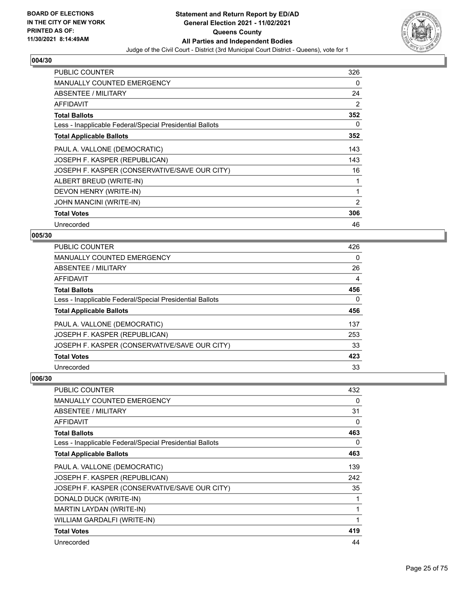

| <b>PUBLIC COUNTER</b>                                    | 326            |
|----------------------------------------------------------|----------------|
| <b>MANUALLY COUNTED EMERGENCY</b>                        | 0              |
| ABSENTEE / MILITARY                                      | 24             |
| <b>AFFIDAVIT</b>                                         | $\overline{2}$ |
| <b>Total Ballots</b>                                     | 352            |
| Less - Inapplicable Federal/Special Presidential Ballots | 0              |
| <b>Total Applicable Ballots</b>                          | 352            |
| PAUL A. VALLONE (DEMOCRATIC)                             | 143            |
| JOSEPH F. KASPER (REPUBLICAN)                            | 143            |
| JOSEPH F. KASPER (CONSERVATIVE/SAVE OUR CITY)            | 16             |
| ALBERT BREUD (WRITE-IN)                                  | 1              |
| DEVON HENRY (WRITE-IN)                                   | 1              |
| JOHN MANCINI (WRITE-IN)                                  | $\overline{2}$ |
| <b>Total Votes</b>                                       | 306            |
| Unrecorded                                               | 46             |

#### **005/30**

| <b>PUBLIC COUNTER</b>                                    | 426      |
|----------------------------------------------------------|----------|
| <b>MANUALLY COUNTED EMERGENCY</b>                        | $\Omega$ |
| ABSENTEE / MILITARY                                      | 26       |
| AFFIDAVIT                                                | 4        |
| <b>Total Ballots</b>                                     | 456      |
| Less - Inapplicable Federal/Special Presidential Ballots | $\Omega$ |
| <b>Total Applicable Ballots</b>                          | 456      |
| PAUL A. VALLONE (DEMOCRATIC)                             | 137      |
| JOSEPH F. KASPER (REPUBLICAN)                            | 253      |
| JOSEPH F. KASPER (CONSERVATIVE/SAVE OUR CITY)            | 33       |
| <b>Total Votes</b>                                       | 423      |
| Unrecorded                                               | 33       |

| <b>PUBLIC COUNTER</b>                                    | 432 |
|----------------------------------------------------------|-----|
| <b>MANUALLY COUNTED EMERGENCY</b>                        | 0   |
| ABSENTEE / MILITARY                                      | 31  |
| <b>AFFIDAVIT</b>                                         | 0   |
| <b>Total Ballots</b>                                     | 463 |
| Less - Inapplicable Federal/Special Presidential Ballots | 0   |
| <b>Total Applicable Ballots</b>                          | 463 |
| PAUL A. VALLONE (DEMOCRATIC)                             | 139 |
| JOSEPH F. KASPER (REPUBLICAN)                            | 242 |
| JOSEPH F. KASPER (CONSERVATIVE/SAVE OUR CITY)            | 35  |
| DONALD DUCK (WRITE-IN)                                   |     |
| MARTIN LAYDAN (WRITE-IN)                                 | 1   |
| WILLIAM GARDALFI (WRITE-IN)                              | 1   |
| <b>Total Votes</b>                                       | 419 |
| Unrecorded                                               | 44  |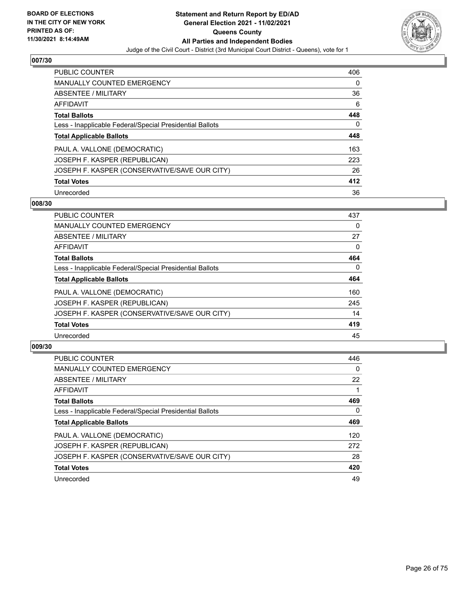

| PUBLIC COUNTER                                           | 406 |
|----------------------------------------------------------|-----|
| <b>MANUALLY COUNTED EMERGENCY</b>                        | 0   |
| ABSENTEE / MILITARY                                      | 36  |
| AFFIDAVIT                                                | 6   |
| <b>Total Ballots</b>                                     | 448 |
| Less - Inapplicable Federal/Special Presidential Ballots | 0   |
| <b>Total Applicable Ballots</b>                          | 448 |
| PAUL A. VALLONE (DEMOCRATIC)                             | 163 |
| JOSEPH F. KASPER (REPUBLICAN)                            | 223 |
| JOSEPH F. KASPER (CONSERVATIVE/SAVE OUR CITY)            | 26  |
| <b>Total Votes</b>                                       | 412 |
| Unrecorded                                               | 36  |

#### **008/30**

| <b>PUBLIC COUNTER</b>                                    | 437      |
|----------------------------------------------------------|----------|
| <b>MANUALLY COUNTED EMERGENCY</b>                        | 0        |
| ABSENTEE / MILITARY                                      | 27       |
| <b>AFFIDAVIT</b>                                         | $\Omega$ |
| <b>Total Ballots</b>                                     | 464      |
| Less - Inapplicable Federal/Special Presidential Ballots | $\Omega$ |
| <b>Total Applicable Ballots</b>                          | 464      |
| PAUL A. VALLONE (DEMOCRATIC)                             | 160      |
| JOSEPH F. KASPER (REPUBLICAN)                            | 245      |
| JOSEPH F. KASPER (CONSERVATIVE/SAVE OUR CITY)            | 14       |
| <b>Total Votes</b>                                       | 419      |
| Unrecorded                                               | 45       |

| <b>PUBLIC COUNTER</b>                                    | 446      |
|----------------------------------------------------------|----------|
| <b>MANUALLY COUNTED EMERGENCY</b>                        | $\Omega$ |
| ABSENTEE / MILITARY                                      | 22       |
| AFFIDAVIT                                                |          |
| <b>Total Ballots</b>                                     | 469      |
| Less - Inapplicable Federal/Special Presidential Ballots | 0        |
| <b>Total Applicable Ballots</b>                          | 469      |
| PAUL A. VALLONE (DEMOCRATIC)                             | 120      |
| JOSEPH F. KASPER (REPUBLICAN)                            | 272      |
| JOSEPH F. KASPER (CONSERVATIVE/SAVE OUR CITY)            | 28       |
| <b>Total Votes</b>                                       | 420      |
| Unrecorded                                               | 49       |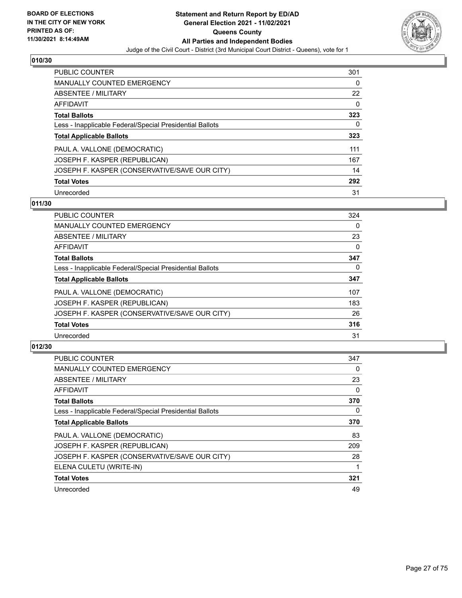

| <b>PUBLIC COUNTER</b>                                    | 301      |
|----------------------------------------------------------|----------|
| <b>MANUALLY COUNTED EMERGENCY</b>                        | 0        |
| ABSENTEE / MILITARY                                      | 22       |
| AFFIDAVIT                                                | $\Omega$ |
| <b>Total Ballots</b>                                     | 323      |
| Less - Inapplicable Federal/Special Presidential Ballots | 0        |
| <b>Total Applicable Ballots</b>                          | 323      |
| PAUL A. VALLONE (DEMOCRATIC)                             | 111      |
| JOSEPH F. KASPER (REPUBLICAN)                            | 167      |
| JOSEPH F. KASPER (CONSERVATIVE/SAVE OUR CITY)            | 14       |
| <b>Total Votes</b>                                       | 292      |
| Unrecorded                                               | 31       |

#### **011/30**

| <b>PUBLIC COUNTER</b>                                    | 324      |
|----------------------------------------------------------|----------|
| <b>MANUALLY COUNTED EMERGENCY</b>                        | 0        |
| ABSENTEE / MILITARY                                      | 23       |
| <b>AFFIDAVIT</b>                                         | 0        |
| <b>Total Ballots</b>                                     | 347      |
| Less - Inapplicable Federal/Special Presidential Ballots | $\Omega$ |
| <b>Total Applicable Ballots</b>                          | 347      |
| PAUL A. VALLONE (DEMOCRATIC)                             | 107      |
| JOSEPH F. KASPER (REPUBLICAN)                            | 183      |
| JOSEPH F. KASPER (CONSERVATIVE/SAVE OUR CITY)            | 26       |
| <b>Total Votes</b>                                       | 316      |
| Unrecorded                                               | 31       |

| <b>PUBLIC COUNTER</b>                                    | 347 |
|----------------------------------------------------------|-----|
| <b>MANUALLY COUNTED EMERGENCY</b>                        | 0   |
| ABSENTEE / MILITARY                                      | 23  |
| AFFIDAVIT                                                | 0   |
| <b>Total Ballots</b>                                     | 370 |
| Less - Inapplicable Federal/Special Presidential Ballots | 0   |
| <b>Total Applicable Ballots</b>                          | 370 |
| PAUL A. VALLONE (DEMOCRATIC)                             | 83  |
| JOSEPH F. KASPER (REPUBLICAN)                            | 209 |
| JOSEPH F. KASPER (CONSERVATIVE/SAVE OUR CITY)            | 28  |
| ELENA CULETU (WRITE-IN)                                  |     |
| <b>Total Votes</b>                                       | 321 |
| Unrecorded                                               | 49  |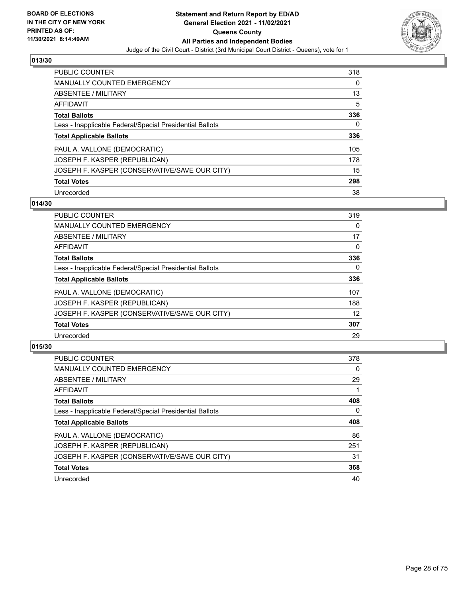

| <b>PUBLIC COUNTER</b>                                    | 318 |
|----------------------------------------------------------|-----|
| <b>MANUALLY COUNTED EMERGENCY</b>                        | 0   |
| ABSENTEE / MILITARY                                      | 13  |
| AFFIDAVIT                                                | 5   |
| <b>Total Ballots</b>                                     | 336 |
| Less - Inapplicable Federal/Special Presidential Ballots | 0   |
| <b>Total Applicable Ballots</b>                          | 336 |
| PAUL A. VALLONE (DEMOCRATIC)                             | 105 |
| JOSEPH F. KASPER (REPUBLICAN)                            | 178 |
| JOSEPH F. KASPER (CONSERVATIVE/SAVE OUR CITY)            | 15  |
| <b>Total Votes</b>                                       | 298 |
|                                                          |     |

#### **014/30**

| <b>PUBLIC COUNTER</b>                                    | 319      |
|----------------------------------------------------------|----------|
| MANUALLY COUNTED EMERGENCY                               | 0        |
| ABSENTEE / MILITARY                                      | 17       |
| <b>AFFIDAVIT</b>                                         | $\Omega$ |
| <b>Total Ballots</b>                                     | 336      |
| Less - Inapplicable Federal/Special Presidential Ballots | $\Omega$ |
| <b>Total Applicable Ballots</b>                          | 336      |
| PAUL A. VALLONE (DEMOCRATIC)                             | 107      |
| JOSEPH F. KASPER (REPUBLICAN)                            | 188      |
| JOSEPH F. KASPER (CONSERVATIVE/SAVE OUR CITY)            | 12       |
| <b>Total Votes</b>                                       | 307      |
| Unrecorded                                               | 29       |

| <b>PUBLIC COUNTER</b>                                    | 378 |
|----------------------------------------------------------|-----|
| MANUALLY COUNTED EMERGENCY                               | 0   |
| ABSENTEE / MILITARY                                      | 29  |
| <b>AFFIDAVIT</b>                                         |     |
| <b>Total Ballots</b>                                     | 408 |
| Less - Inapplicable Federal/Special Presidential Ballots | 0   |
| <b>Total Applicable Ballots</b>                          | 408 |
| PAUL A. VALLONE (DEMOCRATIC)                             | 86  |
|                                                          |     |
| JOSEPH F. KASPER (REPUBLICAN)                            | 251 |
| JOSEPH F. KASPER (CONSERVATIVE/SAVE OUR CITY)            | 31  |
| <b>Total Votes</b>                                       | 368 |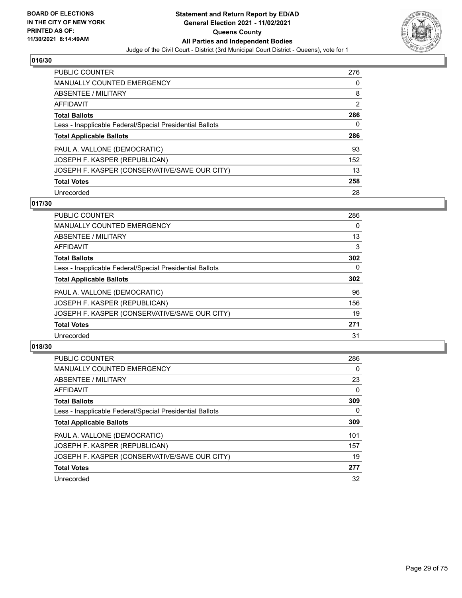

| PUBLIC COUNTER                                           | 276            |
|----------------------------------------------------------|----------------|
| <b>MANUALLY COUNTED EMERGENCY</b>                        | 0              |
| ABSENTEE / MILITARY                                      | 8              |
| AFFIDAVIT                                                | $\overline{2}$ |
| <b>Total Ballots</b>                                     | 286            |
| Less - Inapplicable Federal/Special Presidential Ballots | 0              |
| <b>Total Applicable Ballots</b>                          | 286            |
|                                                          |                |
| PAUL A. VALLONE (DEMOCRATIC)                             | 93             |
| JOSEPH F. KASPER (REPUBLICAN)                            | 152            |
| JOSEPH F. KASPER (CONSERVATIVE/SAVE OUR CITY)            | 13             |
| <b>Total Votes</b>                                       | 258            |

#### **017/30**

| <b>PUBLIC COUNTER</b>                                    | 286      |
|----------------------------------------------------------|----------|
| <b>MANUALLY COUNTED EMERGENCY</b>                        | 0        |
| ABSENTEE / MILITARY                                      | 13       |
| <b>AFFIDAVIT</b>                                         | 3        |
| <b>Total Ballots</b>                                     | 302      |
| Less - Inapplicable Federal/Special Presidential Ballots | $\Omega$ |
| <b>Total Applicable Ballots</b>                          | 302      |
| PAUL A. VALLONE (DEMOCRATIC)                             | 96       |
| JOSEPH F. KASPER (REPUBLICAN)                            | 156      |
| JOSEPH F. KASPER (CONSERVATIVE/SAVE OUR CITY)            | 19       |
| <b>Total Votes</b>                                       | 271      |
| Unrecorded                                               | 31       |

| <b>PUBLIC COUNTER</b>                                    | 286      |
|----------------------------------------------------------|----------|
| <b>MANUALLY COUNTED EMERGENCY</b>                        | $\Omega$ |
| ABSENTEE / MILITARY                                      | 23       |
| <b>AFFIDAVIT</b>                                         | $\Omega$ |
| <b>Total Ballots</b>                                     | 309      |
| Less - Inapplicable Federal/Special Presidential Ballots | 0        |
| <b>Total Applicable Ballots</b>                          | 309      |
| PAUL A. VALLONE (DEMOCRATIC)                             | 101      |
| JOSEPH F. KASPER (REPUBLICAN)                            | 157      |
| JOSEPH F. KASPER (CONSERVATIVE/SAVE OUR CITY)            | 19       |
| <b>Total Votes</b>                                       | 277      |
| Unrecorded                                               | 32       |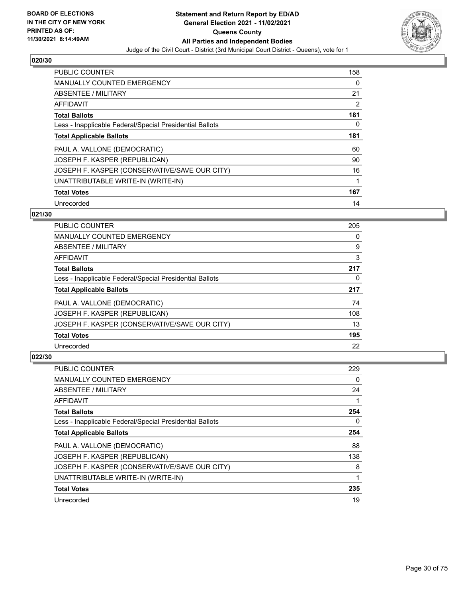

| <b>PUBLIC COUNTER</b>                                    | 158            |
|----------------------------------------------------------|----------------|
| <b>MANUALLY COUNTED EMERGENCY</b>                        | 0              |
| ABSENTEE / MILITARY                                      | 21             |
| <b>AFFIDAVIT</b>                                         | $\overline{2}$ |
| <b>Total Ballots</b>                                     | 181            |
| Less - Inapplicable Federal/Special Presidential Ballots | 0              |
| <b>Total Applicable Ballots</b>                          | 181            |
| PAUL A. VALLONE (DEMOCRATIC)                             | 60             |
| JOSEPH F. KASPER (REPUBLICAN)                            | 90             |
| JOSEPH F. KASPER (CONSERVATIVE/SAVE OUR CITY)            | 16             |
| UNATTRIBUTABLE WRITE-IN (WRITE-IN)                       | 1              |
| <b>Total Votes</b>                                       | 167            |
| Unrecorded                                               | 14             |

## **021/30**

| <b>PUBLIC COUNTER</b>                                    | 205 |
|----------------------------------------------------------|-----|
| <b>MANUALLY COUNTED EMERGENCY</b>                        | 0   |
| ABSENTEE / MILITARY                                      | 9   |
| <b>AFFIDAVIT</b>                                         | 3   |
| <b>Total Ballots</b>                                     | 217 |
| Less - Inapplicable Federal/Special Presidential Ballots | 0   |
| <b>Total Applicable Ballots</b>                          | 217 |
| PAUL A. VALLONE (DEMOCRATIC)                             | 74  |
| JOSEPH F. KASPER (REPUBLICAN)                            | 108 |
| JOSEPH F. KASPER (CONSERVATIVE/SAVE OUR CITY)            | 13  |
| <b>Total Votes</b>                                       | 195 |
| Unrecorded                                               | 22  |

| <b>PUBLIC COUNTER</b>                                    | 229 |
|----------------------------------------------------------|-----|
| MANUALLY COUNTED EMERGENCY                               | 0   |
| ABSENTEE / MILITARY                                      | 24  |
| <b>AFFIDAVIT</b>                                         |     |
| <b>Total Ballots</b>                                     | 254 |
| Less - Inapplicable Federal/Special Presidential Ballots | 0   |
| <b>Total Applicable Ballots</b>                          | 254 |
| PAUL A. VALLONE (DEMOCRATIC)                             | 88  |
| JOSEPH F. KASPER (REPUBLICAN)                            | 138 |
| JOSEPH F. KASPER (CONSERVATIVE/SAVE OUR CITY)            | 8   |
| UNATTRIBUTABLE WRITE-IN (WRITE-IN)                       | 1   |
| <b>Total Votes</b>                                       | 235 |
| Unrecorded                                               | 19  |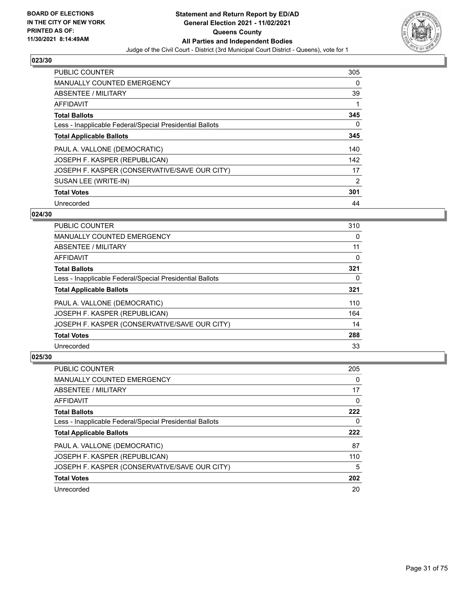

| <b>PUBLIC COUNTER</b>                                    | 305            |
|----------------------------------------------------------|----------------|
| <b>MANUALLY COUNTED EMERGENCY</b>                        | 0              |
| ABSENTEE / MILITARY                                      | 39             |
| <b>AFFIDAVIT</b>                                         | 1              |
| <b>Total Ballots</b>                                     | 345            |
| Less - Inapplicable Federal/Special Presidential Ballots | 0              |
| <b>Total Applicable Ballots</b>                          | 345            |
| PAUL A. VALLONE (DEMOCRATIC)                             | 140            |
| JOSEPH F. KASPER (REPUBLICAN)                            | 142            |
| JOSEPH F. KASPER (CONSERVATIVE/SAVE OUR CITY)            | 17             |
| SUSAN LEE (WRITE-IN)                                     | $\overline{2}$ |
| <b>Total Votes</b>                                       | 301            |
| Unrecorded                                               | 44             |

## **024/30**

| <b>PUBLIC COUNTER</b>                                    | 310 |
|----------------------------------------------------------|-----|
| <b>MANUALLY COUNTED EMERGENCY</b>                        | 0   |
| ABSENTEE / MILITARY                                      | 11  |
| <b>AFFIDAVIT</b>                                         | 0   |
| <b>Total Ballots</b>                                     | 321 |
| Less - Inapplicable Federal/Special Presidential Ballots | 0   |
| <b>Total Applicable Ballots</b>                          | 321 |
| PAUL A. VALLONE (DEMOCRATIC)                             | 110 |
| JOSEPH F. KASPER (REPUBLICAN)                            | 164 |
| JOSEPH F. KASPER (CONSERVATIVE/SAVE OUR CITY)            | 14  |
| <b>Total Votes</b>                                       | 288 |
| Unrecorded                                               | 33  |

| <b>PUBLIC COUNTER</b>                                    | 205 |
|----------------------------------------------------------|-----|
| <b>MANUALLY COUNTED EMERGENCY</b>                        | 0   |
| ABSENTEE / MILITARY                                      | 17  |
| AFFIDAVIT                                                | 0   |
| <b>Total Ballots</b>                                     | 222 |
| Less - Inapplicable Federal/Special Presidential Ballots | 0   |
|                                                          |     |
| <b>Total Applicable Ballots</b>                          | 222 |
| PAUL A. VALLONE (DEMOCRATIC)                             | 87  |
| JOSEPH F. KASPER (REPUBLICAN)                            | 110 |
| JOSEPH F. KASPER (CONSERVATIVE/SAVE OUR CITY)            | 5   |
| <b>Total Votes</b>                                       | 202 |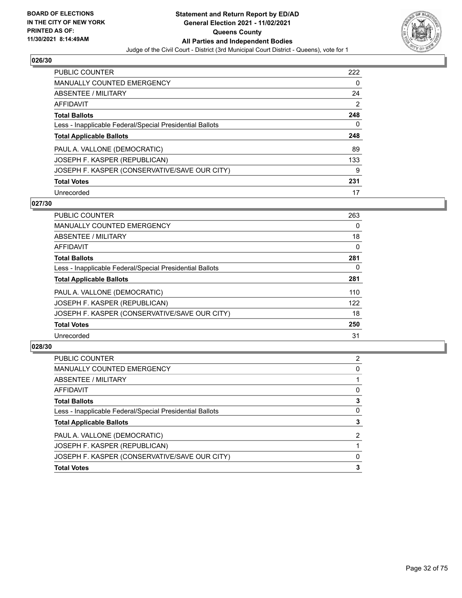

| <b>PUBLIC COUNTER</b>                                    | 222            |
|----------------------------------------------------------|----------------|
| <b>MANUALLY COUNTED EMERGENCY</b>                        | 0              |
| ABSENTEE / MILITARY                                      | 24             |
| AFFIDAVIT                                                | $\overline{2}$ |
| <b>Total Ballots</b>                                     | 248            |
| Less - Inapplicable Federal/Special Presidential Ballots | 0              |
| <b>Total Applicable Ballots</b>                          | 248            |
| PAUL A. VALLONE (DEMOCRATIC)                             | 89             |
|                                                          |                |
| JOSEPH F. KASPER (REPUBLICAN)                            | 133            |
| JOSEPH F. KASPER (CONSERVATIVE/SAVE OUR CITY)            | 9              |
| <b>Total Votes</b>                                       | 231            |

#### **027/30**

| <b>PUBLIC COUNTER</b>                                    | 263      |
|----------------------------------------------------------|----------|
| <b>MANUALLY COUNTED EMERGENCY</b>                        | $\Omega$ |
| ABSENTEE / MILITARY                                      | 18       |
| <b>AFFIDAVIT</b>                                         | $\Omega$ |
| <b>Total Ballots</b>                                     | 281      |
| Less - Inapplicable Federal/Special Presidential Ballots | 0        |
| <b>Total Applicable Ballots</b>                          | 281      |
| PAUL A. VALLONE (DEMOCRATIC)                             | 110      |
| JOSEPH F. KASPER (REPUBLICAN)                            | 122      |
| JOSEPH F. KASPER (CONSERVATIVE/SAVE OUR CITY)            | 18       |
| <b>Total Votes</b>                                       | 250      |
| Unrecorded                                               | 31       |

| 2 |
|---|
| 0 |
|   |
| 0 |
|   |
| 0 |
| 3 |
| 2 |
|   |
| 0 |
|   |
|   |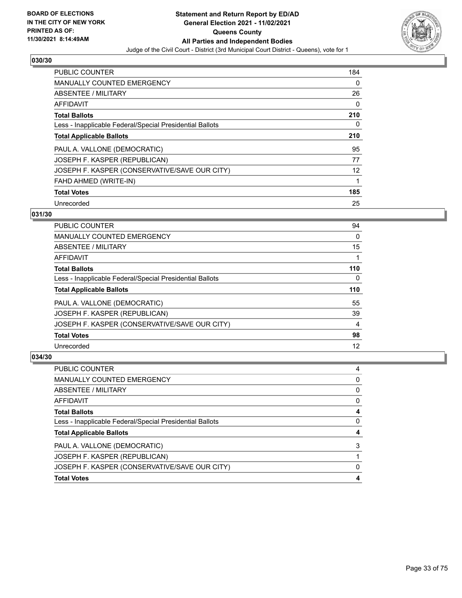

| <b>PUBLIC COUNTER</b>                                    | 184 |
|----------------------------------------------------------|-----|
| <b>MANUALLY COUNTED EMERGENCY</b>                        | 0   |
| ABSENTEE / MILITARY                                      | 26  |
| AFFIDAVIT                                                | 0   |
| <b>Total Ballots</b>                                     | 210 |
| Less - Inapplicable Federal/Special Presidential Ballots | 0   |
| <b>Total Applicable Ballots</b>                          | 210 |
| PAUL A. VALLONE (DEMOCRATIC)                             | 95  |
| JOSEPH F. KASPER (REPUBLICAN)                            | 77  |
| JOSEPH F. KASPER (CONSERVATIVE/SAVE OUR CITY)            | 12  |
| FAHD AHMED (WRITE-IN)                                    | 1   |
| <b>Total Votes</b>                                       | 185 |
| Unrecorded                                               | 25  |

## **031/30**

| <b>PUBLIC COUNTER</b>                                    | 94       |
|----------------------------------------------------------|----------|
| MANUALLY COUNTED EMERGENCY                               | 0        |
| ABSENTEE / MILITARY                                      | 15       |
| <b>AFFIDAVIT</b>                                         |          |
| <b>Total Ballots</b>                                     | 110      |
| Less - Inapplicable Federal/Special Presidential Ballots | $\Omega$ |
| <b>Total Applicable Ballots</b>                          | 110      |
| PAUL A. VALLONE (DEMOCRATIC)                             | 55       |
| JOSEPH F. KASPER (REPUBLICAN)                            | 39       |
| JOSEPH F. KASPER (CONSERVATIVE/SAVE OUR CITY)            | 4        |
| <b>Total Votes</b>                                       | 98       |
| Unrecorded                                               | 12       |

| <b>PUBLIC COUNTER</b>                                    | 4 |
|----------------------------------------------------------|---|
| <b>MANUALLY COUNTED EMERGENCY</b>                        | 0 |
| ABSENTEE / MILITARY                                      | 0 |
| AFFIDAVIT                                                | 0 |
| <b>Total Ballots</b>                                     | 4 |
| Less - Inapplicable Federal/Special Presidential Ballots | 0 |
| <b>Total Applicable Ballots</b>                          |   |
| PAUL A. VALLONE (DEMOCRATIC)                             | 3 |
| JOSEPH F. KASPER (REPUBLICAN)                            |   |
| JOSEPH F. KASPER (CONSERVATIVE/SAVE OUR CITY)            | 0 |
| <b>Total Votes</b>                                       | 4 |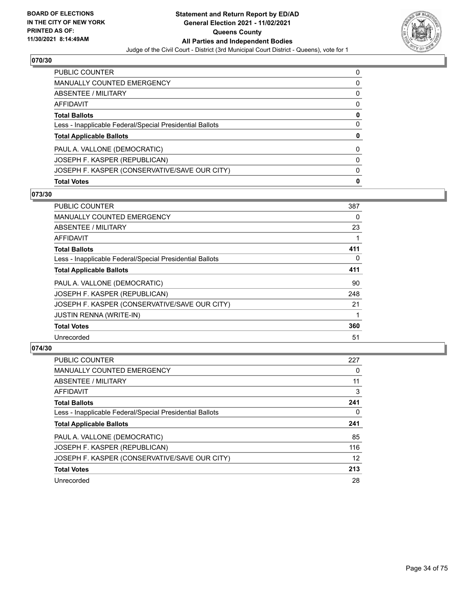

| PUBLIC COUNTER                                           | 0        |
|----------------------------------------------------------|----------|
| <b>MANUALLY COUNTED EMERGENCY</b>                        | 0        |
| ABSENTEE / MILITARY                                      | 0        |
| AFFIDAVIT                                                | $\Omega$ |
| <b>Total Ballots</b>                                     | 0        |
| Less - Inapplicable Federal/Special Presidential Ballots | 0        |
| <b>Total Applicable Ballots</b>                          | 0        |
| PAUL A. VALLONE (DEMOCRATIC)                             | 0        |
| JOSEPH F. KASPER (REPUBLICAN)                            | $\Omega$ |
| JOSEPH F. KASPER (CONSERVATIVE/SAVE OUR CITY)            | 0        |
| <b>Total Votes</b>                                       | 0        |

#### **073/30**

| 387 |
|-----|
| 0   |
| 23  |
|     |
| 411 |
| 0   |
| 411 |
| 90  |
| 248 |
| 21  |
|     |
| 360 |
| 51  |
|     |

| <b>PUBLIC COUNTER</b>                                    | 227 |
|----------------------------------------------------------|-----|
| <b>MANUALLY COUNTED EMERGENCY</b>                        | 0   |
| ABSENTEE / MILITARY                                      | 11  |
| AFFIDAVIT                                                | 3   |
| <b>Total Ballots</b>                                     | 241 |
| Less - Inapplicable Federal/Special Presidential Ballots | 0   |
|                                                          |     |
| <b>Total Applicable Ballots</b>                          | 241 |
| PAUL A. VALLONE (DEMOCRATIC)                             | 85  |
| JOSEPH F. KASPER (REPUBLICAN)                            | 116 |
| JOSEPH F. KASPER (CONSERVATIVE/SAVE OUR CITY)            | 12  |
| <b>Total Votes</b>                                       | 213 |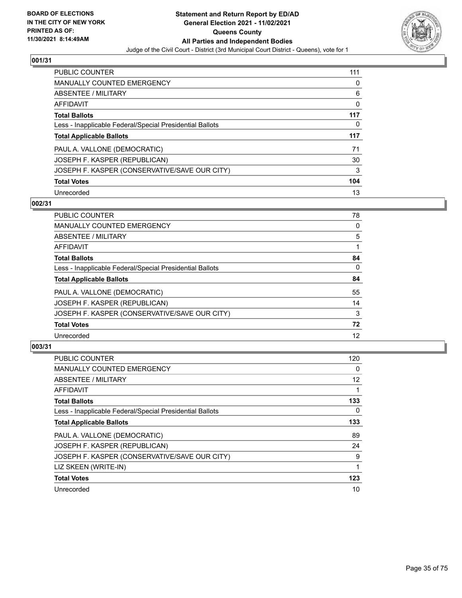

| PUBLIC COUNTER                                           | 111 |
|----------------------------------------------------------|-----|
| <b>MANUALLY COUNTED EMERGENCY</b>                        | 0   |
| ABSENTEE / MILITARY                                      | 6   |
| AFFIDAVIT                                                | 0   |
| <b>Total Ballots</b>                                     | 117 |
| Less - Inapplicable Federal/Special Presidential Ballots | 0   |
|                                                          |     |
| <b>Total Applicable Ballots</b>                          | 117 |
| PAUL A. VALLONE (DEMOCRATIC)                             | 71  |
| JOSEPH F. KASPER (REPUBLICAN)                            | 30  |
| JOSEPH F. KASPER (CONSERVATIVE/SAVE OUR CITY)            | 3   |
| <b>Total Votes</b>                                       | 104 |

#### **002/31**

| <b>PUBLIC COUNTER</b>                                    | 78       |
|----------------------------------------------------------|----------|
| <b>MANUALLY COUNTED EMERGENCY</b>                        | 0        |
| ABSENTEE / MILITARY                                      | 5        |
| <b>AFFIDAVIT</b>                                         |          |
| <b>Total Ballots</b>                                     | 84       |
| Less - Inapplicable Federal/Special Presidential Ballots | $\Omega$ |
| <b>Total Applicable Ballots</b>                          | 84       |
| PAUL A. VALLONE (DEMOCRATIC)                             | 55       |
| JOSEPH F. KASPER (REPUBLICAN)                            | 14       |
| JOSEPH F. KASPER (CONSERVATIVE/SAVE OUR CITY)            | 3        |
| <b>Total Votes</b>                                       | 72       |
| Unrecorded                                               | 12       |

| <b>PUBLIC COUNTER</b>                                    | 120               |
|----------------------------------------------------------|-------------------|
| <b>MANUALLY COUNTED EMERGENCY</b>                        | $\Omega$          |
| ABSENTEE / MILITARY                                      | $12 \overline{ }$ |
| AFFIDAVIT                                                |                   |
| <b>Total Ballots</b>                                     | 133               |
| Less - Inapplicable Federal/Special Presidential Ballots | $\Omega$          |
| <b>Total Applicable Ballots</b>                          | 133               |
| PAUL A. VALLONE (DEMOCRATIC)                             | 89                |
| JOSEPH F. KASPER (REPUBLICAN)                            | 24                |
| JOSEPH F. KASPER (CONSERVATIVE/SAVE OUR CITY)            | 9                 |
| LIZ SKEEN (WRITE-IN)                                     |                   |
| <b>Total Votes</b>                                       | 123               |
| Unrecorded                                               | 10                |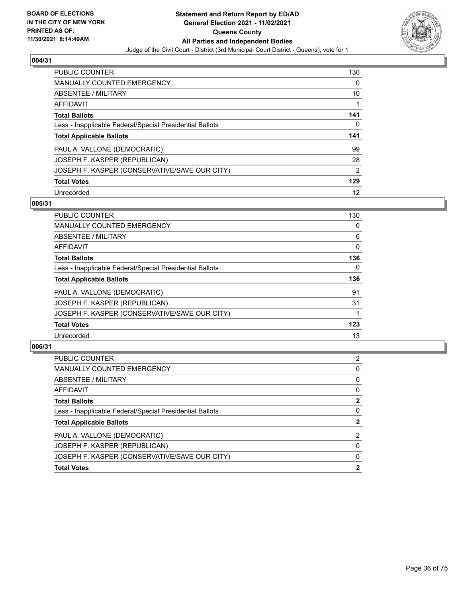

| PUBLIC COUNTER                                           | 130            |
|----------------------------------------------------------|----------------|
| <b>MANUALLY COUNTED EMERGENCY</b>                        | 0              |
| ABSENTEE / MILITARY                                      | 10             |
| AFFIDAVIT                                                |                |
| <b>Total Ballots</b>                                     | 141            |
| Less - Inapplicable Federal/Special Presidential Ballots | 0              |
|                                                          |                |
| <b>Total Applicable Ballots</b>                          | 141            |
| PAUL A. VALLONE (DEMOCRATIC)                             | 99             |
| JOSEPH F. KASPER (REPUBLICAN)                            | 28             |
| JOSEPH F. KASPER (CONSERVATIVE/SAVE OUR CITY)            | $\overline{2}$ |
| <b>Total Votes</b>                                       | 129            |

#### **005/31**

| <b>PUBLIC COUNTER</b>                                    | 130      |
|----------------------------------------------------------|----------|
| <b>MANUALLY COUNTED EMERGENCY</b>                        | 0        |
| ABSENTEE / MILITARY                                      | 6        |
| <b>AFFIDAVIT</b>                                         | $\Omega$ |
| <b>Total Ballots</b>                                     | 136      |
| Less - Inapplicable Federal/Special Presidential Ballots | $\Omega$ |
| <b>Total Applicable Ballots</b>                          | 136      |
| PAUL A. VALLONE (DEMOCRATIC)                             | 91       |
| JOSEPH F. KASPER (REPUBLICAN)                            | 31       |
| JOSEPH F. KASPER (CONSERVATIVE/SAVE OUR CITY)            |          |
| <b>Total Votes</b>                                       | 123      |
| Unrecorded                                               | 13       |

| 2            |
|--------------|
| 0            |
| 0            |
| $\Omega$     |
| 2            |
| 0            |
| $\mathbf{2}$ |
| 2            |
| 0            |
| $\Omega$     |
| 2            |
|              |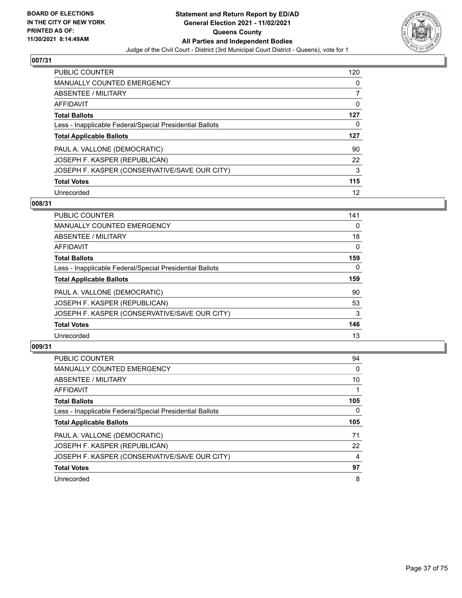

| <b>PUBLIC COUNTER</b>                                    | 120      |
|----------------------------------------------------------|----------|
| <b>MANUALLY COUNTED EMERGENCY</b>                        | 0        |
| ABSENTEE / MILITARY                                      |          |
| AFFIDAVIT                                                | $\Omega$ |
| <b>Total Ballots</b>                                     | 127      |
| Less - Inapplicable Federal/Special Presidential Ballots | 0        |
| <b>Total Applicable Ballots</b>                          | 127      |
| PAUL A. VALLONE (DEMOCRATIC)                             | 90       |
| JOSEPH F. KASPER (REPUBLICAN)                            | 22       |
| JOSEPH F. KASPER (CONSERVATIVE/SAVE OUR CITY)            | 3        |
| <b>Total Votes</b>                                       | 115      |
|                                                          |          |

### **008/31**

| <b>PUBLIC COUNTER</b>                                    | 141      |
|----------------------------------------------------------|----------|
| <b>MANUALLY COUNTED EMERGENCY</b>                        | 0        |
| ABSENTEE / MILITARY                                      | 18       |
| <b>AFFIDAVIT</b>                                         | $\Omega$ |
| <b>Total Ballots</b>                                     | 159      |
| Less - Inapplicable Federal/Special Presidential Ballots | $\Omega$ |
| <b>Total Applicable Ballots</b>                          | 159      |
| PAUL A. VALLONE (DEMOCRATIC)                             | 90       |
| JOSEPH F. KASPER (REPUBLICAN)                            | 53       |
| JOSEPH F. KASPER (CONSERVATIVE/SAVE OUR CITY)            | 3        |
| <b>Total Votes</b>                                       | 146      |
| Unrecorded                                               | 13       |

| <b>PUBLIC COUNTER</b>                                    | 94  |
|----------------------------------------------------------|-----|
| <b>MANUALLY COUNTED EMERGENCY</b>                        | 0   |
| <b>ABSENTEE / MILITARY</b>                               | 10  |
| <b>AFFIDAVIT</b>                                         |     |
| <b>Total Ballots</b>                                     | 105 |
| Less - Inapplicable Federal/Special Presidential Ballots | 0   |
| <b>Total Applicable Ballots</b>                          | 105 |
| PAUL A. VALLONE (DEMOCRATIC)                             | 71  |
| JOSEPH F. KASPER (REPUBLICAN)                            | 22  |
| JOSEPH F. KASPER (CONSERVATIVE/SAVE OUR CITY)            | 4   |
| <b>Total Votes</b>                                       | 97  |
|                                                          |     |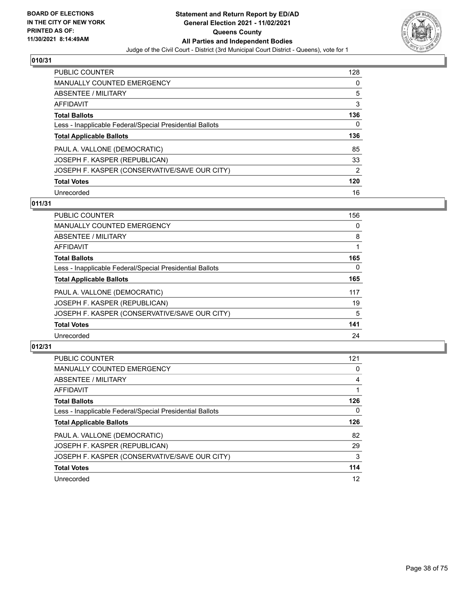

| PUBLIC COUNTER                                           | 128            |
|----------------------------------------------------------|----------------|
| <b>MANUALLY COUNTED EMERGENCY</b>                        | 0              |
| ABSENTEE / MILITARY                                      | 5              |
| AFFIDAVIT                                                | 3              |
| <b>Total Ballots</b>                                     | 136            |
| Less - Inapplicable Federal/Special Presidential Ballots | 0              |
| <b>Total Applicable Ballots</b>                          | 136            |
|                                                          |                |
| PAUL A. VALLONE (DEMOCRATIC)                             | 85             |
| JOSEPH F. KASPER (REPUBLICAN)                            | 33             |
| JOSEPH F. KASPER (CONSERVATIVE/SAVE OUR CITY)            | $\overline{2}$ |
| <b>Total Votes</b>                                       | 120            |

### **011/31**

| <b>PUBLIC COUNTER</b>                                    | 156      |
|----------------------------------------------------------|----------|
| <b>MANUALLY COUNTED EMERGENCY</b>                        | 0        |
| ABSENTEE / MILITARY                                      | 8        |
| <b>AFFIDAVIT</b>                                         |          |
| <b>Total Ballots</b>                                     | 165      |
| Less - Inapplicable Federal/Special Presidential Ballots | $\Omega$ |
| <b>Total Applicable Ballots</b>                          | 165      |
| PAUL A. VALLONE (DEMOCRATIC)                             | 117      |
| JOSEPH F. KASPER (REPUBLICAN)                            | 19       |
| JOSEPH F. KASPER (CONSERVATIVE/SAVE OUR CITY)            | 5        |
| <b>Total Votes</b>                                       | 141      |
| Unrecorded                                               | 24       |

| <b>PUBLIC COUNTER</b>                                    | 121      |
|----------------------------------------------------------|----------|
| <b>MANUALLY COUNTED EMERGENCY</b>                        | $\Omega$ |
| ABSENTEE / MILITARY                                      | 4        |
| <b>AFFIDAVIT</b>                                         |          |
| <b>Total Ballots</b>                                     | 126      |
| Less - Inapplicable Federal/Special Presidential Ballots | 0        |
| <b>Total Applicable Ballots</b>                          | 126      |
| PAUL A. VALLONE (DEMOCRATIC)                             | 82       |
| JOSEPH F. KASPER (REPUBLICAN)                            | 29       |
| JOSEPH F. KASPER (CONSERVATIVE/SAVE OUR CITY)            | 3        |
| <b>Total Votes</b>                                       | 114      |
|                                                          |          |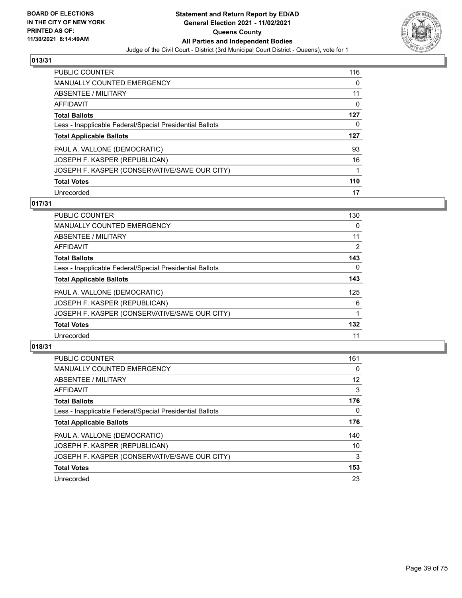

| <b>PUBLIC COUNTER</b>                                    | 116      |
|----------------------------------------------------------|----------|
| <b>MANUALLY COUNTED EMERGENCY</b>                        | 0        |
| ABSENTEE / MILITARY                                      | 11       |
| AFFIDAVIT                                                | $\Omega$ |
| <b>Total Ballots</b>                                     | 127      |
| Less - Inapplicable Federal/Special Presidential Ballots | 0        |
| <b>Total Applicable Ballots</b>                          | 127      |
| PAUL A. VALLONE (DEMOCRATIC)                             | 93       |
| JOSEPH F. KASPER (REPUBLICAN)                            | 16       |
| JOSEPH F. KASPER (CONSERVATIVE/SAVE OUR CITY)            |          |
| <b>Total Votes</b>                                       | 110      |
|                                                          |          |

### **017/31**

| <b>PUBLIC COUNTER</b>                                    | 130      |
|----------------------------------------------------------|----------|
| MANUALLY COUNTED EMERGENCY                               | 0        |
| ABSENTEE / MILITARY                                      | 11       |
| <b>AFFIDAVIT</b>                                         | 2        |
| <b>Total Ballots</b>                                     | 143      |
| Less - Inapplicable Federal/Special Presidential Ballots | $\Omega$ |
| <b>Total Applicable Ballots</b>                          | 143      |
| PAUL A. VALLONE (DEMOCRATIC)                             | 125      |
| JOSEPH F. KASPER (REPUBLICAN)                            | 6        |
| JOSEPH F. KASPER (CONSERVATIVE/SAVE OUR CITY)            |          |
| <b>Total Votes</b>                                       | 132      |
| Unrecorded                                               | 11       |

| <b>PUBLIC COUNTER</b>                                    | 161 |
|----------------------------------------------------------|-----|
| <b>MANUALLY COUNTED EMERGENCY</b>                        | 0   |
| <b>ABSENTEE / MILITARY</b>                               | 12  |
| <b>AFFIDAVIT</b>                                         | 3   |
| <b>Total Ballots</b>                                     | 176 |
| Less - Inapplicable Federal/Special Presidential Ballots | 0   |
| <b>Total Applicable Ballots</b>                          | 176 |
| PAUL A. VALLONE (DEMOCRATIC)                             | 140 |
| JOSEPH F. KASPER (REPUBLICAN)                            | 10  |
| JOSEPH F. KASPER (CONSERVATIVE/SAVE OUR CITY)            | 3   |
| <b>Total Votes</b>                                       | 153 |
| Unrecorded                                               | 23  |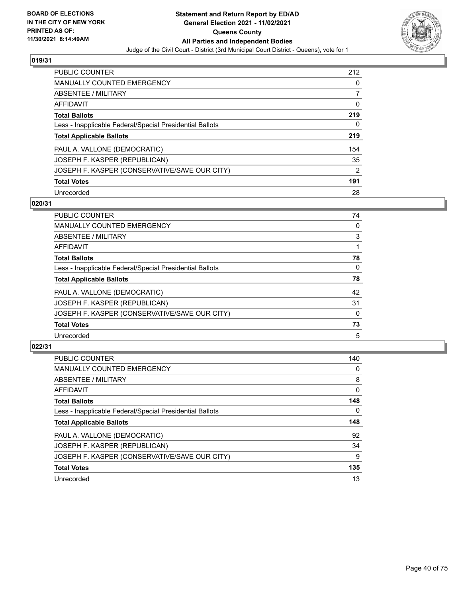

| PUBLIC COUNTER                                           | 212            |
|----------------------------------------------------------|----------------|
| <b>MANUALLY COUNTED EMERGENCY</b>                        | 0              |
| ABSENTEE / MILITARY                                      |                |
| AFFIDAVIT                                                | 0              |
| <b>Total Ballots</b>                                     | 219            |
| Less - Inapplicable Federal/Special Presidential Ballots | 0              |
| <b>Total Applicable Ballots</b>                          | 219            |
| PAUL A. VALLONE (DEMOCRATIC)                             | 154            |
| JOSEPH F. KASPER (REPUBLICAN)                            | 35             |
| JOSEPH F. KASPER (CONSERVATIVE/SAVE OUR CITY)            | $\overline{2}$ |
| <b>Total Votes</b>                                       | 191            |
| Unrecorded                                               | 28             |

### **020/31**

| PUBLIC COUNTER                                           | 74       |
|----------------------------------------------------------|----------|
| <b>MANUALLY COUNTED EMERGENCY</b>                        | 0        |
| ABSENTEE / MILITARY                                      | 3        |
| AFFIDAVIT                                                |          |
| <b>Total Ballots</b>                                     | 78       |
| Less - Inapplicable Federal/Special Presidential Ballots | $\Omega$ |
| <b>Total Applicable Ballots</b>                          | 78       |
| PAUL A. VALLONE (DEMOCRATIC)                             | 42       |
| JOSEPH F. KASPER (REPUBLICAN)                            | 31       |
| JOSEPH F. KASPER (CONSERVATIVE/SAVE OUR CITY)            | $\Omega$ |
| <b>Total Votes</b>                                       | 73       |
| Unrecorded                                               | 5        |

| <b>PUBLIC COUNTER</b>                                    | 140      |
|----------------------------------------------------------|----------|
| MANUALLY COUNTED EMERGENCY                               | 0        |
| <b>ABSENTEE / MILITARY</b>                               | 8        |
| <b>AFFIDAVIT</b>                                         | $\Omega$ |
| <b>Total Ballots</b>                                     | 148      |
| Less - Inapplicable Federal/Special Presidential Ballots | 0        |
|                                                          |          |
| <b>Total Applicable Ballots</b>                          | 148      |
| PAUL A. VALLONE (DEMOCRATIC)                             | 92       |
| JOSEPH F. KASPER (REPUBLICAN)                            | 34       |
| JOSEPH F. KASPER (CONSERVATIVE/SAVE OUR CITY)            | 9        |
| <b>Total Votes</b>                                       | 135      |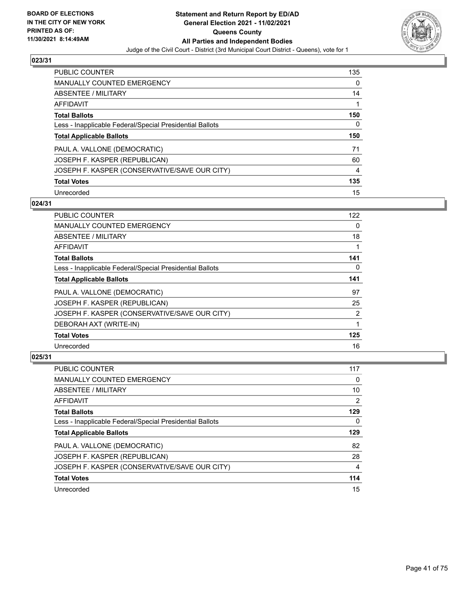

| <b>PUBLIC COUNTER</b>                                    | 135 |
|----------------------------------------------------------|-----|
| <b>MANUALLY COUNTED EMERGENCY</b>                        | 0   |
| ABSENTEE / MILITARY                                      | 14  |
| AFFIDAVIT                                                | 1   |
| <b>Total Ballots</b>                                     | 150 |
| Less - Inapplicable Federal/Special Presidential Ballots | 0   |
| <b>Total Applicable Ballots</b>                          | 150 |
|                                                          |     |
| PAUL A. VALLONE (DEMOCRATIC)                             | 71  |
| JOSEPH F. KASPER (REPUBLICAN)                            | 60  |
| JOSEPH F. KASPER (CONSERVATIVE/SAVE OUR CITY)            | 4   |
| <b>Total Votes</b>                                       | 135 |

### **024/31**

| <b>PUBLIC COUNTER</b>                                    | 122 |
|----------------------------------------------------------|-----|
| <b>MANUALLY COUNTED EMERGENCY</b>                        | 0   |
| ABSENTEE / MILITARY                                      | 18  |
| AFFIDAVIT                                                |     |
| <b>Total Ballots</b>                                     | 141 |
| Less - Inapplicable Federal/Special Presidential Ballots | 0   |
| <b>Total Applicable Ballots</b>                          | 141 |
| PAUL A. VALLONE (DEMOCRATIC)                             | 97  |
| JOSEPH F. KASPER (REPUBLICAN)                            | 25  |
| JOSEPH F. KASPER (CONSERVATIVE/SAVE OUR CITY)            | 2   |
| DEBORAH AXT (WRITE-IN)                                   | 1   |
| <b>Total Votes</b>                                       | 125 |
| Unrecorded                                               | 16  |

| <b>PUBLIC COUNTER</b>                                    | 117 |
|----------------------------------------------------------|-----|
| <b>MANUALLY COUNTED EMERGENCY</b>                        | 0   |
| ABSENTEE / MILITARY                                      | 10  |
| AFFIDAVIT                                                | 2   |
| <b>Total Ballots</b>                                     | 129 |
| Less - Inapplicable Federal/Special Presidential Ballots | 0   |
| <b>Total Applicable Ballots</b>                          | 129 |
|                                                          |     |
| PAUL A. VALLONE (DEMOCRATIC)                             | 82  |
| JOSEPH F. KASPER (REPUBLICAN)                            | 28  |
| JOSEPH F. KASPER (CONSERVATIVE/SAVE OUR CITY)            | 4   |
| <b>Total Votes</b>                                       | 114 |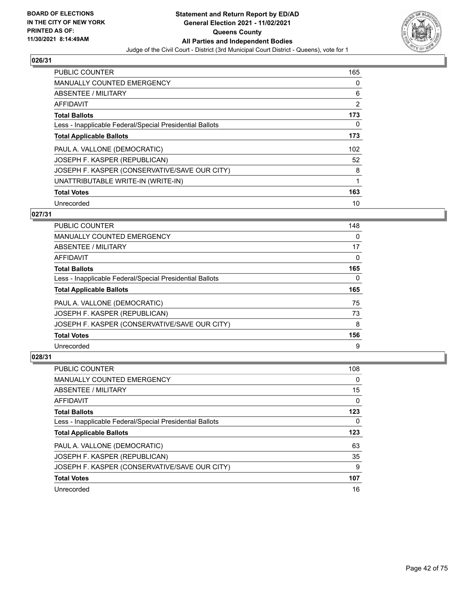

| <b>PUBLIC COUNTER</b>                                    | 165 |
|----------------------------------------------------------|-----|
| <b>MANUALLY COUNTED EMERGENCY</b>                        | 0   |
| ABSENTEE / MILITARY                                      | 6   |
| <b>AFFIDAVIT</b>                                         | 2   |
| <b>Total Ballots</b>                                     | 173 |
| Less - Inapplicable Federal/Special Presidential Ballots | 0   |
| <b>Total Applicable Ballots</b>                          | 173 |
| PAUL A. VALLONE (DEMOCRATIC)                             | 102 |
| JOSEPH F. KASPER (REPUBLICAN)                            | 52  |
| JOSEPH F. KASPER (CONSERVATIVE/SAVE OUR CITY)            | 8   |
| UNATTRIBUTABLE WRITE-IN (WRITE-IN)                       | 1   |
| <b>Total Votes</b>                                       | 163 |
| Unrecorded                                               | 10  |

# **027/31**

| <b>PUBLIC COUNTER</b>                                    | 148      |
|----------------------------------------------------------|----------|
| <b>MANUALLY COUNTED EMERGENCY</b>                        | 0        |
| ABSENTEE / MILITARY                                      | 17       |
| AFFIDAVIT                                                | $\Omega$ |
| <b>Total Ballots</b>                                     | 165      |
| Less - Inapplicable Federal/Special Presidential Ballots | $\Omega$ |
| <b>Total Applicable Ballots</b>                          | 165      |
| PAUL A. VALLONE (DEMOCRATIC)                             | 75       |
| JOSEPH F. KASPER (REPUBLICAN)                            | 73       |
| JOSEPH F. KASPER (CONSERVATIVE/SAVE OUR CITY)            | 8        |
| <b>Total Votes</b>                                       | 156      |
| Unrecorded                                               | 9        |

| <b>PUBLIC COUNTER</b>                                    | 108 |
|----------------------------------------------------------|-----|
| <b>MANUALLY COUNTED EMERGENCY</b>                        | 0   |
| ABSENTEE / MILITARY                                      | 15  |
| <b>AFFIDAVIT</b>                                         | 0   |
| <b>Total Ballots</b>                                     | 123 |
| Less - Inapplicable Federal/Special Presidential Ballots | 0   |
| <b>Total Applicable Ballots</b>                          | 123 |
|                                                          |     |
| PAUL A. VALLONE (DEMOCRATIC)                             | 63  |
| JOSEPH F. KASPER (REPUBLICAN)                            | 35  |
| JOSEPH F. KASPER (CONSERVATIVE/SAVE OUR CITY)            | 9   |
| <b>Total Votes</b>                                       | 107 |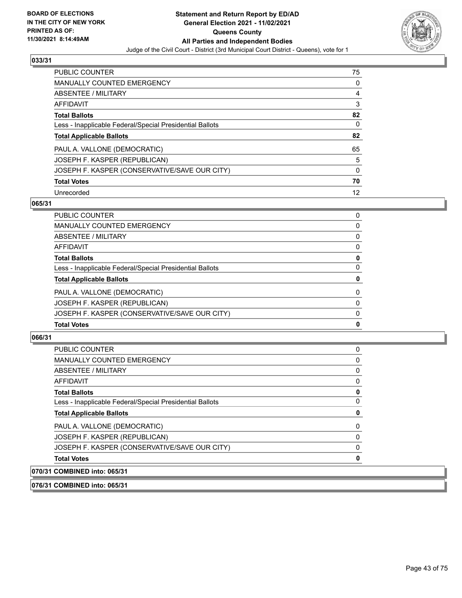

| <b>PUBLIC COUNTER</b>                                    | 75 |
|----------------------------------------------------------|----|
| <b>MANUALLY COUNTED EMERGENCY</b>                        | 0  |
| ABSENTEE / MILITARY                                      | 4  |
| AFFIDAVIT                                                | 3  |
| <b>Total Ballots</b>                                     | 82 |
| Less - Inapplicable Federal/Special Presidential Ballots | 0  |
| <b>Total Applicable Ballots</b>                          | 82 |
| PAUL A. VALLONE (DEMOCRATIC)                             | 65 |
| JOSEPH F. KASPER (REPUBLICAN)                            | 5  |
| JOSEPH F. KASPER (CONSERVATIVE/SAVE OUR CITY)            | 0  |
| <b>Total Votes</b>                                       | 70 |
| Unrecorded                                               | 12 |

### **065/31**

| <b>Total Votes</b>                                       | 0            |
|----------------------------------------------------------|--------------|
| JOSEPH F. KASPER (CONSERVATIVE/SAVE OUR CITY)            | $\Omega$     |
| JOSEPH F. KASPER (REPUBLICAN)                            | 0            |
| PAUL A. VALLONE (DEMOCRATIC)                             | $\mathbf{0}$ |
| <b>Total Applicable Ballots</b>                          | 0            |
| Less - Inapplicable Federal/Special Presidential Ballots | $\Omega$     |
| <b>Total Ballots</b>                                     | 0            |
| AFFIDAVIT                                                | 0            |
| <b>ABSENTEE / MILITARY</b>                               | $\Omega$     |
| <b>MANUALLY COUNTED EMERGENCY</b>                        | 0            |
| PUBLIC COUNTER                                           | 0            |

### **066/31**

| 070/31 COMBINED into: 065/31                             |          |
|----------------------------------------------------------|----------|
| <b>Total Votes</b>                                       | 0        |
| JOSEPH F. KASPER (CONSERVATIVE/SAVE OUR CITY)            | $\Omega$ |
| JOSEPH F. KASPER (REPUBLICAN)                            | $\Omega$ |
| PAUL A. VALLONE (DEMOCRATIC)                             | 0        |
| <b>Total Applicable Ballots</b>                          | 0        |
| Less - Inapplicable Federal/Special Presidential Ballots | $\Omega$ |
| <b>Total Ballots</b>                                     | 0        |
| AFFIDAVIT                                                | $\Omega$ |
| ABSENTEE / MILITARY                                      | $\Omega$ |
| <b>MANUALLY COUNTED EMERGENCY</b>                        | 0        |
| <b>PUBLIC COUNTER</b>                                    | $\Omega$ |

**076/31 COMBINED into: 065/31**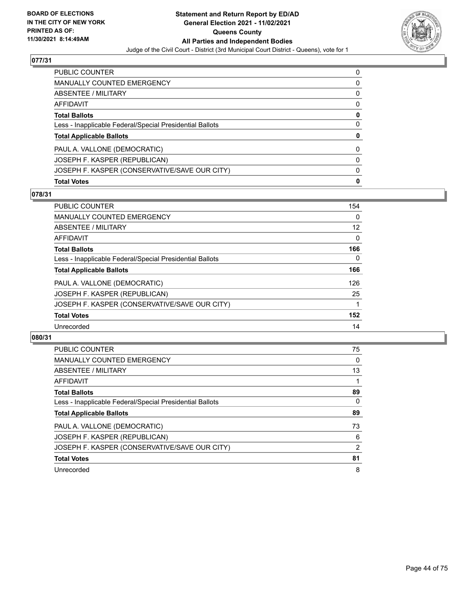

| PUBLIC COUNTER                                           | 0 |
|----------------------------------------------------------|---|
| <b>MANUALLY COUNTED EMERGENCY</b>                        | 0 |
| ABSENTEE / MILITARY                                      | 0 |
| AFFIDAVIT                                                | 0 |
| <b>Total Ballots</b>                                     | 0 |
| Less - Inapplicable Federal/Special Presidential Ballots | 0 |
| <b>Total Applicable Ballots</b>                          | 0 |
| PAUL A. VALLONE (DEMOCRATIC)                             | 0 |
| JOSEPH F. KASPER (REPUBLICAN)                            | 0 |
| JOSEPH F. KASPER (CONSERVATIVE/SAVE OUR CITY)            | 0 |
| <b>Total Votes</b>                                       | 0 |

### **078/31**

| PUBLIC COUNTER                                           | 154      |
|----------------------------------------------------------|----------|
| <b>MANUALLY COUNTED EMERGENCY</b>                        | $\Omega$ |
| ABSENTEE / MILITARY                                      | 12       |
| AFFIDAVIT                                                | $\Omega$ |
| <b>Total Ballots</b>                                     | 166      |
| Less - Inapplicable Federal/Special Presidential Ballots | 0        |
| <b>Total Applicable Ballots</b>                          | 166      |
| PAUL A. VALLONE (DEMOCRATIC)                             | 126      |
| JOSEPH F. KASPER (REPUBLICAN)                            | 25       |
| JOSEPH F. KASPER (CONSERVATIVE/SAVE OUR CITY)            |          |
| <b>Total Votes</b>                                       | 152      |
| Unrecorded                                               | 14       |
|                                                          |          |

| <b>PUBLIC COUNTER</b>                                    | 75             |
|----------------------------------------------------------|----------------|
| <b>MANUALLY COUNTED EMERGENCY</b>                        | 0              |
| ABSENTEE / MILITARY                                      | 13             |
| AFFIDAVIT                                                |                |
| <b>Total Ballots</b>                                     | 89             |
| Less - Inapplicable Federal/Special Presidential Ballots | 0              |
| <b>Total Applicable Ballots</b>                          | 89             |
| PAUL A. VALLONE (DEMOCRATIC)                             | 73             |
| JOSEPH F. KASPER (REPUBLICAN)                            | 6              |
| JOSEPH F. KASPER (CONSERVATIVE/SAVE OUR CITY)            | $\overline{2}$ |
| <b>Total Votes</b>                                       | 81             |
| Unrecorded                                               | 8              |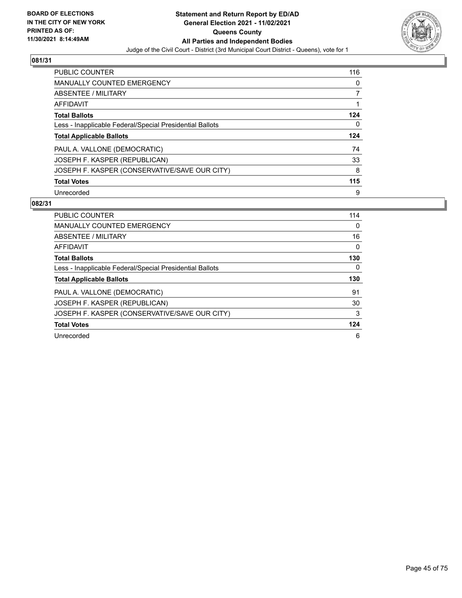

| <b>PUBLIC COUNTER</b>                                    | 116 |
|----------------------------------------------------------|-----|
| <b>MANUALLY COUNTED EMERGENCY</b>                        | 0   |
| ABSENTEE / MILITARY                                      |     |
| AFFIDAVIT                                                |     |
| <b>Total Ballots</b>                                     | 124 |
| Less - Inapplicable Federal/Special Presidential Ballots | 0   |
| <b>Total Applicable Ballots</b>                          | 124 |
| PAUL A. VALLONE (DEMOCRATIC)                             | 74  |
| JOSEPH F. KASPER (REPUBLICAN)                            | 33  |
| JOSEPH F. KASPER (CONSERVATIVE/SAVE OUR CITY)            | 8   |
| <b>Total Votes</b>                                       | 115 |
|                                                          |     |

| <b>PUBLIC COUNTER</b>                                    | 114 |
|----------------------------------------------------------|-----|
| <b>MANUALLY COUNTED EMERGENCY</b>                        | 0   |
| ABSENTEE / MILITARY                                      | 16  |
| AFFIDAVIT                                                | 0   |
| <b>Total Ballots</b>                                     | 130 |
| Less - Inapplicable Federal/Special Presidential Ballots | 0   |
|                                                          |     |
| <b>Total Applicable Ballots</b>                          | 130 |
| PAUL A. VALLONE (DEMOCRATIC)                             | 91  |
| JOSEPH F. KASPER (REPUBLICAN)                            | 30  |
| JOSEPH F. KASPER (CONSERVATIVE/SAVE OUR CITY)            | 3   |
| <b>Total Votes</b>                                       | 124 |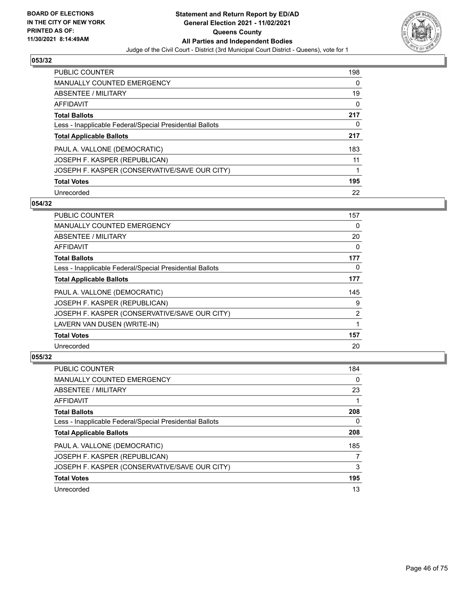

| <b>PUBLIC COUNTER</b>                                    | 198      |
|----------------------------------------------------------|----------|
| <b>MANUALLY COUNTED EMERGENCY</b>                        | $\Omega$ |
| ABSENTEE / MILITARY                                      | 19       |
| AFFIDAVIT                                                | $\Omega$ |
| <b>Total Ballots</b>                                     | 217      |
| Less - Inapplicable Federal/Special Presidential Ballots | 0        |
| <b>Total Applicable Ballots</b>                          | 217      |
| PAUL A. VALLONE (DEMOCRATIC)                             | 183      |
| JOSEPH F. KASPER (REPUBLICAN)                            | 11       |
| JOSEPH F. KASPER (CONSERVATIVE/SAVE OUR CITY)            |          |
| <b>Total Votes</b>                                       | 195      |
| Unrecorded                                               | 22       |

### **054/32**

| <b>PUBLIC COUNTER</b>                                    | 157 |
|----------------------------------------------------------|-----|
| <b>MANUALLY COUNTED EMERGENCY</b>                        | 0   |
| ABSENTEE / MILITARY                                      | 20  |
| AFFIDAVIT                                                | 0   |
| <b>Total Ballots</b>                                     | 177 |
| Less - Inapplicable Federal/Special Presidential Ballots | 0   |
| <b>Total Applicable Ballots</b>                          | 177 |
| PAUL A. VALLONE (DEMOCRATIC)                             | 145 |
| JOSEPH F. KASPER (REPUBLICAN)                            | 9   |
| JOSEPH F. KASPER (CONSERVATIVE/SAVE OUR CITY)            | 2   |
| LAVERN VAN DUSEN (WRITE-IN)                              | 1   |
| <b>Total Votes</b>                                       | 157 |
| Unrecorded                                               | 20  |

| PUBLIC COUNTER                                           | 184 |
|----------------------------------------------------------|-----|
| <b>MANUALLY COUNTED EMERGENCY</b>                        | 0   |
| ABSENTEE / MILITARY                                      | 23  |
| AFFIDAVIT                                                |     |
| <b>Total Ballots</b>                                     | 208 |
| Less - Inapplicable Federal/Special Presidential Ballots | 0   |
| <b>Total Applicable Ballots</b>                          | 208 |
| PAUL A. VALLONE (DEMOCRATIC)                             | 185 |
| JOSEPH F. KASPER (REPUBLICAN)                            |     |
| JOSEPH F. KASPER (CONSERVATIVE/SAVE OUR CITY)            | 3   |
| <b>Total Votes</b>                                       | 195 |
| Unrecorded                                               | 13  |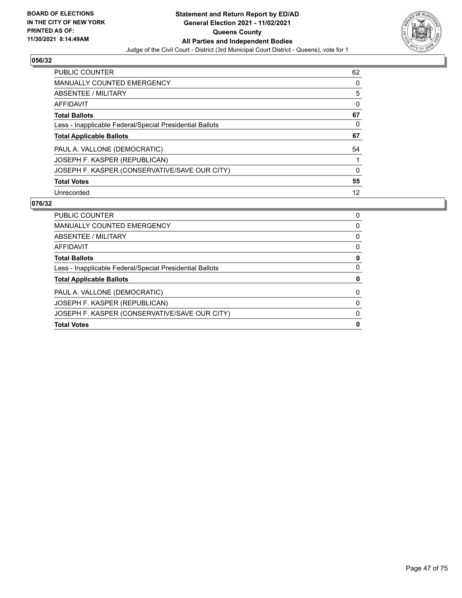

| <b>PUBLIC COUNTER</b>                                    | 62 |
|----------------------------------------------------------|----|
| <b>MANUALLY COUNTED EMERGENCY</b>                        | 0  |
| ABSENTEE / MILITARY                                      | 5  |
| AFFIDAVIT                                                | 0  |
| <b>Total Ballots</b>                                     | 67 |
| Less - Inapplicable Federal/Special Presidential Ballots | 0  |
| <b>Total Applicable Ballots</b>                          | 67 |
|                                                          |    |
| PAUL A. VALLONE (DEMOCRATIC)                             | 54 |
| JOSEPH F. KASPER (REPUBLICAN)                            |    |
| JOSEPH F. KASPER (CONSERVATIVE/SAVE OUR CITY)            | 0  |
| <b>Total Votes</b>                                       | 55 |

| <b>PUBLIC COUNTER</b>                                    | 0 |
|----------------------------------------------------------|---|
| <b>MANUALLY COUNTED EMERGENCY</b>                        | 0 |
| ABSENTEE / MILITARY                                      | 0 |
| AFFIDAVIT                                                | 0 |
| <b>Total Ballots</b>                                     | 0 |
| Less - Inapplicable Federal/Special Presidential Ballots | 0 |
| <b>Total Applicable Ballots</b>                          | 0 |
| PAUL A. VALLONE (DEMOCRATIC)                             | 0 |
| JOSEPH F. KASPER (REPUBLICAN)                            | 0 |
| JOSEPH F. KASPER (CONSERVATIVE/SAVE OUR CITY)            | 0 |
| <b>Total Votes</b>                                       | 0 |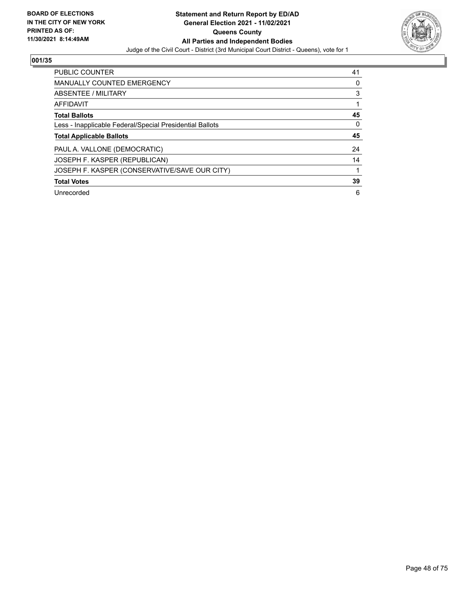

| PUBLIC COUNTER                                           | 41 |
|----------------------------------------------------------|----|
| MANUALLY COUNTED EMERGENCY                               | 0  |
| ABSENTEE / MILITARY                                      | 3  |
| <b>AFFIDAVIT</b>                                         |    |
| <b>Total Ballots</b>                                     | 45 |
| Less - Inapplicable Federal/Special Presidential Ballots | 0  |
| <b>Total Applicable Ballots</b>                          | 45 |
| PAUL A. VALLONE (DEMOCRATIC)                             | 24 |
| JOSEPH F. KASPER (REPUBLICAN)                            | 14 |
| JOSEPH F. KASPER (CONSERVATIVE/SAVE OUR CITY)            |    |
| <b>Total Votes</b>                                       | 39 |
| Unrecorded                                               | 6  |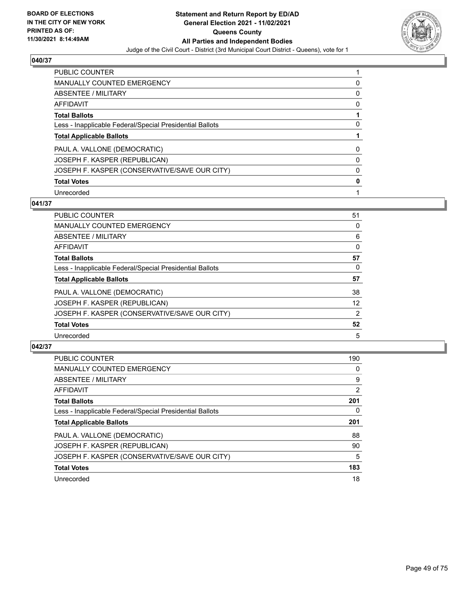

| <b>PUBLIC COUNTER</b>                                    |   |
|----------------------------------------------------------|---|
| <b>MANUALLY COUNTED EMERGENCY</b>                        | 0 |
| ABSENTEE / MILITARY                                      | 0 |
| AFFIDAVIT                                                | 0 |
| <b>Total Ballots</b>                                     |   |
| Less - Inapplicable Federal/Special Presidential Ballots | 0 |
| <b>Total Applicable Ballots</b>                          |   |
| PAUL A. VALLONE (DEMOCRATIC)                             | 0 |
| JOSEPH F. KASPER (REPUBLICAN)                            |   |
| JOSEPH F. KASPER (CONSERVATIVE/SAVE OUR CITY)            | 0 |
| <b>Total Votes</b>                                       |   |
| Unrecorded                                               |   |

### **041/37**

| <b>PUBLIC COUNTER</b>                                    | 51       |
|----------------------------------------------------------|----------|
| MANUALLY COUNTED EMERGENCY                               | $\Omega$ |
| ABSENTEE / MILITARY                                      | 6        |
| AFFIDAVIT                                                | $\Omega$ |
| <b>Total Ballots</b>                                     | 57       |
| Less - Inapplicable Federal/Special Presidential Ballots | $\Omega$ |
| <b>Total Applicable Ballots</b>                          | 57       |
| PAUL A. VALLONE (DEMOCRATIC)                             | 38       |
| JOSEPH F. KASPER (REPUBLICAN)                            | 12       |
| JOSEPH F. KASPER (CONSERVATIVE/SAVE OUR CITY)            | 2        |
| <b>Total Votes</b>                                       | 52       |
| Unrecorded                                               | 5        |

| PUBLIC COUNTER                                           | 190 |
|----------------------------------------------------------|-----|
| <b>MANUALLY COUNTED EMERGENCY</b>                        | 0   |
| ABSENTEE / MILITARY                                      | 9   |
| <b>AFFIDAVIT</b>                                         | 2   |
| <b>Total Ballots</b>                                     | 201 |
| Less - Inapplicable Federal/Special Presidential Ballots | 0   |
| <b>Total Applicable Ballots</b>                          | 201 |
| PAUL A. VALLONE (DEMOCRATIC)                             | 88  |
| JOSEPH F. KASPER (REPUBLICAN)                            | 90  |
| JOSEPH F. KASPER (CONSERVATIVE/SAVE OUR CITY)            | 5   |
| <b>Total Votes</b>                                       | 183 |
| Unrecorded                                               | 18  |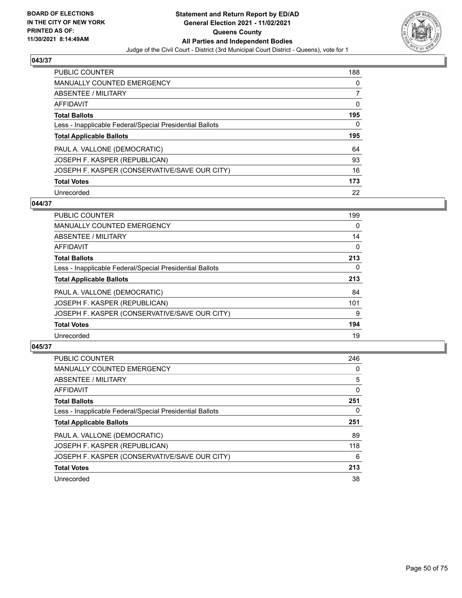

| PUBLIC COUNTER                                           | 188 |
|----------------------------------------------------------|-----|
| <b>MANUALLY COUNTED EMERGENCY</b>                        | 0   |
| ABSENTEE / MILITARY                                      |     |
| AFFIDAVIT                                                | 0   |
| <b>Total Ballots</b>                                     | 195 |
| Less - Inapplicable Federal/Special Presidential Ballots | 0   |
| <b>Total Applicable Ballots</b>                          | 195 |
|                                                          |     |
| PAUL A. VALLONE (DEMOCRATIC)                             | 64  |
| JOSEPH F. KASPER (REPUBLICAN)                            | 93  |
| JOSEPH F. KASPER (CONSERVATIVE/SAVE OUR CITY)            | 16  |
| <b>Total Votes</b>                                       | 173 |

# **044/37**

| <b>PUBLIC COUNTER</b>                                    | 199      |
|----------------------------------------------------------|----------|
| <b>MANUALLY COUNTED EMERGENCY</b>                        | $\Omega$ |
| ABSENTEE / MILITARY                                      | 14       |
| <b>AFFIDAVIT</b>                                         | $\Omega$ |
| <b>Total Ballots</b>                                     | 213      |
| Less - Inapplicable Federal/Special Presidential Ballots | $\Omega$ |
| <b>Total Applicable Ballots</b>                          | 213      |
| PAUL A. VALLONE (DEMOCRATIC)                             | 84       |
| JOSEPH F. KASPER (REPUBLICAN)                            | 101      |
| JOSEPH F. KASPER (CONSERVATIVE/SAVE OUR CITY)            | 9        |
| <b>Total Votes</b>                                       | 194      |
| Unrecorded                                               | 19       |

| <b>PUBLIC COUNTER</b>                                    | 246 |
|----------------------------------------------------------|-----|
| <b>MANUALLY COUNTED EMERGENCY</b>                        | 0   |
| ABSENTEE / MILITARY                                      | 5   |
| AFFIDAVIT                                                | 0   |
| <b>Total Ballots</b>                                     | 251 |
| Less - Inapplicable Federal/Special Presidential Ballots | 0   |
| <b>Total Applicable Ballots</b>                          | 251 |
| PAUL A. VALLONE (DEMOCRATIC)                             | 89  |
| JOSEPH F. KASPER (REPUBLICAN)                            | 118 |
| JOSEPH F. KASPER (CONSERVATIVE/SAVE OUR CITY)            | 6   |
| <b>Total Votes</b>                                       | 213 |
| Unrecorded                                               | 38  |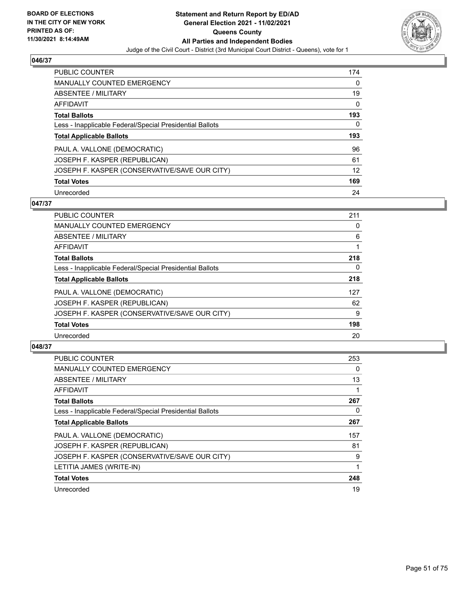

| PUBLIC COUNTER                                           | 174 |
|----------------------------------------------------------|-----|
| <b>MANUALLY COUNTED EMERGENCY</b>                        | 0   |
| ABSENTEE / MILITARY                                      | 19  |
| AFFIDAVIT                                                | 0   |
| <b>Total Ballots</b>                                     | 193 |
| Less - Inapplicable Federal/Special Presidential Ballots | 0   |
| <b>Total Applicable Ballots</b>                          | 193 |
|                                                          |     |
| PAUL A. VALLONE (DEMOCRATIC)                             | 96  |
| JOSEPH F. KASPER (REPUBLICAN)                            | 61  |
| JOSEPH F. KASPER (CONSERVATIVE/SAVE OUR CITY)            | 12  |
| <b>Total Votes</b>                                       | 169 |

### **047/37**

| <b>PUBLIC COUNTER</b>                                    | 211      |
|----------------------------------------------------------|----------|
| <b>MANUALLY COUNTED EMERGENCY</b>                        | 0        |
| ABSENTEE / MILITARY                                      | 6        |
| <b>AFFIDAVIT</b>                                         |          |
| <b>Total Ballots</b>                                     | 218      |
| Less - Inapplicable Federal/Special Presidential Ballots | $\Omega$ |
| <b>Total Applicable Ballots</b>                          | 218      |
| PAUL A. VALLONE (DEMOCRATIC)                             | 127      |
| JOSEPH F. KASPER (REPUBLICAN)                            | 62       |
| JOSEPH F. KASPER (CONSERVATIVE/SAVE OUR CITY)            | 9        |
| <b>Total Votes</b>                                       | 198      |
| Unrecorded                                               | 20       |

| <b>PUBLIC COUNTER</b>                                    | 253 |
|----------------------------------------------------------|-----|
| <b>MANUALLY COUNTED EMERGENCY</b>                        | 0   |
| ABSENTEE / MILITARY                                      | 13  |
| AFFIDAVIT                                                |     |
| <b>Total Ballots</b>                                     | 267 |
| Less - Inapplicable Federal/Special Presidential Ballots | 0   |
| <b>Total Applicable Ballots</b>                          | 267 |
| PAUL A. VALLONE (DEMOCRATIC)                             | 157 |
| JOSEPH F. KASPER (REPUBLICAN)                            | 81  |
| JOSEPH F. KASPER (CONSERVATIVE/SAVE OUR CITY)            | 9   |
| LETITIA JAMES (WRITE-IN)                                 |     |
| <b>Total Votes</b>                                       | 248 |
| Unrecorded                                               | 19  |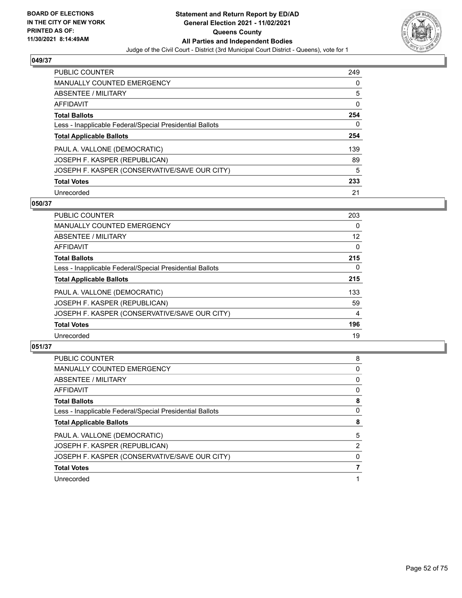

| PUBLIC COUNTER                                           | 249 |
|----------------------------------------------------------|-----|
| <b>MANUALLY COUNTED EMERGENCY</b>                        | 0   |
| ABSENTEE / MILITARY                                      | 5   |
| AFFIDAVIT                                                | 0   |
| <b>Total Ballots</b>                                     | 254 |
| Less - Inapplicable Federal/Special Presidential Ballots | 0   |
| <b>Total Applicable Ballots</b>                          | 254 |
| PAUL A. VALLONE (DEMOCRATIC)                             | 139 |
| JOSEPH F. KASPER (REPUBLICAN)                            | 89  |
| JOSEPH F. KASPER (CONSERVATIVE/SAVE OUR CITY)            | 5   |
| <b>Total Votes</b>                                       | 233 |
| Unrecorded                                               | 21  |

### **050/37**

| <b>PUBLIC COUNTER</b>                                    | 203          |
|----------------------------------------------------------|--------------|
| MANUALLY COUNTED EMERGENCY                               | $\Omega$     |
| ABSENTEE / MILITARY                                      | 12           |
| AFFIDAVIT                                                | $\mathbf{0}$ |
| <b>Total Ballots</b>                                     | 215          |
| Less - Inapplicable Federal/Special Presidential Ballots | $\Omega$     |
| <b>Total Applicable Ballots</b>                          | 215          |
| PAUL A. VALLONE (DEMOCRATIC)                             | 133          |
| JOSEPH F. KASPER (REPUBLICAN)                            | 59           |
| JOSEPH F. KASPER (CONSERVATIVE/SAVE OUR CITY)            | 4            |
| <b>Total Votes</b>                                       | 196          |
| Unrecorded                                               | 19           |

| <b>PUBLIC COUNTER</b>                                    | 8              |
|----------------------------------------------------------|----------------|
| <b>MANUALLY COUNTED EMERGENCY</b>                        | 0              |
| ABSENTEE / MILITARY                                      | 0              |
| AFFIDAVIT                                                | 0              |
| <b>Total Ballots</b>                                     | 8              |
| Less - Inapplicable Federal/Special Presidential Ballots | 0              |
| <b>Total Applicable Ballots</b>                          | 8              |
| PAUL A. VALLONE (DEMOCRATIC)                             | 5              |
| JOSEPH F. KASPER (REPUBLICAN)                            | $\overline{2}$ |
| JOSEPH F. KASPER (CONSERVATIVE/SAVE OUR CITY)            | 0              |
| <b>Total Votes</b>                                       |                |
| Unrecorded                                               |                |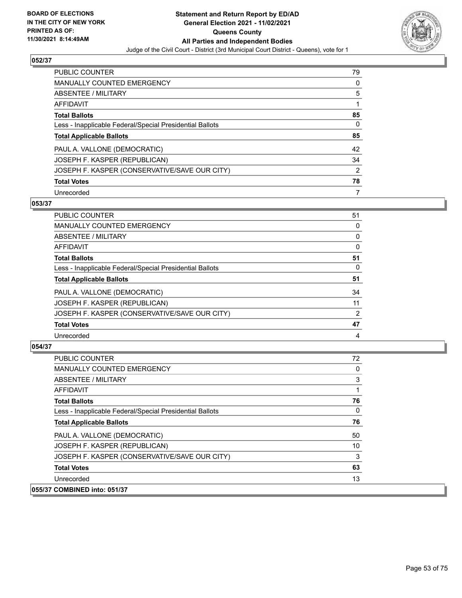

| <b>PUBLIC COUNTER</b>                                    | 79             |
|----------------------------------------------------------|----------------|
| <b>MANUALLY COUNTED EMERGENCY</b>                        | 0              |
| ABSENTEE / MILITARY                                      | 5              |
| AFFIDAVIT                                                |                |
| <b>Total Ballots</b>                                     | 85             |
| Less - Inapplicable Federal/Special Presidential Ballots | 0              |
| <b>Total Applicable Ballots</b>                          | 85             |
| PAUL A. VALLONE (DEMOCRATIC)                             | 42             |
| JOSEPH F. KASPER (REPUBLICAN)                            | 34             |
| JOSEPH F. KASPER (CONSERVATIVE/SAVE OUR CITY)            | $\overline{2}$ |
| <b>Total Votes</b>                                       | 78             |
| Unrecorded                                               | 7              |

### **053/37**

| <b>PUBLIC COUNTER</b>                                    | 51 |
|----------------------------------------------------------|----|
| <b>MANUALLY COUNTED EMERGENCY</b>                        | 0  |
| ABSENTEE / MILITARY                                      | 0  |
| AFFIDAVIT                                                | 0  |
| <b>Total Ballots</b>                                     | 51 |
| Less - Inapplicable Federal/Special Presidential Ballots | 0  |
| <b>Total Applicable Ballots</b>                          | 51 |
| PAUL A. VALLONE (DEMOCRATIC)                             | 34 |
| JOSEPH F. KASPER (REPUBLICAN)                            | 11 |
| JOSEPH F. KASPER (CONSERVATIVE/SAVE OUR CITY)            | 2  |
| <b>Total Votes</b>                                       | 47 |
| Unrecorded                                               | 4  |

| <b>PUBLIC COUNTER</b>                                    | 72 |
|----------------------------------------------------------|----|
| MANUALLY COUNTED EMERGENCY                               | 0  |
| ABSENTEE / MILITARY                                      | 3  |
| AFFIDAVIT                                                |    |
| <b>Total Ballots</b>                                     | 76 |
| Less - Inapplicable Federal/Special Presidential Ballots | 0  |
| <b>Total Applicable Ballots</b>                          | 76 |
| PAUL A. VALLONE (DEMOCRATIC)                             | 50 |
| JOSEPH F. KASPER (REPUBLICAN)                            | 10 |
| JOSEPH F. KASPER (CONSERVATIVE/SAVE OUR CITY)            | 3  |
| <b>Total Votes</b>                                       | 63 |
| Unrecorded                                               | 13 |
| 055/37 COMBINED into: 051/37                             |    |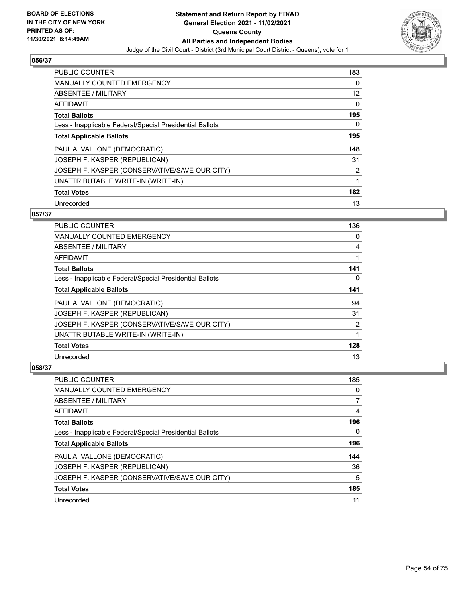

| <b>PUBLIC COUNTER</b>                                    | 183               |
|----------------------------------------------------------|-------------------|
| <b>MANUALLY COUNTED EMERGENCY</b>                        | 0                 |
| ABSENTEE / MILITARY                                      | $12 \overline{ }$ |
| <b>AFFIDAVIT</b>                                         | $\mathbf{0}$      |
| <b>Total Ballots</b>                                     | 195               |
| Less - Inapplicable Federal/Special Presidential Ballots | 0                 |
| <b>Total Applicable Ballots</b>                          | 195               |
| PAUL A. VALLONE (DEMOCRATIC)                             | 148               |
| JOSEPH F. KASPER (REPUBLICAN)                            | 31                |
| JOSEPH F. KASPER (CONSERVATIVE/SAVE OUR CITY)            | 2                 |
| UNATTRIBUTABLE WRITE-IN (WRITE-IN)                       | 1                 |
| <b>Total Votes</b>                                       | 182               |
| Unrecorded                                               | 13                |

# **057/37**

| PUBLIC COUNTER                                           | 136           |
|----------------------------------------------------------|---------------|
| <b>MANUALLY COUNTED EMERGENCY</b>                        | 0             |
| ABSENTEE / MILITARY                                      | 4             |
| AFFIDAVIT                                                |               |
| <b>Total Ballots</b>                                     | 141           |
| Less - Inapplicable Federal/Special Presidential Ballots | 0             |
| <b>Total Applicable Ballots</b>                          | 141           |
| PAUL A. VALLONE (DEMOCRATIC)                             | 94            |
| JOSEPH F. KASPER (REPUBLICAN)                            | 31            |
| JOSEPH F. KASPER (CONSERVATIVE/SAVE OUR CITY)            | $\mathcal{P}$ |
| UNATTRIBUTABLE WRITE-IN (WRITE-IN)                       | 1             |
| <b>Total Votes</b>                                       | 128           |
| Unrecorded                                               | 13            |

| PUBLIC COUNTER                                           | 185 |
|----------------------------------------------------------|-----|
| <b>MANUALLY COUNTED EMERGENCY</b>                        | 0   |
| ABSENTEE / MILITARY                                      | 7   |
| AFFIDAVIT                                                | 4   |
| <b>Total Ballots</b>                                     | 196 |
| Less - Inapplicable Federal/Special Presidential Ballots | 0   |
| <b>Total Applicable Ballots</b>                          | 196 |
| PAUL A. VALLONE (DEMOCRATIC)                             | 144 |
| JOSEPH F. KASPER (REPUBLICAN)                            | 36  |
| JOSEPH F. KASPER (CONSERVATIVE/SAVE OUR CITY)            | 5   |
| <b>Total Votes</b>                                       | 185 |
| Unrecorded                                               | 11  |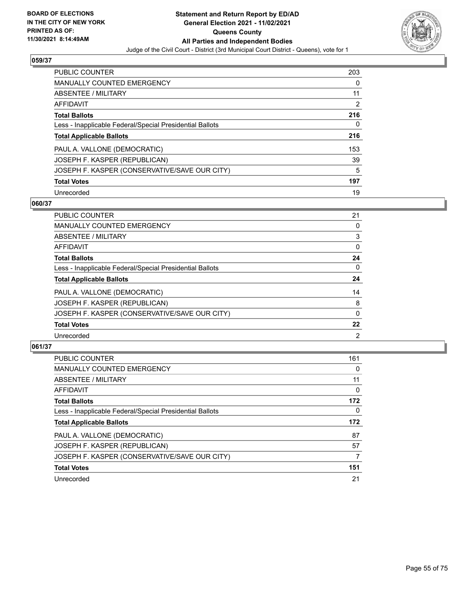

| <b>PUBLIC COUNTER</b>                                    | 203            |
|----------------------------------------------------------|----------------|
| <b>MANUALLY COUNTED EMERGENCY</b>                        | 0              |
| ABSENTEE / MILITARY                                      | 11             |
| AFFIDAVIT                                                | $\overline{2}$ |
| <b>Total Ballots</b>                                     | 216            |
| Less - Inapplicable Federal/Special Presidential Ballots | 0              |
| <b>Total Applicable Ballots</b>                          | 216            |
| PAUL A. VALLONE (DEMOCRATIC)                             | 153            |
| JOSEPH F. KASPER (REPUBLICAN)                            | 39             |
| JOSEPH F. KASPER (CONSERVATIVE/SAVE OUR CITY)            | 5              |
| <b>Total Votes</b>                                       | 197            |
| Unrecorded                                               | 19             |

### **060/37**

| <b>PUBLIC COUNTER</b>                                    | 21             |
|----------------------------------------------------------|----------------|
| <b>MANUALLY COUNTED EMERGENCY</b>                        | 0              |
| ABSENTEE / MILITARY                                      | 3              |
| AFFIDAVIT                                                | $\Omega$       |
| <b>Total Ballots</b>                                     | 24             |
| Less - Inapplicable Federal/Special Presidential Ballots | $\Omega$       |
| <b>Total Applicable Ballots</b>                          | 24             |
| PAUL A. VALLONE (DEMOCRATIC)                             | 14             |
| JOSEPH F. KASPER (REPUBLICAN)                            | 8              |
| JOSEPH F. KASPER (CONSERVATIVE/SAVE OUR CITY)            | $\mathbf{0}$   |
| <b>Total Votes</b>                                       | 22             |
| Unrecorded                                               | $\overline{2}$ |

| PUBLIC COUNTER                                           | 161      |
|----------------------------------------------------------|----------|
| <b>MANUALLY COUNTED EMERGENCY</b>                        | 0        |
| ABSENTEE / MILITARY                                      | 11       |
| <b>AFFIDAVIT</b>                                         | $\Omega$ |
| <b>Total Ballots</b>                                     | 172      |
| Less - Inapplicable Federal/Special Presidential Ballots | $\Omega$ |
| <b>Total Applicable Ballots</b>                          | 172      |
| PAUL A. VALLONE (DEMOCRATIC)                             | 87       |
| JOSEPH F. KASPER (REPUBLICAN)                            | 57       |
| JOSEPH F. KASPER (CONSERVATIVE/SAVE OUR CITY)            |          |
| <b>Total Votes</b>                                       | 151      |
| Unrecorded                                               | 21       |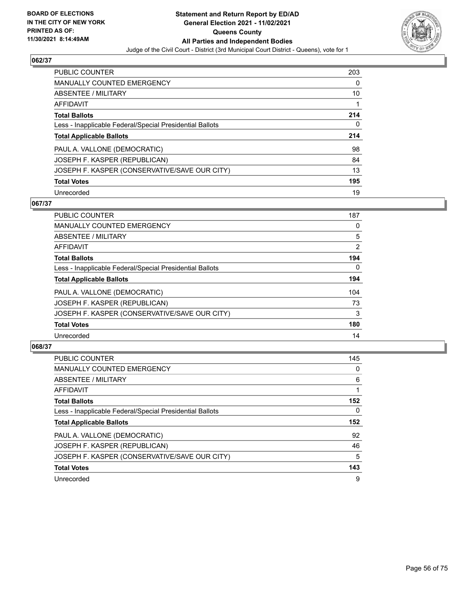

| <b>PUBLIC COUNTER</b>                                    | 203 |
|----------------------------------------------------------|-----|
| <b>MANUALLY COUNTED EMERGENCY</b>                        | 0   |
| ABSENTEE / MILITARY                                      | 10  |
| AFFIDAVIT                                                | 1   |
| <b>Total Ballots</b>                                     | 214 |
| Less - Inapplicable Federal/Special Presidential Ballots | 0   |
| <b>Total Applicable Ballots</b>                          | 214 |
|                                                          |     |
| PAUL A. VALLONE (DEMOCRATIC)                             | 98  |
| JOSEPH F. KASPER (REPUBLICAN)                            | 84  |
| JOSEPH F. KASPER (CONSERVATIVE/SAVE OUR CITY)            | 13  |
| <b>Total Votes</b>                                       | 195 |

### **067/37**

| <b>PUBLIC COUNTER</b>                                    | 187      |
|----------------------------------------------------------|----------|
| <b>MANUALLY COUNTED EMERGENCY</b>                        | 0        |
| ABSENTEE / MILITARY                                      | 5        |
| <b>AFFIDAVIT</b>                                         | 2        |
| <b>Total Ballots</b>                                     | 194      |
| Less - Inapplicable Federal/Special Presidential Ballots | $\Omega$ |
| <b>Total Applicable Ballots</b>                          | 194      |
| PAUL A. VALLONE (DEMOCRATIC)                             | 104      |
| JOSEPH F. KASPER (REPUBLICAN)                            | 73       |
| JOSEPH F. KASPER (CONSERVATIVE/SAVE OUR CITY)            | 3        |
| <b>Total Votes</b>                                       | 180      |
| Unrecorded                                               | 14       |

| <b>PUBLIC COUNTER</b>                                    | 145      |
|----------------------------------------------------------|----------|
| <b>MANUALLY COUNTED EMERGENCY</b>                        | $\Omega$ |
| ABSENTEE / MILITARY                                      | 6        |
| <b>AFFIDAVIT</b>                                         |          |
| <b>Total Ballots</b>                                     | 152      |
| Less - Inapplicable Federal/Special Presidential Ballots | 0        |
| <b>Total Applicable Ballots</b>                          | 152      |
| PAUL A. VALLONE (DEMOCRATIC)                             | 92       |
| JOSEPH F. KASPER (REPUBLICAN)                            | 46       |
| JOSEPH F. KASPER (CONSERVATIVE/SAVE OUR CITY)            | 5        |
| <b>Total Votes</b>                                       | 143      |
| Unrecorded                                               | 9        |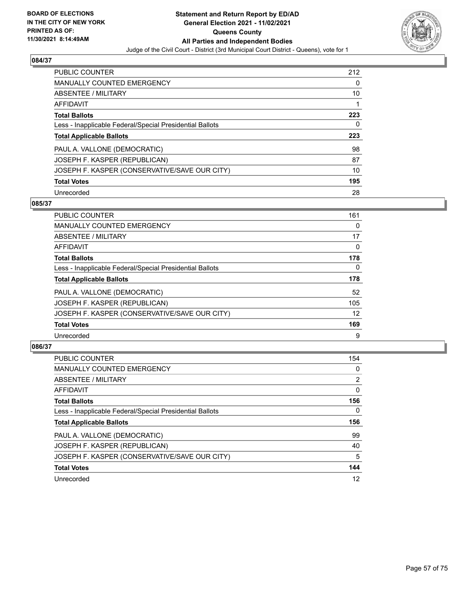

| <b>PUBLIC COUNTER</b>                                    | 212 |
|----------------------------------------------------------|-----|
| <b>MANUALLY COUNTED EMERGENCY</b>                        | 0   |
| ABSENTEE / MILITARY                                      | 10  |
| AFFIDAVIT                                                | 1   |
| <b>Total Ballots</b>                                     | 223 |
| Less - Inapplicable Federal/Special Presidential Ballots | 0   |
| <b>Total Applicable Ballots</b>                          | 223 |
|                                                          |     |
| PAUL A. VALLONE (DEMOCRATIC)                             | 98  |
| JOSEPH F. KASPER (REPUBLICAN)                            | 87  |
| JOSEPH F. KASPER (CONSERVATIVE/SAVE OUR CITY)            | 10  |
| <b>Total Votes</b>                                       | 195 |

### **085/37**

| <b>PUBLIC COUNTER</b>                                    | 161      |
|----------------------------------------------------------|----------|
| MANUALLY COUNTED EMERGENCY                               | $\Omega$ |
| ABSENTEE / MILITARY                                      | 17       |
| <b>AFFIDAVIT</b>                                         | $\Omega$ |
| <b>Total Ballots</b>                                     | 178      |
| Less - Inapplicable Federal/Special Presidential Ballots | $\Omega$ |
| <b>Total Applicable Ballots</b>                          | 178      |
| PAUL A. VALLONE (DEMOCRATIC)                             | 52       |
| JOSEPH F. KASPER (REPUBLICAN)                            | 105      |
| JOSEPH F. KASPER (CONSERVATIVE/SAVE OUR CITY)            | 12       |
| <b>Total Votes</b>                                       | 169      |
| Unrecorded                                               | 9        |

| <b>PUBLIC COUNTER</b>                                    | 154            |
|----------------------------------------------------------|----------------|
| <b>MANUALLY COUNTED EMERGENCY</b>                        | 0              |
| ABSENTEE / MILITARY                                      | $\overline{2}$ |
| <b>AFFIDAVIT</b>                                         | $\Omega$       |
| <b>Total Ballots</b>                                     | 156            |
| Less - Inapplicable Federal/Special Presidential Ballots | 0              |
| <b>Total Applicable Ballots</b>                          | 156            |
|                                                          |                |
| PAUL A. VALLONE (DEMOCRATIC)                             | 99             |
| JOSEPH F. KASPER (REPUBLICAN)                            | 40             |
| JOSEPH F. KASPER (CONSERVATIVE/SAVE OUR CITY)            | 5              |
| <b>Total Votes</b>                                       | 144            |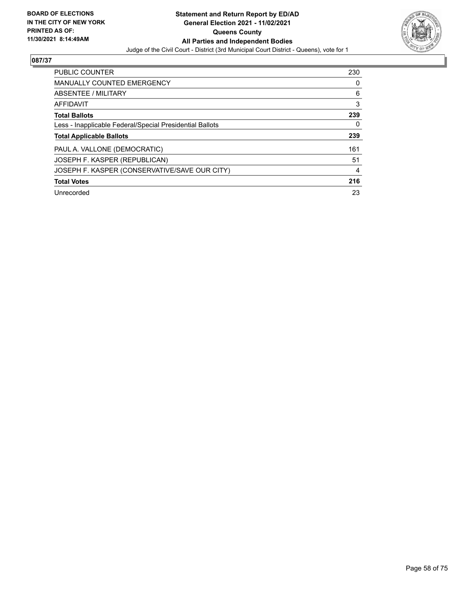

| <b>PUBLIC COUNTER</b>                                    | 230 |
|----------------------------------------------------------|-----|
| <b>MANUALLY COUNTED EMERGENCY</b>                        | 0   |
| ABSENTEE / MILITARY                                      | 6   |
| <b>AFFIDAVIT</b>                                         | 3   |
| <b>Total Ballots</b>                                     | 239 |
| Less - Inapplicable Federal/Special Presidential Ballots | 0   |
| <b>Total Applicable Ballots</b>                          | 239 |
| PAUL A. VALLONE (DEMOCRATIC)                             | 161 |
| JOSEPH F. KASPER (REPUBLICAN)                            | 51  |
| JOSEPH F. KASPER (CONSERVATIVE/SAVE OUR CITY)            | 4   |
| <b>Total Votes</b>                                       | 216 |
| Unrecorded                                               | 23  |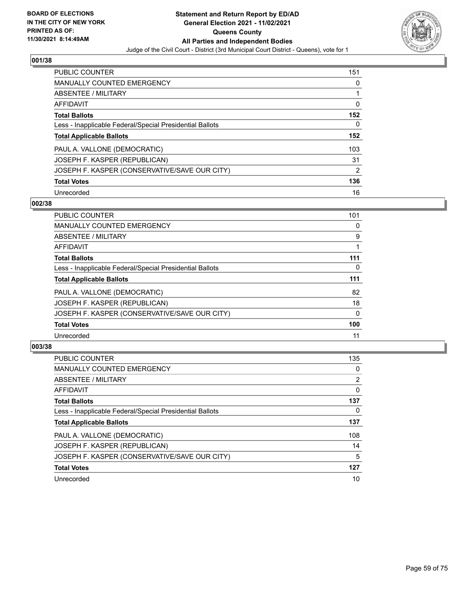

| <b>PUBLIC COUNTER</b>                                    | 151            |
|----------------------------------------------------------|----------------|
| <b>MANUALLY COUNTED EMERGENCY</b>                        | 0              |
| ABSENTEE / MILITARY                                      |                |
| AFFIDAVIT                                                | 0              |
| <b>Total Ballots</b>                                     | 152            |
| Less - Inapplicable Federal/Special Presidential Ballots | 0              |
| <b>Total Applicable Ballots</b>                          | 152            |
| PAUL A. VALLONE (DEMOCRATIC)                             | 103            |
| JOSEPH F. KASPER (REPUBLICAN)                            | 31             |
| JOSEPH F. KASPER (CONSERVATIVE/SAVE OUR CITY)            | $\overline{2}$ |
| <b>Total Votes</b>                                       | 136            |
| Unrecorded                                               | 16             |

### **002/38**

| <b>PUBLIC COUNTER</b>                                    | 101      |
|----------------------------------------------------------|----------|
| <b>MANUALLY COUNTED EMERGENCY</b>                        | 0        |
| ABSENTEE / MILITARY                                      | 9        |
| <b>AFFIDAVIT</b>                                         |          |
| <b>Total Ballots</b>                                     | 111      |
| Less - Inapplicable Federal/Special Presidential Ballots | $\Omega$ |
| <b>Total Applicable Ballots</b>                          | 111      |
| PAUL A. VALLONE (DEMOCRATIC)                             | 82       |
| JOSEPH F. KASPER (REPUBLICAN)                            | 18       |
| JOSEPH F. KASPER (CONSERVATIVE/SAVE OUR CITY)            | $\Omega$ |
| <b>Total Votes</b>                                       | 100      |
| Unrecorded                                               | 11       |

| PUBLIC COUNTER                                           | 135            |
|----------------------------------------------------------|----------------|
| <b>MANUALLY COUNTED EMERGENCY</b>                        | 0              |
| ABSENTEE / MILITARY                                      | $\overline{2}$ |
| <b>AFFIDAVIT</b>                                         | $\Omega$       |
| <b>Total Ballots</b>                                     | 137            |
| Less - Inapplicable Federal/Special Presidential Ballots | 0              |
| <b>Total Applicable Ballots</b>                          | 137            |
| PAUL A. VALLONE (DEMOCRATIC)                             | 108            |
| JOSEPH F. KASPER (REPUBLICAN)                            | 14             |
| JOSEPH F. KASPER (CONSERVATIVE/SAVE OUR CITY)            | 5              |
| <b>Total Votes</b>                                       | 127            |
| Unrecorded                                               | 10             |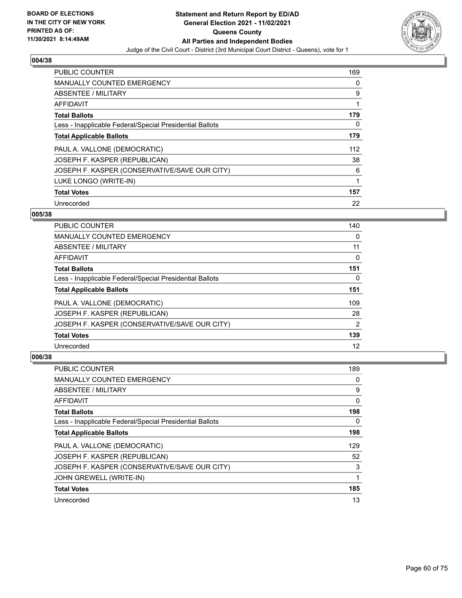

| <b>PUBLIC COUNTER</b>                                    | 169 |
|----------------------------------------------------------|-----|
| <b>MANUALLY COUNTED EMERGENCY</b>                        | 0   |
| ABSENTEE / MILITARY                                      | 9   |
| <b>AFFIDAVIT</b>                                         | 1   |
| <b>Total Ballots</b>                                     | 179 |
| Less - Inapplicable Federal/Special Presidential Ballots | 0   |
| <b>Total Applicable Ballots</b>                          | 179 |
| PAUL A. VALLONE (DEMOCRATIC)                             | 112 |
| JOSEPH F. KASPER (REPUBLICAN)                            | 38  |
| JOSEPH F. KASPER (CONSERVATIVE/SAVE OUR CITY)            | 6   |
| LUKE LONGO (WRITE-IN)                                    | 1   |
| <b>Total Votes</b>                                       | 157 |
| Unrecorded                                               | 22  |

### **005/38**

| <b>PUBLIC COUNTER</b>                                    | 140 |
|----------------------------------------------------------|-----|
| MANUALLY COUNTED EMERGENCY                               | 0   |
| ABSENTEE / MILITARY                                      | 11  |
| <b>AFFIDAVIT</b>                                         | 0   |
| <b>Total Ballots</b>                                     | 151 |
| Less - Inapplicable Federal/Special Presidential Ballots | 0   |
| <b>Total Applicable Ballots</b>                          | 151 |
| PAUL A. VALLONE (DEMOCRATIC)                             | 109 |
| JOSEPH F. KASPER (REPUBLICAN)                            | 28  |
| JOSEPH F. KASPER (CONSERVATIVE/SAVE OUR CITY)            | 2   |
| <b>Total Votes</b>                                       | 139 |
| Unrecorded                                               | 12  |

| <b>PUBLIC COUNTER</b>                                    | 189 |
|----------------------------------------------------------|-----|
| <b>MANUALLY COUNTED EMERGENCY</b>                        | 0   |
| ABSENTEE / MILITARY                                      | 9   |
| AFFIDAVIT                                                | 0   |
| <b>Total Ballots</b>                                     | 198 |
| Less - Inapplicable Federal/Special Presidential Ballots | 0   |
| <b>Total Applicable Ballots</b>                          | 198 |
| PAUL A. VALLONE (DEMOCRATIC)                             | 129 |
| JOSEPH F. KASPER (REPUBLICAN)                            | 52  |
| JOSEPH F. KASPER (CONSERVATIVE/SAVE OUR CITY)            | 3   |
| JOHN GREWELL (WRITE-IN)                                  | 1   |
| <b>Total Votes</b>                                       | 185 |
| Unrecorded                                               | 13  |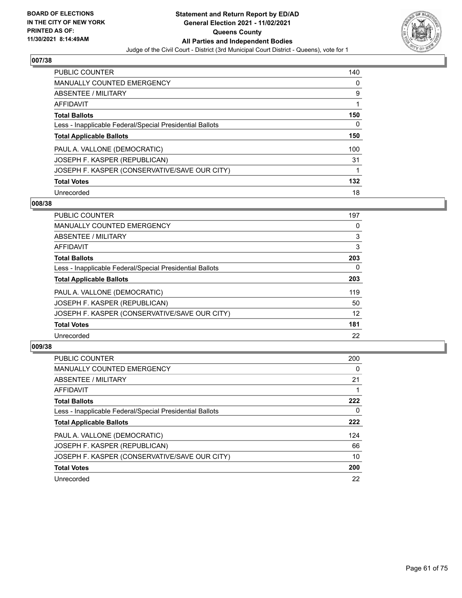

| <b>PUBLIC COUNTER</b>                                    | 140 |
|----------------------------------------------------------|-----|
| <b>MANUALLY COUNTED EMERGENCY</b>                        | 0   |
| ABSENTEE / MILITARY                                      | 9   |
| <b>AFFIDAVIT</b>                                         |     |
| <b>Total Ballots</b>                                     | 150 |
| Less - Inapplicable Federal/Special Presidential Ballots | 0   |
| <b>Total Applicable Ballots</b>                          | 150 |
| PAUL A. VALLONE (DEMOCRATIC)                             | 100 |
| JOSEPH F. KASPER (REPUBLICAN)                            | 31  |
| JOSEPH F. KASPER (CONSERVATIVE/SAVE OUR CITY)            |     |
| <b>Total Votes</b>                                       | 132 |
| Unrecorded                                               | 18  |

### **008/38**

| <b>PUBLIC COUNTER</b>                                    | 197      |
|----------------------------------------------------------|----------|
| <b>MANUALLY COUNTED EMERGENCY</b>                        | 0        |
| ABSENTEE / MILITARY                                      | 3        |
| <b>AFFIDAVIT</b>                                         | 3        |
| <b>Total Ballots</b>                                     | 203      |
| Less - Inapplicable Federal/Special Presidential Ballots | $\Omega$ |
| <b>Total Applicable Ballots</b>                          | 203      |
| PAUL A. VALLONE (DEMOCRATIC)                             | 119      |
| JOSEPH F. KASPER (REPUBLICAN)                            | 50       |
| JOSEPH F. KASPER (CONSERVATIVE/SAVE OUR CITY)            | 12       |
| <b>Total Votes</b>                                       | 181      |
| Unrecorded                                               | 22       |

| <b>PUBLIC COUNTER</b>                                    | 200      |
|----------------------------------------------------------|----------|
| <b>MANUALLY COUNTED EMERGENCY</b>                        | $\Omega$ |
| ABSENTEE / MILITARY                                      | 21       |
| <b>AFFIDAVIT</b>                                         |          |
| <b>Total Ballots</b>                                     | 222      |
| Less - Inapplicable Federal/Special Presidential Ballots | 0        |
| <b>Total Applicable Ballots</b>                          | 222      |
| PAUL A. VALLONE (DEMOCRATIC)                             | 124      |
| JOSEPH F. KASPER (REPUBLICAN)                            | 66       |
| JOSEPH F. KASPER (CONSERVATIVE/SAVE OUR CITY)            | 10       |
| <b>Total Votes</b>                                       | 200      |
| Unrecorded                                               | 22       |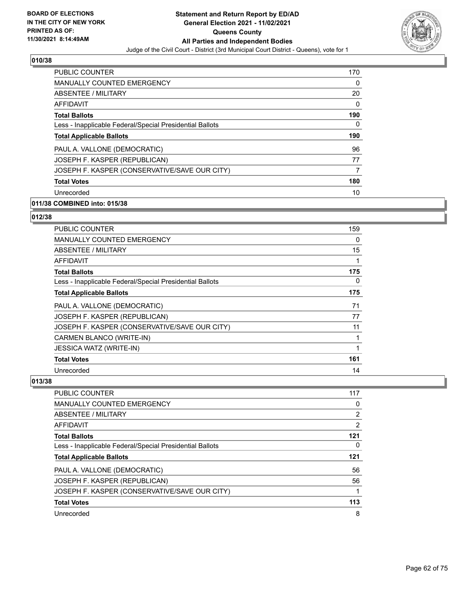

| <b>PUBLIC COUNTER</b>                                    | 170      |
|----------------------------------------------------------|----------|
| <b>MANUALLY COUNTED EMERGENCY</b>                        | $\Omega$ |
| ABSENTEE / MILITARY                                      | 20       |
| <b>AFFIDAVIT</b>                                         | $\Omega$ |
| <b>Total Ballots</b>                                     | 190      |
| Less - Inapplicable Federal/Special Presidential Ballots | 0        |
| <b>Total Applicable Ballots</b>                          | 190      |
| PAUL A. VALLONE (DEMOCRATIC)                             | 96       |
| JOSEPH F. KASPER (REPUBLICAN)                            | 77       |
| JOSEPH F. KASPER (CONSERVATIVE/SAVE OUR CITY)            | 7        |
| <b>Total Votes</b>                                       | 180      |
| Unrecorded                                               | 10       |

# **011/38 COMBINED into: 015/38**

# **012/38**

| <b>PUBLIC COUNTER</b>                                    | 159 |
|----------------------------------------------------------|-----|
| <b>MANUALLY COUNTED EMERGENCY</b>                        | 0   |
| ABSENTEE / MILITARY                                      | 15  |
| <b>AFFIDAVIT</b>                                         | 1   |
| <b>Total Ballots</b>                                     | 175 |
| Less - Inapplicable Federal/Special Presidential Ballots | 0   |
| <b>Total Applicable Ballots</b>                          | 175 |
| PAUL A. VALLONE (DEMOCRATIC)                             | 71  |
| JOSEPH F. KASPER (REPUBLICAN)                            | 77  |
| JOSEPH F. KASPER (CONSERVATIVE/SAVE OUR CITY)            | 11  |
| CARMEN BLANCO (WRITE-IN)                                 | 1   |
| <b>JESSICA WATZ (WRITE-IN)</b>                           | 1   |
| <b>Total Votes</b>                                       | 161 |
| Unrecorded                                               | 14  |

| PUBLIC COUNTER                                           | 117 |
|----------------------------------------------------------|-----|
| MANUALLY COUNTED EMERGENCY                               | 0   |
| ABSENTEE / MILITARY                                      | 2   |
| AFFIDAVIT                                                | 2   |
| <b>Total Ballots</b>                                     | 121 |
| Less - Inapplicable Federal/Special Presidential Ballots | 0   |
| <b>Total Applicable Ballots</b>                          | 121 |
| PAUL A. VALLONE (DEMOCRATIC)                             | 56  |
| JOSEPH F. KASPER (REPUBLICAN)                            | 56  |
| JOSEPH F. KASPER (CONSERVATIVE/SAVE OUR CITY)            |     |
| <b>Total Votes</b>                                       | 113 |
| Unrecorded                                               | 8   |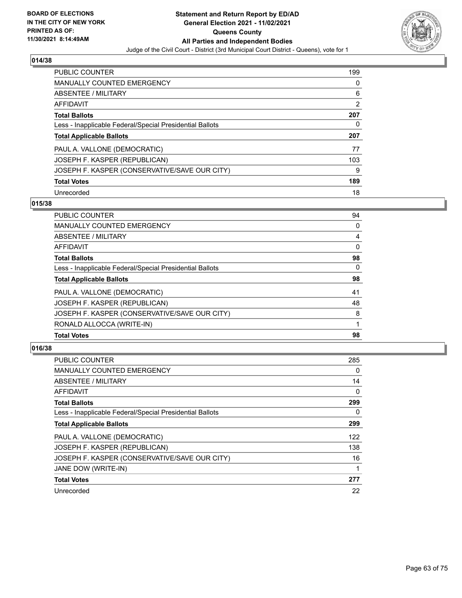

| <b>PUBLIC COUNTER</b>                                    | 199            |
|----------------------------------------------------------|----------------|
| <b>MANUALLY COUNTED EMERGENCY</b>                        | 0              |
| ABSENTEE / MILITARY                                      | 6              |
| AFFIDAVIT                                                | $\overline{2}$ |
| <b>Total Ballots</b>                                     | 207            |
| Less - Inapplicable Federal/Special Presidential Ballots | 0              |
|                                                          |                |
| <b>Total Applicable Ballots</b>                          | 207            |
| PAUL A. VALLONE (DEMOCRATIC)                             | 77             |
| JOSEPH F. KASPER (REPUBLICAN)                            | 103            |
| JOSEPH F. KASPER (CONSERVATIVE/SAVE OUR CITY)            | 9              |
| <b>Total Votes</b>                                       | 189            |

### **015/38**

| <b>PUBLIC COUNTER</b>                                    | 94       |
|----------------------------------------------------------|----------|
| MANUALLY COUNTED EMERGENCY                               | 0        |
| ABSENTEE / MILITARY                                      | 4        |
| AFFIDAVIT                                                | $\Omega$ |
| <b>Total Ballots</b>                                     | 98       |
| Less - Inapplicable Federal/Special Presidential Ballots | $\Omega$ |
| <b>Total Applicable Ballots</b>                          | 98       |
| PAUL A. VALLONE (DEMOCRATIC)                             | 41       |
| JOSEPH F. KASPER (REPUBLICAN)                            | 48       |
| JOSEPH F. KASPER (CONSERVATIVE/SAVE OUR CITY)            | 8        |
| RONALD ALLOCCA (WRITE-IN)                                |          |
| <b>Total Votes</b>                                       | 98       |

| <b>PUBLIC COUNTER</b>                                    | 285 |
|----------------------------------------------------------|-----|
| MANUALLY COUNTED EMERGENCY                               | 0   |
| ABSENTEE / MILITARY                                      | 14  |
| AFFIDAVIT                                                | 0   |
| <b>Total Ballots</b>                                     | 299 |
| Less - Inapplicable Federal/Special Presidential Ballots | 0   |
| <b>Total Applicable Ballots</b>                          | 299 |
| PAUL A. VALLONE (DEMOCRATIC)                             | 122 |
| JOSEPH F. KASPER (REPUBLICAN)                            | 138 |
| JOSEPH F. KASPER (CONSERVATIVE/SAVE OUR CITY)            | 16  |
| JANE DOW (WRITE-IN)                                      | 1   |
| <b>Total Votes</b>                                       | 277 |
| Unrecorded                                               | 22  |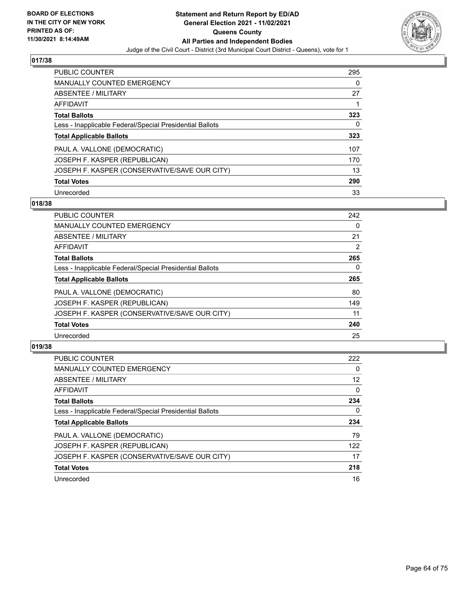

| <b>PUBLIC COUNTER</b>                                    | 295 |
|----------------------------------------------------------|-----|
| <b>MANUALLY COUNTED EMERGENCY</b>                        | 0   |
| ABSENTEE / MILITARY                                      | 27  |
| AFFIDAVIT                                                |     |
| <b>Total Ballots</b>                                     | 323 |
| Less - Inapplicable Federal/Special Presidential Ballots | 0   |
| <b>Total Applicable Ballots</b>                          | 323 |
| PAUL A. VALLONE (DEMOCRATIC)                             | 107 |
| JOSEPH F. KASPER (REPUBLICAN)                            | 170 |
| JOSEPH F. KASPER (CONSERVATIVE/SAVE OUR CITY)            | 13  |
| <b>Total Votes</b>                                       | 290 |
| Unrecorded                                               | 33  |

### **018/38**

| <b>PUBLIC COUNTER</b>                                    | 242 |
|----------------------------------------------------------|-----|
| <b>MANUALLY COUNTED EMERGENCY</b>                        | 0   |
| ABSENTEE / MILITARY                                      | 21  |
| <b>AFFIDAVIT</b>                                         | 2   |
| <b>Total Ballots</b>                                     | 265 |
| Less - Inapplicable Federal/Special Presidential Ballots | 0   |
| <b>Total Applicable Ballots</b>                          | 265 |
| PAUL A. VALLONE (DEMOCRATIC)                             | 80  |
| JOSEPH F. KASPER (REPUBLICAN)                            | 149 |
| JOSEPH F. KASPER (CONSERVATIVE/SAVE OUR CITY)            | 11  |
| <b>Total Votes</b>                                       | 240 |
| Unrecorded                                               | 25  |

| <b>PUBLIC COUNTER</b>                                    | 222      |
|----------------------------------------------------------|----------|
| <b>MANUALLY COUNTED EMERGENCY</b>                        | 0        |
| <b>ABSENTEE / MILITARY</b>                               | 12       |
| <b>AFFIDAVIT</b>                                         | $\Omega$ |
| <b>Total Ballots</b>                                     | 234      |
| Less - Inapplicable Federal/Special Presidential Ballots | 0        |
| <b>Total Applicable Ballots</b>                          | 234      |
| PAUL A. VALLONE (DEMOCRATIC)                             | 79       |
| JOSEPH F. KASPER (REPUBLICAN)                            | 122      |
| JOSEPH F. KASPER (CONSERVATIVE/SAVE OUR CITY)            | 17       |
| <b>Total Votes</b>                                       | 218      |
|                                                          |          |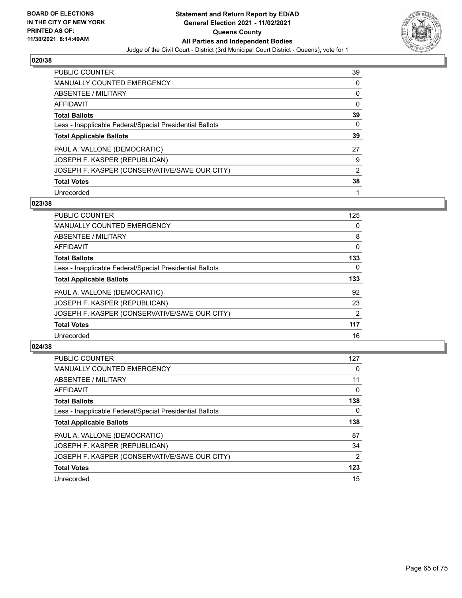

| <b>PUBLIC COUNTER</b>                                    | 39             |
|----------------------------------------------------------|----------------|
| <b>MANUALLY COUNTED EMERGENCY</b>                        | 0              |
| ABSENTEE / MILITARY                                      | 0              |
| AFFIDAVIT                                                | $\Omega$       |
| <b>Total Ballots</b>                                     | 39             |
| Less - Inapplicable Federal/Special Presidential Ballots | 0              |
| <b>Total Applicable Ballots</b>                          | 39             |
| PAUL A. VALLONE (DEMOCRATIC)                             | 27             |
| JOSEPH F. KASPER (REPUBLICAN)                            | 9              |
| JOSEPH F. KASPER (CONSERVATIVE/SAVE OUR CITY)            | $\overline{2}$ |
| <b>Total Votes</b>                                       | 38             |
| Unrecorded                                               |                |

### **023/38**

| <b>PUBLIC COUNTER</b>                                    | 125            |
|----------------------------------------------------------|----------------|
| <b>MANUALLY COUNTED EMERGENCY</b>                        | 0              |
| ABSENTEE / MILITARY                                      | 8              |
| <b>AFFIDAVIT</b>                                         | $\Omega$       |
| <b>Total Ballots</b>                                     | 133            |
| Less - Inapplicable Federal/Special Presidential Ballots | 0              |
| <b>Total Applicable Ballots</b>                          | 133            |
| PAUL A. VALLONE (DEMOCRATIC)                             | 92             |
| JOSEPH F. KASPER (REPUBLICAN)                            | 23             |
| JOSEPH F. KASPER (CONSERVATIVE/SAVE OUR CITY)            | $\overline{2}$ |
| <b>Total Votes</b>                                       | 117            |
| Unrecorded                                               | 16             |

| <b>PUBLIC COUNTER</b>                                    | 127           |
|----------------------------------------------------------|---------------|
| <b>MANUALLY COUNTED EMERGENCY</b>                        | 0             |
| ABSENTEE / MILITARY                                      | 11            |
| AFFIDAVIT                                                | 0             |
| <b>Total Ballots</b>                                     | 138           |
| Less - Inapplicable Federal/Special Presidential Ballots | 0             |
| <b>Total Applicable Ballots</b>                          | 138           |
| PAUL A. VALLONE (DEMOCRATIC)                             | 87            |
| JOSEPH F. KASPER (REPUBLICAN)                            | 34            |
| JOSEPH F. KASPER (CONSERVATIVE/SAVE OUR CITY)            | $\mathcal{P}$ |
| <b>Total Votes</b>                                       | 123           |
| Unrecorded                                               | 15            |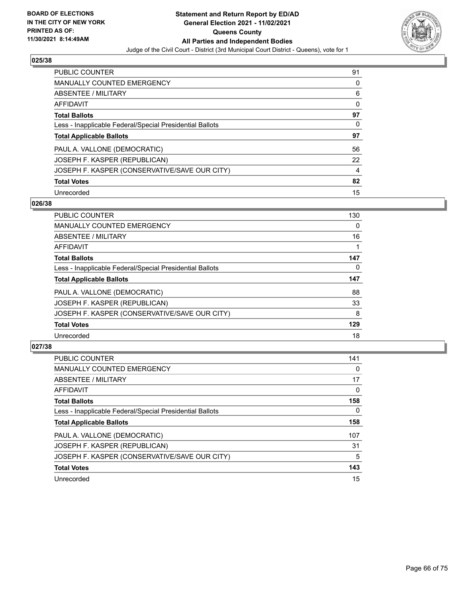

| <b>PUBLIC COUNTER</b>                                    | 91       |
|----------------------------------------------------------|----------|
| <b>MANUALLY COUNTED EMERGENCY</b>                        | 0        |
| ABSENTEE / MILITARY                                      | 6        |
| AFFIDAVIT                                                | 0        |
| <b>Total Ballots</b>                                     | 97       |
| Less - Inapplicable Federal/Special Presidential Ballots | $\Omega$ |
| <b>Total Applicable Ballots</b>                          | 97       |
| PAUL A. VALLONE (DEMOCRATIC)                             | 56       |
| JOSEPH F. KASPER (REPUBLICAN)                            | 22       |
| JOSEPH F. KASPER (CONSERVATIVE/SAVE OUR CITY)            | 4        |
| <b>Total Votes</b>                                       | 82       |
| Unrecorded                                               | 15       |

### **026/38**

| <b>PUBLIC COUNTER</b>                                    | 130      |
|----------------------------------------------------------|----------|
| <b>MANUALLY COUNTED EMERGENCY</b>                        | $\Omega$ |
| ABSENTEE / MILITARY                                      | 16       |
| <b>AFFIDAVIT</b>                                         |          |
| <b>Total Ballots</b>                                     | 147      |
| Less - Inapplicable Federal/Special Presidential Ballots | $\Omega$ |
| <b>Total Applicable Ballots</b>                          | 147      |
| PAUL A. VALLONE (DEMOCRATIC)                             | 88       |
| JOSEPH F. KASPER (REPUBLICAN)                            | 33       |
| JOSEPH F. KASPER (CONSERVATIVE/SAVE OUR CITY)            | 8        |
| <b>Total Votes</b>                                       | 129      |
| Unrecorded                                               | 18       |

| <b>PUBLIC COUNTER</b>                                    | 141      |
|----------------------------------------------------------|----------|
| <b>MANUALLY COUNTED EMERGENCY</b>                        | $\Omega$ |
| ABSENTEE / MILITARY                                      | 17       |
| <b>AFFIDAVIT</b>                                         | 0        |
| <b>Total Ballots</b>                                     | 158      |
| Less - Inapplicable Federal/Special Presidential Ballots | 0        |
| <b>Total Applicable Ballots</b>                          | 158      |
| PAUL A. VALLONE (DEMOCRATIC)                             | 107      |
| JOSEPH F. KASPER (REPUBLICAN)                            | 31       |
| JOSEPH F. KASPER (CONSERVATIVE/SAVE OUR CITY)            | 5        |
| <b>Total Votes</b>                                       | 143      |
| Unrecorded                                               | 15       |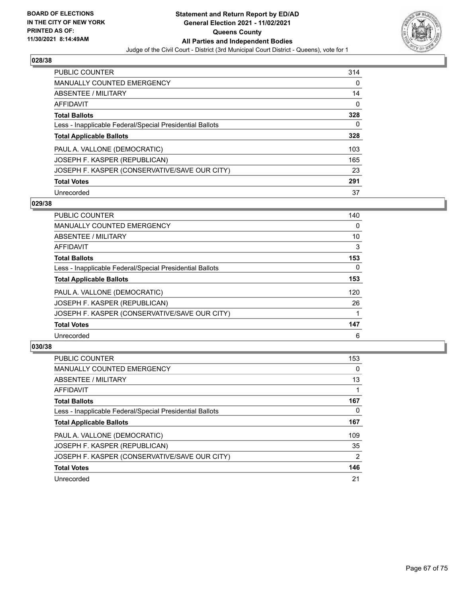

| <b>PUBLIC COUNTER</b>                                    | 314 |
|----------------------------------------------------------|-----|
| <b>MANUALLY COUNTED EMERGENCY</b>                        | 0   |
| ABSENTEE / MILITARY                                      | 14  |
| AFFIDAVIT                                                | 0   |
| <b>Total Ballots</b>                                     | 328 |
| Less - Inapplicable Federal/Special Presidential Ballots | 0   |
| <b>Total Applicable Ballots</b>                          | 328 |
| PAUL A. VALLONE (DEMOCRATIC)                             | 103 |
| JOSEPH F. KASPER (REPUBLICAN)                            | 165 |
| JOSEPH F. KASPER (CONSERVATIVE/SAVE OUR CITY)            | 23  |
| <b>Total Votes</b>                                       | 291 |
| Unrecorded                                               | 37  |

### **029/38**

| <b>PUBLIC COUNTER</b>                                    | 140      |
|----------------------------------------------------------|----------|
| <b>MANUALLY COUNTED EMERGENCY</b>                        | $\Omega$ |
| <b>ABSENTEE / MILITARY</b>                               | 10       |
| <b>AFFIDAVIT</b>                                         | 3        |
| <b>Total Ballots</b>                                     | 153      |
| Less - Inapplicable Federal/Special Presidential Ballots | $\Omega$ |
| <b>Total Applicable Ballots</b>                          | 153      |
| PAUL A. VALLONE (DEMOCRATIC)                             | 120      |
| JOSEPH F. KASPER (REPUBLICAN)                            | 26       |
| JOSEPH F. KASPER (CONSERVATIVE/SAVE OUR CITY)            |          |
| <b>Total Votes</b>                                       | 147      |
| Unrecorded                                               | 6        |

| <b>PUBLIC COUNTER</b>                                    | 153            |
|----------------------------------------------------------|----------------|
| <b>MANUALLY COUNTED EMERGENCY</b>                        | 0              |
| <b>ABSENTEE / MILITARY</b>                               | 13             |
| <b>AFFIDAVIT</b>                                         |                |
| <b>Total Ballots</b>                                     | 167            |
| Less - Inapplicable Federal/Special Presidential Ballots | 0              |
| <b>Total Applicable Ballots</b>                          | 167            |
| PAUL A. VALLONE (DEMOCRATIC)                             | 109            |
| JOSEPH F. KASPER (REPUBLICAN)                            | 35             |
| JOSEPH F. KASPER (CONSERVATIVE/SAVE OUR CITY)            | $\overline{2}$ |
| <b>Total Votes</b>                                       | 146            |
| Unrecorded                                               | 21             |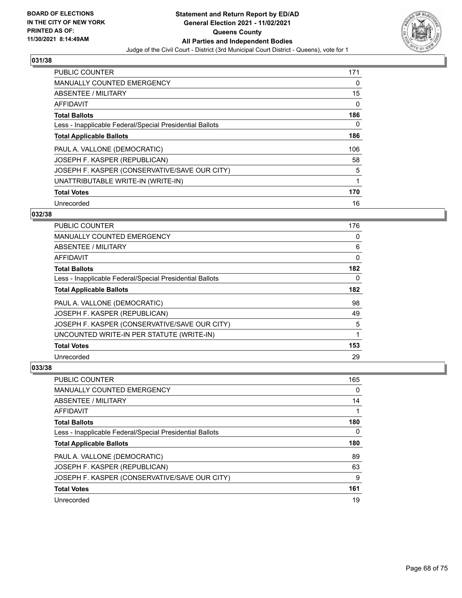

| <b>PUBLIC COUNTER</b>                                    | 171 |
|----------------------------------------------------------|-----|
| <b>MANUALLY COUNTED EMERGENCY</b>                        | 0   |
| ABSENTEE / MILITARY                                      | 15  |
| <b>AFFIDAVIT</b>                                         | 0   |
| <b>Total Ballots</b>                                     | 186 |
| Less - Inapplicable Federal/Special Presidential Ballots | 0   |
| <b>Total Applicable Ballots</b>                          | 186 |
| PAUL A. VALLONE (DEMOCRATIC)                             | 106 |
| JOSEPH F. KASPER (REPUBLICAN)                            | 58  |
| JOSEPH F. KASPER (CONSERVATIVE/SAVE OUR CITY)            | 5   |
| UNATTRIBUTABLE WRITE-IN (WRITE-IN)                       | 1   |
| <b>Total Votes</b>                                       | 170 |
| Unrecorded                                               | 16  |

## **032/38**

| <b>PUBLIC COUNTER</b>                                    | 176 |
|----------------------------------------------------------|-----|
| <b>MANUALLY COUNTED EMERGENCY</b>                        | 0   |
| ABSENTEE / MILITARY                                      | 6   |
| <b>AFFIDAVIT</b>                                         | 0   |
| <b>Total Ballots</b>                                     | 182 |
| Less - Inapplicable Federal/Special Presidential Ballots | 0   |
| <b>Total Applicable Ballots</b>                          | 182 |
| PAUL A. VALLONE (DEMOCRATIC)                             | 98  |
| JOSEPH F. KASPER (REPUBLICAN)                            | 49  |
| JOSEPH F. KASPER (CONSERVATIVE/SAVE OUR CITY)            | 5   |
| UNCOUNTED WRITE-IN PER STATUTE (WRITE-IN)                | 1   |
| <b>Total Votes</b>                                       | 153 |
| Unrecorded                                               | 29  |

| <b>PUBLIC COUNTER</b>                                    | 165 |
|----------------------------------------------------------|-----|
| <b>MANUALLY COUNTED EMERGENCY</b>                        | 0   |
| ABSENTEE / MILITARY                                      | 14  |
| AFFIDAVIT                                                |     |
| <b>Total Ballots</b>                                     | 180 |
| Less - Inapplicable Federal/Special Presidential Ballots | 0   |
|                                                          |     |
| <b>Total Applicable Ballots</b>                          | 180 |
| PAUL A. VALLONE (DEMOCRATIC)                             | 89  |
| JOSEPH F. KASPER (REPUBLICAN)                            | 63  |
| JOSEPH F. KASPER (CONSERVATIVE/SAVE OUR CITY)            | 9   |
| <b>Total Votes</b>                                       | 161 |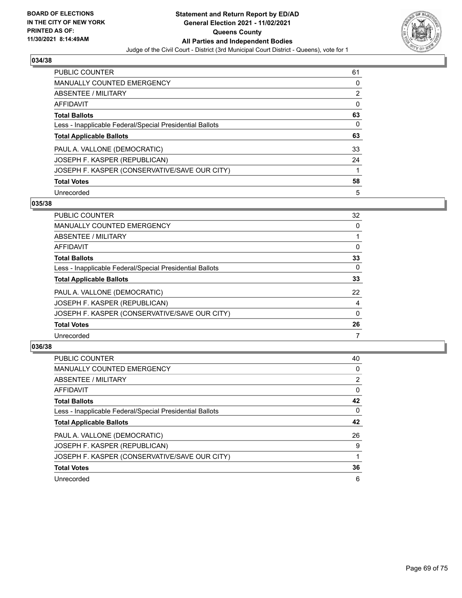

| <b>PUBLIC COUNTER</b>                                    | 61 |
|----------------------------------------------------------|----|
| <b>MANUALLY COUNTED EMERGENCY</b>                        | 0  |
| ABSENTEE / MILITARY                                      | 2  |
| AFFIDAVIT                                                | 0  |
| <b>Total Ballots</b>                                     | 63 |
| Less - Inapplicable Federal/Special Presidential Ballots | 0  |
| <b>Total Applicable Ballots</b>                          | 63 |
| PAUL A. VALLONE (DEMOCRATIC)                             | 33 |
| JOSEPH F. KASPER (REPUBLICAN)                            | 24 |
| JOSEPH F. KASPER (CONSERVATIVE/SAVE OUR CITY)            |    |
| <b>Total Votes</b>                                       | 58 |
| Unrecorded                                               | 5  |

### **035/38**

| <b>PUBLIC COUNTER</b>                                    | 32       |
|----------------------------------------------------------|----------|
| <b>MANUALLY COUNTED EMERGENCY</b>                        | $\Omega$ |
| ABSENTEE / MILITARY                                      |          |
| AFFIDAVIT                                                | $\Omega$ |
| <b>Total Ballots</b>                                     | 33       |
| Less - Inapplicable Federal/Special Presidential Ballots | $\Omega$ |
| <b>Total Applicable Ballots</b>                          | 33       |
| PAUL A. VALLONE (DEMOCRATIC)                             | 22       |
| JOSEPH F. KASPER (REPUBLICAN)                            | 4        |
| JOSEPH F. KASPER (CONSERVATIVE/SAVE OUR CITY)            | $\Omega$ |
| <b>Total Votes</b>                                       | 26       |
| Unrecorded                                               |          |

| <b>PUBLIC COUNTER</b>                                    | 40             |
|----------------------------------------------------------|----------------|
| <b>MANUALLY COUNTED EMERGENCY</b>                        | 0              |
| ABSENTEE / MILITARY                                      | $\overline{2}$ |
| AFFIDAVIT                                                | $\Omega$       |
| <b>Total Ballots</b>                                     | 42             |
| Less - Inapplicable Federal/Special Presidential Ballots | $\Omega$       |
| <b>Total Applicable Ballots</b>                          | 42             |
| PAUL A. VALLONE (DEMOCRATIC)                             | 26             |
| JOSEPH F. KASPER (REPUBLICAN)                            | 9              |
| JOSEPH F. KASPER (CONSERVATIVE/SAVE OUR CITY)            |                |
| <b>Total Votes</b>                                       | 36             |
| Unrecorded                                               | 6              |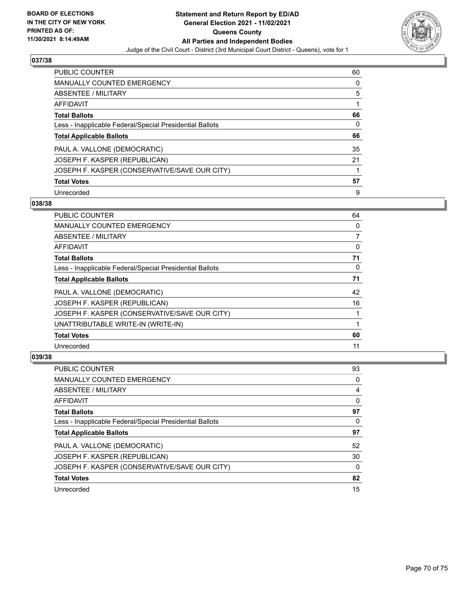

| <b>PUBLIC COUNTER</b>                                    | 60 |
|----------------------------------------------------------|----|
| <b>MANUALLY COUNTED EMERGENCY</b>                        | 0  |
| ABSENTEE / MILITARY                                      | 5  |
| AFFIDAVIT                                                |    |
| <b>Total Ballots</b>                                     | 66 |
| Less - Inapplicable Federal/Special Presidential Ballots | 0  |
| <b>Total Applicable Ballots</b>                          | 66 |
| PAUL A. VALLONE (DEMOCRATIC)                             | 35 |
| JOSEPH F. KASPER (REPUBLICAN)                            | 21 |
| JOSEPH F. KASPER (CONSERVATIVE/SAVE OUR CITY)            |    |
| <b>Total Votes</b>                                       | 57 |
| Unrecorded                                               | 9  |

### **038/38**

| <b>PUBLIC COUNTER</b>                                    | 64 |
|----------------------------------------------------------|----|
| MANUALLY COUNTED EMERGENCY                               | 0  |
| ABSENTEE / MILITARY                                      | 7  |
| AFFIDAVIT                                                | 0  |
| <b>Total Ballots</b>                                     | 71 |
| Less - Inapplicable Federal/Special Presidential Ballots | 0  |
| <b>Total Applicable Ballots</b>                          | 71 |
| PAUL A. VALLONE (DEMOCRATIC)                             | 42 |
| JOSEPH F. KASPER (REPUBLICAN)                            | 16 |
| JOSEPH F. KASPER (CONSERVATIVE/SAVE OUR CITY)            |    |
| UNATTRIBUTABLE WRITE-IN (WRITE-IN)                       | 1  |
| <b>Total Votes</b>                                       | 60 |
| Unrecorded                                               | 11 |

| <b>PUBLIC COUNTER</b>                                    | 93 |
|----------------------------------------------------------|----|
| <b>MANUALLY COUNTED EMERGENCY</b>                        | 0  |
| ABSENTEE / MILITARY                                      | 4  |
| AFFIDAVIT                                                | 0  |
| <b>Total Ballots</b>                                     | 97 |
| Less - Inapplicable Federal/Special Presidential Ballots | 0  |
| <b>Total Applicable Ballots</b>                          | 97 |
| PAUL A. VALLONE (DEMOCRATIC)                             | 52 |
| JOSEPH F. KASPER (REPUBLICAN)                            | 30 |
| JOSEPH F. KASPER (CONSERVATIVE/SAVE OUR CITY)            | 0  |
| <b>Total Votes</b>                                       | 82 |
| Unrecorded                                               | 15 |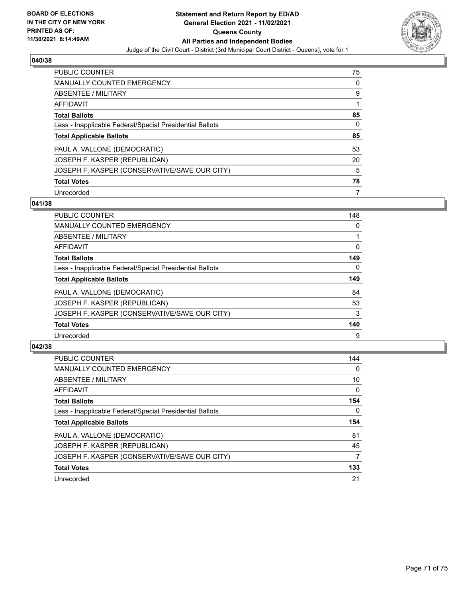

| <b>PUBLIC COUNTER</b>                                    | 75 |
|----------------------------------------------------------|----|
| <b>MANUALLY COUNTED EMERGENCY</b>                        | 0  |
| ABSENTEE / MILITARY                                      | 9  |
| AFFIDAVIT                                                |    |
| <b>Total Ballots</b>                                     | 85 |
| Less - Inapplicable Federal/Special Presidential Ballots | 0  |
| <b>Total Applicable Ballots</b>                          | 85 |
| PAUL A. VALLONE (DEMOCRATIC)                             | 53 |
| JOSEPH F. KASPER (REPUBLICAN)                            | 20 |
| JOSEPH F. KASPER (CONSERVATIVE/SAVE OUR CITY)            | 5  |
| <b>Total Votes</b>                                       | 78 |
| Unrecorded                                               | 7  |

### **041/38**

| <b>PUBLIC COUNTER</b>                                    | 148      |
|----------------------------------------------------------|----------|
| <b>MANUALLY COUNTED EMERGENCY</b>                        | 0        |
| ABSENTEE / MILITARY                                      |          |
| <b>AFFIDAVIT</b>                                         | 0        |
| <b>Total Ballots</b>                                     | 149      |
| Less - Inapplicable Federal/Special Presidential Ballots | $\Omega$ |
| <b>Total Applicable Ballots</b>                          | 149      |
| PAUL A. VALLONE (DEMOCRATIC)                             | 84       |
| JOSEPH F. KASPER (REPUBLICAN)                            | 53       |
| JOSEPH F. KASPER (CONSERVATIVE/SAVE OUR CITY)            | 3        |
| <b>Total Votes</b>                                       | 140      |
| Unrecorded                                               | 9        |

| <b>PUBLIC COUNTER</b>                                    | 144      |
|----------------------------------------------------------|----------|
| <b>MANUALLY COUNTED EMERGENCY</b>                        | $\Omega$ |
| ABSENTEE / MILITARY                                      | 10       |
| AFFIDAVIT                                                | $\Omega$ |
| <b>Total Ballots</b>                                     | 154      |
| Less - Inapplicable Federal/Special Presidential Ballots | 0        |
| <b>Total Applicable Ballots</b>                          | 154      |
| PAUL A. VALLONE (DEMOCRATIC)                             | 81       |
| JOSEPH F. KASPER (REPUBLICAN)                            | 45       |
| JOSEPH F. KASPER (CONSERVATIVE/SAVE OUR CITY)            | 7        |
| <b>Total Votes</b>                                       | 133      |
| Unrecorded                                               | 21       |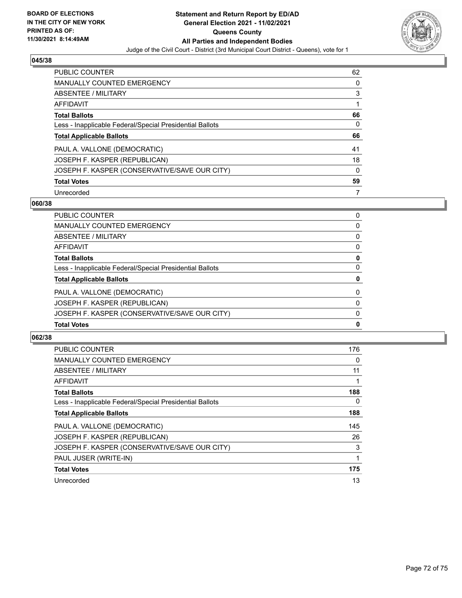

| <b>PUBLIC COUNTER</b>                                    | 62 |
|----------------------------------------------------------|----|
| <b>MANUALLY COUNTED EMERGENCY</b>                        | 0  |
| ABSENTEE / MILITARY                                      | 3  |
| AFFIDAVIT                                                |    |
| <b>Total Ballots</b>                                     | 66 |
| Less - Inapplicable Federal/Special Presidential Ballots | 0  |
| <b>Total Applicable Ballots</b>                          | 66 |
| PAUL A. VALLONE (DEMOCRATIC)                             | 41 |
| JOSEPH F. KASPER (REPUBLICAN)                            | 18 |
| JOSEPH F. KASPER (CONSERVATIVE/SAVE OUR CITY)            | 0  |
| <b>Total Votes</b>                                       | 59 |
| Unrecorded                                               |    |

### **060/38**

| JOSEPH F. KASPER (CONSERVATIVE/SAVE OUR CITY)            | $\Omega$ |
|----------------------------------------------------------|----------|
| JOSEPH F. KASPER (REPUBLICAN)                            | 0        |
| PAUL A. VALLONE (DEMOCRATIC)                             | $\Omega$ |
| <b>Total Applicable Ballots</b>                          | 0        |
| Less - Inapplicable Federal/Special Presidential Ballots | $\Omega$ |
| <b>Total Ballots</b>                                     | 0        |
| <b>AFFIDAVIT</b>                                         | 0        |
| <b>ABSENTEE / MILITARY</b>                               | $\Omega$ |
| <b>MANUALLY COUNTED EMERGENCY</b>                        | 0        |
| <b>PUBLIC COUNTER</b>                                    | 0        |

| <b>PUBLIC COUNTER</b>                                    | 176 |
|----------------------------------------------------------|-----|
| <b>MANUALLY COUNTED EMERGENCY</b>                        | 0   |
| ABSENTEE / MILITARY                                      | 11  |
| AFFIDAVIT                                                |     |
| <b>Total Ballots</b>                                     | 188 |
| Less - Inapplicable Federal/Special Presidential Ballots | 0   |
| <b>Total Applicable Ballots</b>                          | 188 |
| PAUL A. VALLONE (DEMOCRATIC)                             | 145 |
| JOSEPH F. KASPER (REPUBLICAN)                            | 26  |
| JOSEPH F. KASPER (CONSERVATIVE/SAVE OUR CITY)            | 3   |
| PAUL JUSER (WRITE-IN)                                    |     |
| <b>Total Votes</b>                                       | 175 |
| Unrecorded                                               | 13  |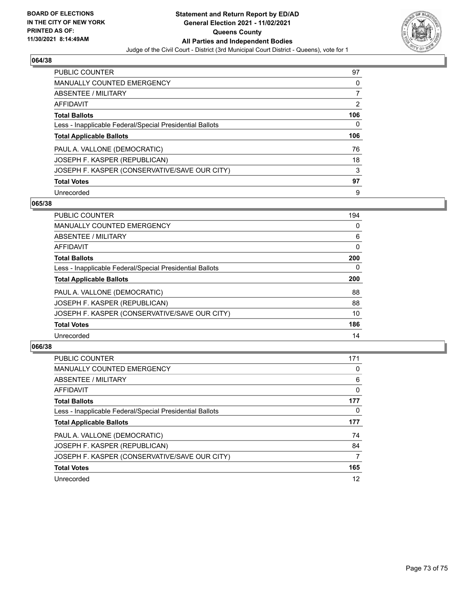

## **064/38**

| <b>PUBLIC COUNTER</b>                                    | 97  |
|----------------------------------------------------------|-----|
| <b>MANUALLY COUNTED EMERGENCY</b>                        | 0   |
| ABSENTEE / MILITARY                                      |     |
| AFFIDAVIT                                                | 2   |
| <b>Total Ballots</b>                                     | 106 |
| Less - Inapplicable Federal/Special Presidential Ballots | 0   |
| <b>Total Applicable Ballots</b>                          | 106 |
| PAUL A. VALLONE (DEMOCRATIC)                             | 76  |
| JOSEPH F. KASPER (REPUBLICAN)                            | 18  |
| JOSEPH F. KASPER (CONSERVATIVE/SAVE OUR CITY)            | 3   |
|                                                          |     |
| <b>Total Votes</b>                                       | 97  |

## **065/38**

| <b>PUBLIC COUNTER</b>                                    | 194      |
|----------------------------------------------------------|----------|
| <b>MANUALLY COUNTED EMERGENCY</b>                        | 0        |
| ABSENTEE / MILITARY                                      | 6        |
| <b>AFFIDAVIT</b>                                         | $\Omega$ |
| <b>Total Ballots</b>                                     | 200      |
| Less - Inapplicable Federal/Special Presidential Ballots | 0        |
| <b>Total Applicable Ballots</b>                          | 200      |
| PAUL A. VALLONE (DEMOCRATIC)                             | 88       |
| JOSEPH F. KASPER (REPUBLICAN)                            | 88       |
| JOSEPH F. KASPER (CONSERVATIVE/SAVE OUR CITY)            | 10       |
| <b>Total Votes</b>                                       | 186      |
| Unrecorded                                               | 14       |

# **066/38**

| <b>PUBLIC COUNTER</b>                                    | 171 |
|----------------------------------------------------------|-----|
| <b>MANUALLY COUNTED EMERGENCY</b>                        | 0   |
| ABSENTEE / MILITARY                                      | 6   |
| AFFIDAVIT                                                | 0   |
| <b>Total Ballots</b>                                     | 177 |
| Less - Inapplicable Federal/Special Presidential Ballots | 0   |
| <b>Total Applicable Ballots</b>                          | 177 |
| PAUL A. VALLONE (DEMOCRATIC)                             | 74  |
| JOSEPH F. KASPER (REPUBLICAN)                            | 84  |
| JOSEPH F. KASPER (CONSERVATIVE/SAVE OUR CITY)            | 7   |
| <b>Total Votes</b>                                       | 165 |
| Unrecorded                                               | 12  |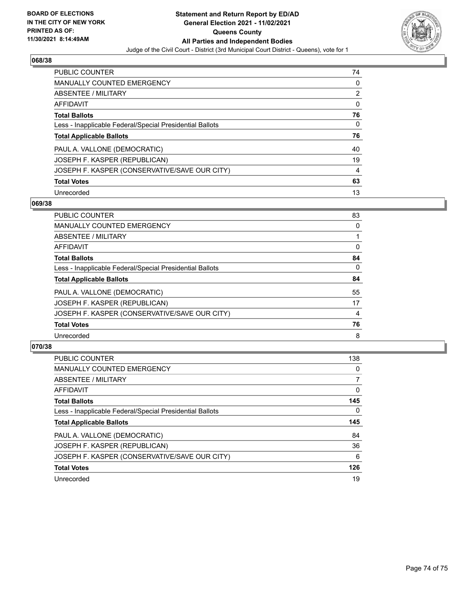

## **068/38**

| PUBLIC COUNTER                                           | 74 |
|----------------------------------------------------------|----|
| <b>MANUALLY COUNTED EMERGENCY</b>                        | 0  |
| ABSENTEE / MILITARY                                      | 2  |
| AFFIDAVIT                                                | 0  |
| <b>Total Ballots</b>                                     | 76 |
| Less - Inapplicable Federal/Special Presidential Ballots | 0  |
| <b>Total Applicable Ballots</b>                          | 76 |
| PAUL A. VALLONE (DEMOCRATIC)                             | 40 |
| JOSEPH F. KASPER (REPUBLICAN)                            | 19 |
| JOSEPH F. KASPER (CONSERVATIVE/SAVE OUR CITY)            | 4  |
| <b>Total Votes</b>                                       | 63 |
| Unrecorded                                               | 13 |

## **069/38**

| <b>PUBLIC COUNTER</b>                                    | 83       |
|----------------------------------------------------------|----------|
| <b>MANUALLY COUNTED EMERGENCY</b>                        | 0        |
| ABSENTEE / MILITARY                                      |          |
| AFFIDAVIT                                                | $\Omega$ |
| <b>Total Ballots</b>                                     | 84       |
| Less - Inapplicable Federal/Special Presidential Ballots | $\Omega$ |
| <b>Total Applicable Ballots</b>                          | 84       |
| PAUL A. VALLONE (DEMOCRATIC)                             | 55       |
| JOSEPH F. KASPER (REPUBLICAN)                            | 17       |
| JOSEPH F. KASPER (CONSERVATIVE/SAVE OUR CITY)            | 4        |
| <b>Total Votes</b>                                       | 76       |
| Unrecorded                                               | 8        |

# **070/38**

| <b>PUBLIC COUNTER</b>                                    | 138      |
|----------------------------------------------------------|----------|
| <b>MANUALLY COUNTED EMERGENCY</b>                        | $\Omega$ |
| ABSENTEE / MILITARY                                      |          |
| <b>AFFIDAVIT</b>                                         | 0        |
| <b>Total Ballots</b>                                     | 145      |
| Less - Inapplicable Federal/Special Presidential Ballots | 0        |
| <b>Total Applicable Ballots</b>                          | 145      |
| PAUL A. VALLONE (DEMOCRATIC)                             | 84       |
| JOSEPH F. KASPER (REPUBLICAN)                            | 36       |
| JOSEPH F. KASPER (CONSERVATIVE/SAVE OUR CITY)            | 6        |
| <b>Total Votes</b>                                       | 126      |
| Unrecorded                                               | 19       |